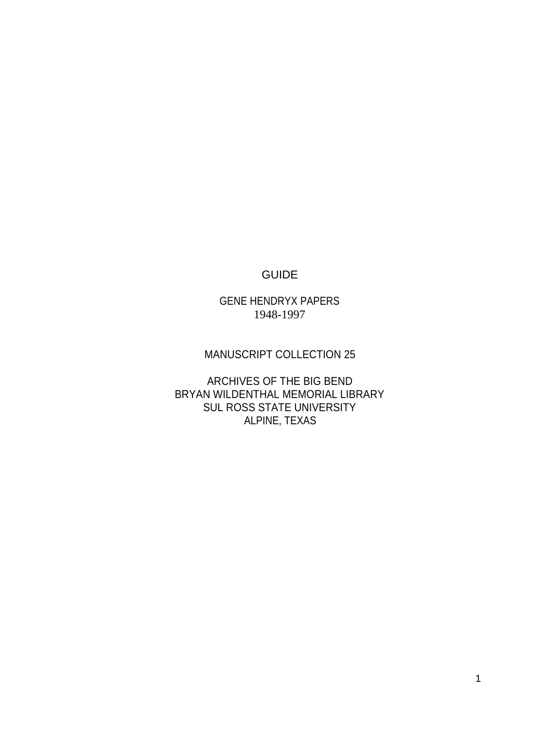## GUIDE

GENE HENDRYX PAPERS 1948-1997

### MANUSCRIPT COLLECTION 25

ARCHIVES OF THE BIG BEND BRYAN WILDENTHAL MEMORIAL LIBRARY SUL ROSS STATE UNIVERSITY ALPINE, TEXAS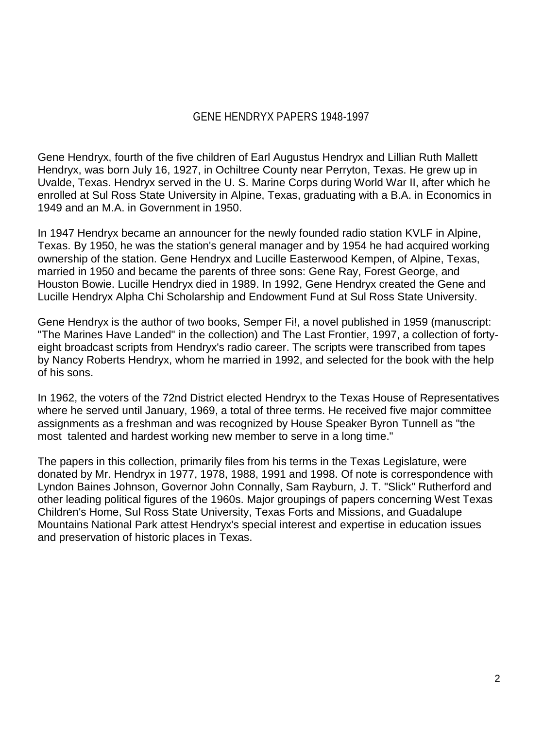Gene Hendryx, fourth of the five children of Earl Augustus Hendryx and Lillian Ruth Mallett Hendryx, was born July 16, 1927, in Ochiltree County near Perryton, Texas. He grew up in Uvalde, Texas. Hendryx served in the U. S. Marine Corps during World War II, after which he enrolled at Sul Ross State University in Alpine, Texas, graduating with a B.A. in Economics in 1949 and an M.A. in Government in 1950.

In 1947 Hendryx became an announcer for the newly founded radio station KVLF in Alpine, Texas. By 1950, he was the station's general manager and by 1954 he had acquired working ownership of the station. Gene Hendryx and Lucille Easterwood Kempen, of Alpine, Texas, married in 1950 and became the parents of three sons: Gene Ray, Forest George, and Houston Bowie. Lucille Hendryx died in 1989. In 1992, Gene Hendryx created the Gene and Lucille Hendryx Alpha Chi Scholarship and Endowment Fund at Sul Ross State University.

Gene Hendryx is the author of two books, Semper Fi!, a novel published in 1959 (manuscript: "The Marines Have Landed" in the collection) and The Last Frontier, 1997, a collection of fortyeight broadcast scripts from Hendryx's radio career. The scripts were transcribed from tapes by Nancy Roberts Hendryx, whom he married in 1992, and selected for the book with the help of his sons.

In 1962, the voters of the 72nd District elected Hendryx to the Texas House of Representatives where he served until January, 1969, a total of three terms. He received five major committee assignments as a freshman and was recognized by House Speaker Byron Tunnell as "the most talented and hardest working new member to serve in a long time."

The papers in this collection, primarily files from his terms in the Texas Legislature, were donated by Mr. Hendryx in 1977, 1978, 1988, 1991 and 1998. Of note is correspondence with Lyndon Baines Johnson, Governor John Connally, Sam Rayburn, J. T. "Slick" Rutherford and other leading political figures of the 1960s. Major groupings of papers concerning West Texas Children's Home, Sul Ross State University, Texas Forts and Missions, and Guadalupe Mountains National Park attest Hendryx's special interest and expertise in education issues and preservation of historic places in Texas.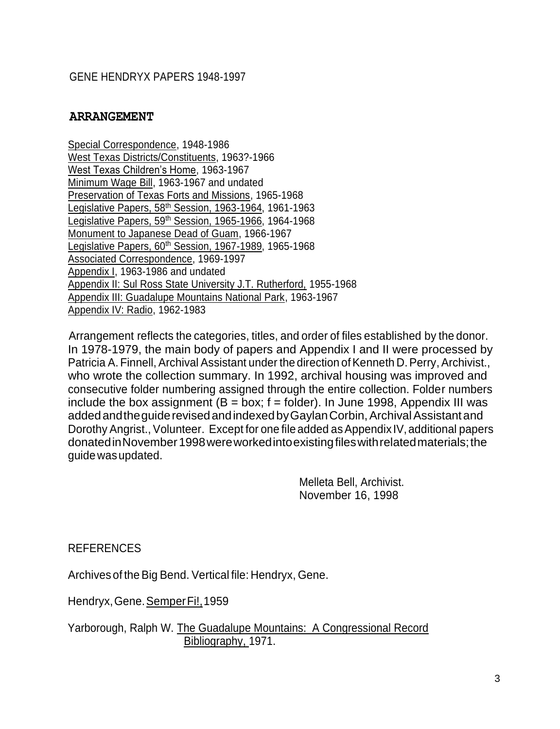#### **ARRANGEMENT**

Special Correspondence, 1948-1986 West Texas Districts/Constituents, 1963?-1966 West Texas Children's Home, 1963-1967 Minimum Wage Bill, 1963-1967 and undated Preservation of Texas Forts and Missions, 1965-1968 Legislative Papers, 58<sup>th</sup> Session, 1963-1964, 1961-1963 egislative Papers, 59<sup>th</sup> Session, 1965-1966, 1964-1968 Monument to Japanese Dead of Guam, 1966-1967 Legislative Papers, 60<sup>th</sup> Session, 1967-1989, 1965-1968 Associated Correspondence, 1969-1997 Appendix I, 1963-1986 and undated Appendix II: Sul Ross State University J.T. Rutherford, 1955-1968 Appendix III: Guadalupe Mountains National Park, 1963-1967 Appendix IV: Radio, 1962-1983

Arrangement reflects the categories, titles, and order of files established by the donor. In 1978-1979, the main body of papers and Appendix I and II were processed by Patricia A. Finnell, Archival Assistant under the direction of Kenneth D. Perry, Archivist., who wrote the collection summary. In 1992, archival housing was improved and consecutive folder numbering assigned through the entire collection. Folder numbers include the box assignment ( $B = box$ ; f = folder). In June 1998, Appendix III was added and the guide revised and indexed by Gaylan Corbin, Archival Assistant and Dorothy Angrist., Volunteer. Except for one file added as Appendix IV, additional papers donatedinNovember1998wereworkedintoexistingfileswithrelatedmaterials;the guidewasupdated.

> Melleta Bell, Archivist. November 16, 1998

**REFERENCES** 

Archives of the Big Bend. Vertical file: Hendryx, Gene.

Hendryx, Gene. Semper Fi!, 1959

Yarborough, Ralph W. The Guadalupe Mountains: A Congressional Record Bibliography, 1971.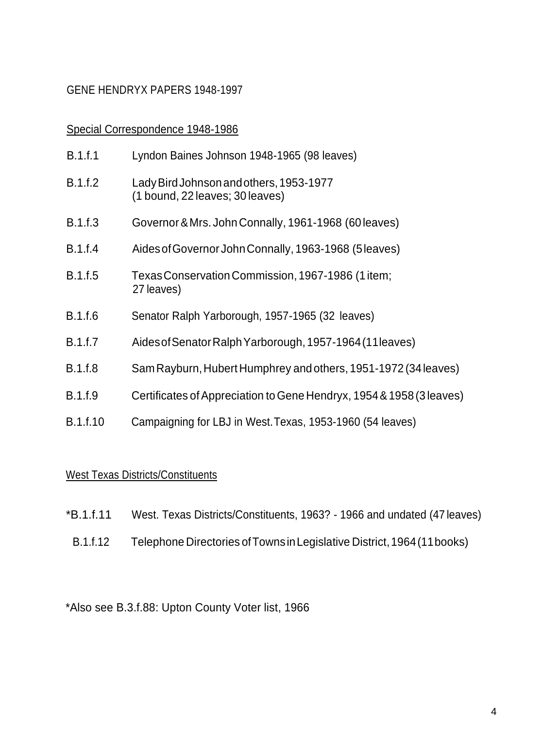#### Special Correspondence 1948-1986

| B.1.f.1        | Lyndon Baines Johnson 1948-1965 (98 leaves)                                |
|----------------|----------------------------------------------------------------------------|
| B.1.f.2        | Lady Bird Johnson and others, 1953-1977<br>(1 bound, 22 leaves; 30 leaves) |
| B.1.f.3        | Governor & Mrs. John Connally, 1961-1968 (60 leaves)                       |
| <b>B.1.f.4</b> | Aides of Governor John Connally, 1963-1968 (5 leaves)                      |
| <b>B.1.f.5</b> | Texas Conservation Commission, 1967-1986 (1 item;<br>27 leaves)            |
| <b>B.1.f.6</b> | Senator Ralph Yarborough, 1957-1965 (32 leaves)                            |
| <b>B.1.f.7</b> | Aides of Senator Ralph Yarborough, 1957-1964 (11 leaves)                   |
| <b>B.1.f.8</b> | Sam Rayburn, Hubert Humphrey and others, 1951-1972 (34 leaves)             |
| <b>B.1.f.9</b> | Certificates of Appreciation to Gene Hendryx, 1954 & 1958 (3 leaves)       |
| B.1.f.10       | Campaigning for LBJ in West. Texas, 1953-1960 (54 leaves)                  |

## West Texas Districts/Constituents

| *B.1.f.11 | West. Texas Districts/Constituents, 1963? - 1966 and undated (47 leaves) |  |  |  |  |  |
|-----------|--------------------------------------------------------------------------|--|--|--|--|--|
|-----------|--------------------------------------------------------------------------|--|--|--|--|--|

B.1.f.12 Telephone Directories ofTownsinLegislative District,1964(11books)

# \*Also see B.3.f.88: Upton County Voter list, 1966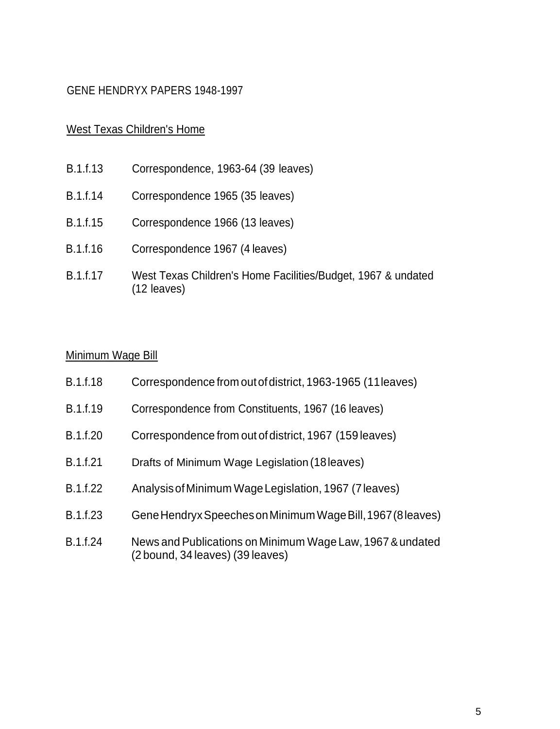## West Texas Children's Home

- B.1.f.13 Correspondence, 1963-64 (39 leaves)
- B.1.f.14 Correspondence 1965 (35 leaves)
- B.1.f.15 Correspondence 1966 (13 leaves)
- B.1.f.16 Correspondence 1967 (4 leaves)
- B.1.f.17 West Texas Children's Home Facilities/Budget, 1967 & undated (12 leaves)

### Minimum Wage Bill

| <b>B.1.f.18</b> | Correspondence from out of district, 1963-1965 (11 leaves)                                    |
|-----------------|-----------------------------------------------------------------------------------------------|
| B.1.f.19        | Correspondence from Constituents, 1967 (16 leaves)                                            |
| B.1.f.20        | Correspondence from out of district, 1967 (159 leaves)                                        |
| B.1.f.21        | Drafts of Minimum Wage Legislation (18 leaves)                                                |
| B.1.f.22        | Analysis of Minimum Wage Legislation, 1967 (7 leaves)                                         |
| B.1.f.23        | Gene Hendryx Speeches on Minimum Wage Bill, 1967 (8 leaves)                                   |
| B.1.f.24        | News and Publications on Minimum Wage Law, 1967 & undated<br>(2 bound, 34 leaves) (39 leaves) |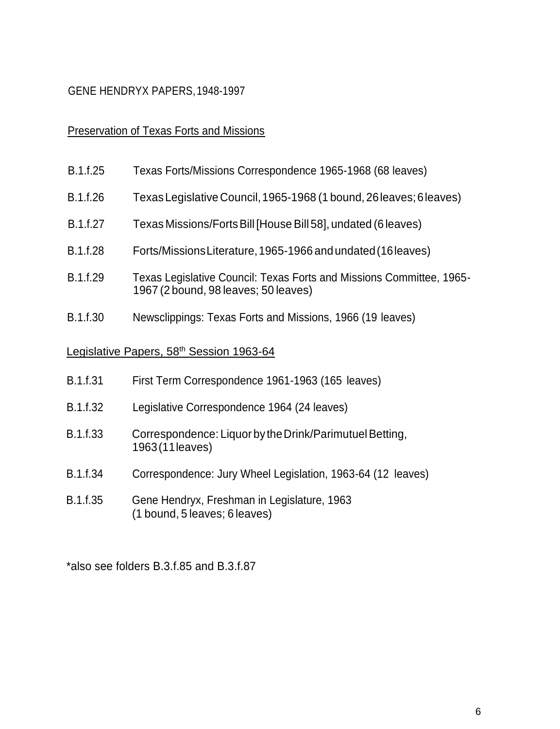### Preservation of Texas Forts and Missions

- B.1.f.25 Texas Forts/Missions Correspondence 1965-1968 (68 leaves)
- B.1.f.26 TexasLegislative Council,1965-1968 (1 bound, 26leaves;6leaves)
- B.1.f.27 Texas Missions/FortsBill [House Bill 58], undated (6 leaves)
- B.1.f.28 Forts/MissionsLiterature,1965-1966 andundated(16leaves)
- B.1.f.29 Texas Legislative Council: Texas Forts and Missions Committee, 1965- 1967 (2 bound, 98 leaves; 50 leaves)
- B.1.f.30 Newsclippings: Texas Forts and Missions, 1966 (19 leaves)

#### Legislative Papers, 58<sup>th</sup> Session 1963-64

| First Term Correspondence 1961-1963 (165 leaves)<br><b>B.1.f.31</b> |
|---------------------------------------------------------------------|
|---------------------------------------------------------------------|

- B.1.f.32 Legislative Correspondence 1964 (24 leaves)
- B.1.f.33 Correspondence: Liquor by the Drink/Parimutuel Betting, 1963(11leaves)
- B.1.f.34 Correspondence: Jury Wheel Legislation, 1963-64 (12 leaves)
- B.1.f.35 Gene Hendryx, Freshman in Legislature, 1963 (1 bound, 5 leaves; 6 leaves)

\*also see folders B.3.f.85 and B.3.f.87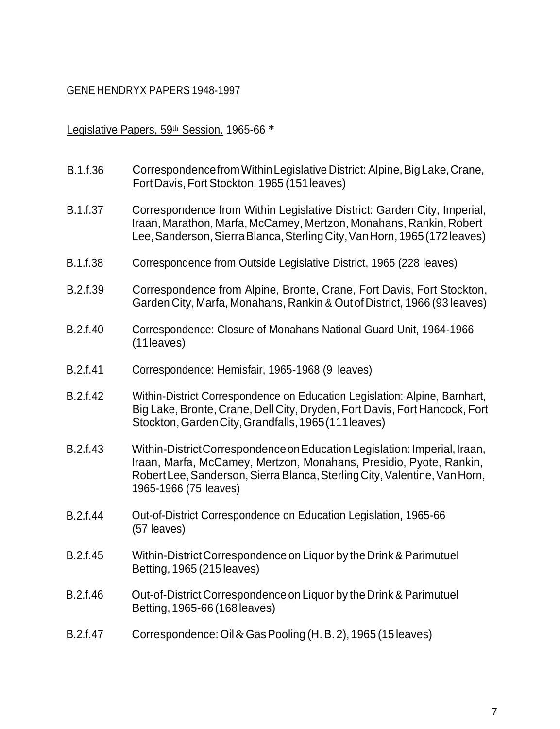#### Legislative Papers, 59th Session. 1965-66 \*

- B.1.f.36 Correspondence from Within Legislative District: Alpine, Big Lake, Crane, Fort Davis, Fort Stockton, 1965 (151leaves)
- B.1.f.37 Correspondence from Within Legislative District: Garden City, Imperial, Iraan, Marathon, Marfa, McCamey, Mertzon, Monahans, Rankin, Robert Lee, Sanderson, Sierra Blanca, Sterling City, Van Horn, 1965 (172 leaves)
- B.1.f.38 Correspondence from Outside Legislative District, 1965 (228 leaves)
- B.2.f.39 Correspondence from Alpine, Bronte, Crane, Fort Davis, Fort Stockton, Garden City, Marfa, Monahans, Rankin & Outof District, 1966 (93 leaves)
- B.2.f.40 Correspondence: Closure of Monahans National Guard Unit, 1964-1966 (11leaves)
- B.2.f.41 Correspondence: Hemisfair, 1965-1968 (9 leaves)
- B.2.f.42 Within-District Correspondence on Education Legislation: Alpine, Barnhart, Big Lake, Bronte, Crane, Dell City, Dryden, Fort Davis, Fort Hancock, Fort Stockton,GardenCity,Grandfalls,1965(111leaves)
- B.2.f.43 Within-DistrictCorrespondence on Education Legislation: Imperial, Iraan, Iraan, Marfa, McCamey, Mertzon, Monahans, Presidio, Pyote, Rankin, Robert Lee, Sanderson, Sierra Blanca, Sterling City, Valentine, Van Horn, 1965-1966 (75 leaves)
- B.2.f.44 Out-of-District Correspondence on Education Legislation, 1965-66 (57 leaves)
- B.2.f.45 Within-DistrictCorrespondence on Liquor by the Drink & Parimutuel Betting, 1965 (215 leaves)
- B.2.f.46 Out-of-District Correspondenceon Liquor by the Drink & Parimutuel Betting,1965-66 (168leaves)
- B.2.f.47 Correspondence: Oil&GasPooling (H.B. 2), 1965 (15 leaves)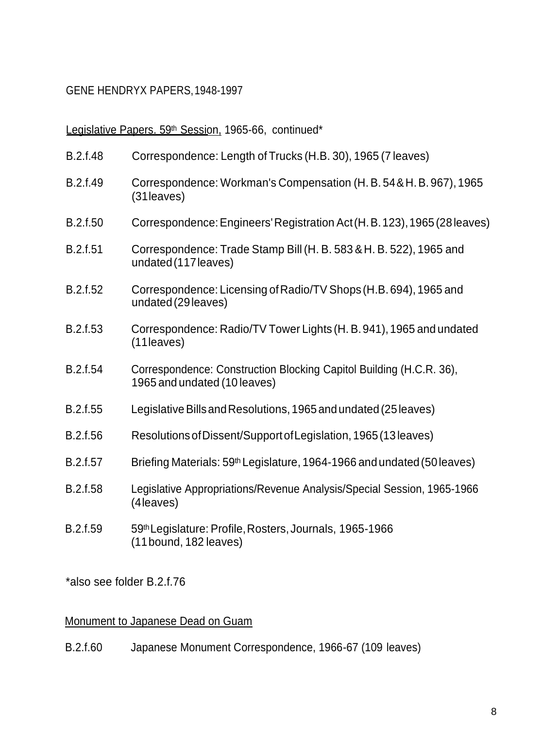Legislative Papers. 59th Session, 1965-66, continued\*

| B.2.f.48        | Correspondence: Length of Trucks (H.B. 30), 1965 (7 leaves)                                         |
|-----------------|-----------------------------------------------------------------------------------------------------|
| B.2.f.49        | Correspondence: Workman's Compensation (H. B. 54 & H. B. 967), 1965<br>(31 leaves)                  |
| B.2.f.50        | Correspondence: Engineers' Registration Act (H. B. 123), 1965 (28 leaves)                           |
| B.2.f.51        | Correspondence: Trade Stamp Bill (H. B. 583 & H. B. 522), 1965 and<br>undated (117 leaves)          |
| B.2.f.52        | Correspondence: Licensing of Radio/TV Shops (H.B. 694), 1965 and<br>undated (29 leaves)             |
| B.2.f.53        | Correspondence: Radio/TV Tower Lights (H. B. 941), 1965 and undated<br>$(11$ leaves)                |
| B.2.f.54        | Correspondence: Construction Blocking Capitol Building (H.C.R. 36),<br>1965 and undated (10 leaves) |
| B.2.f.55        | Legislative Bills and Resolutions, 1965 and undated (25 leaves)                                     |
| B.2.f.56        | Resolutions of Dissent/Support of Legislation, 1965 (13 leaves)                                     |
| B.2.f.57        | Briefing Materials: 59th Legislature, 1964-1966 and undated (50 leaves)                             |
| <b>B.2.f.58</b> | Legislative Appropriations/Revenue Analysis/Special Session, 1965-1966<br>(4 leaves)                |
| B.2.f.59        | 59th Legislature: Profile, Rosters, Journals, 1965-1966<br>(11 bound, 182 leaves)                   |

\*also see folder B.2.f.76

## Monument to Japanese Dead on Guam

B.2.f.60 Japanese Monument Correspondence, 1966-67 (109 leaves)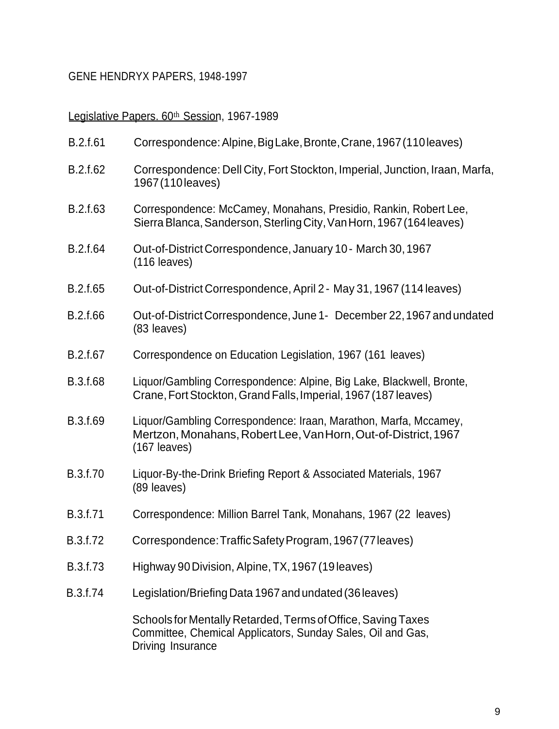# Legislative Papers. 60th Session, 1967-1989

| B.2.f.61 | Correspondence: Alpine, Big Lake, Bronte, Crane, 1967 (110 leaves)                                                                                   |
|----------|------------------------------------------------------------------------------------------------------------------------------------------------------|
| B.2.f.62 | Correspondence: Dell City, Fort Stockton, Imperial, Junction, Iraan, Marfa,<br>1967 (110 leaves)                                                     |
| B.2.f.63 | Correspondence: McCamey, Monahans, Presidio, Rankin, Robert Lee,<br>Sierra Blanca, Sanderson, Sterling City, Van Horn, 1967 (164 leaves)             |
| B.2.f.64 | Out-of-District Correspondence, January 10 - March 30, 1967<br>$(116$ leaves)                                                                        |
| B.2.f.65 | Out-of-District Correspondence, April 2 - May 31, 1967 (114 leaves)                                                                                  |
| B.2.f.66 | Out-of-District Correspondence, June 1- December 22, 1967 and undated<br>(83 leaves)                                                                 |
| B.2.f.67 | Correspondence on Education Legislation, 1967 (161 leaves)                                                                                           |
| B.3.f.68 | Liquor/Gambling Correspondence: Alpine, Big Lake, Blackwell, Bronte,<br>Crane, Fort Stockton, Grand Falls, Imperial, 1967 (187 leaves)               |
| B.3.f.69 | Liquor/Gambling Correspondence: Iraan, Marathon, Marfa, Mccamey,<br>Mertzon, Monahans, Robert Lee, Van Horn, Out-of-District, 1967<br>$(167$ leaves) |
| B.3.f.70 | Liquor-By-the-Drink Briefing Report & Associated Materials, 1967<br>(89 leaves)                                                                      |
| B.3.f.71 | Correspondence: Million Barrel Tank, Monahans, 1967 (22 leaves)                                                                                      |
| B.3.f.72 | Correspondence: Traffic Safety Program, 1967 (77 leaves)                                                                                             |
| B.3.f.73 | Highway 90 Division, Alpine, TX, 1967 (19 leaves)                                                                                                    |
| B.3.f.74 | Legislation/Briefing Data 1967 and undated (36 leaves)                                                                                               |
|          | Schools for Mentally Retarded, Terms of Office, Saving Taxes<br>Committee, Chemical Applicators, Sunday Sales, Oil and Gas,<br>Driving Insurance     |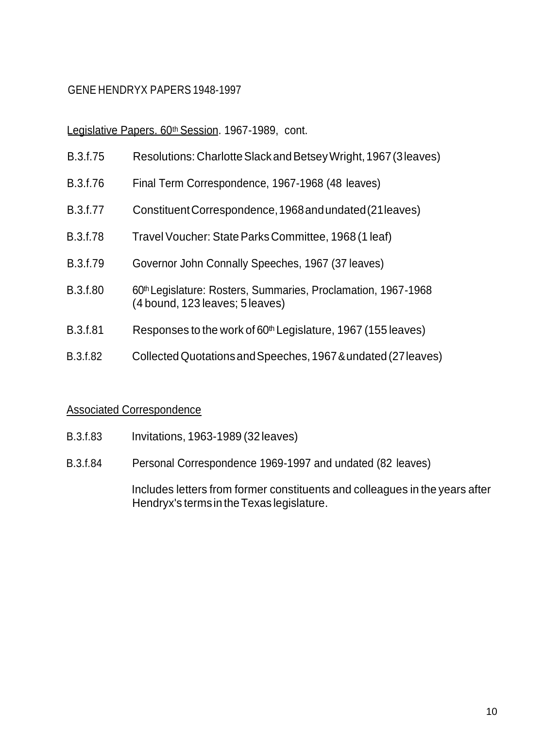Legislative Papers. 60th Session. 1967-1989, cont.

- B.3.f.75 Resolutions: CharlotteSlackandBetseyWright,1967(3leaves)
- B.3.f.76 Final Term Correspondence, 1967-1968 (48 leaves)
- B.3.f.77 ConstituentCorrespondence,1968andundated(21leaves)
- B.3.f.78 Travel Voucher: StateParksCommittee, 1968 (1 leaf)
- B.3.f.79 Governor John Connally Speeches, 1967 (37 leaves)
- B.3.f.80 60<sup>th</sup> Legislature: Rosters, Summaries, Proclamation, 1967-1968 (4 bound, 123 leaves; 5 leaves)
- B.3.f.81 Responses to the work of 60<sup>th</sup> Legislature, 1967 (155 leaves)
- B.3.f.82 CollectedQuotationsandSpeeches,1967&undated (27leaves)

#### Associated Correspondence

- B.3.f.83 Invitations, 1963-1989 (32 leaves)
- B.3.f.84 Personal Correspondence 1969-1997 and undated (82 leaves)

Includes letters from former constituents and colleagues in the years after Hendryx's termsin theTexas legislature.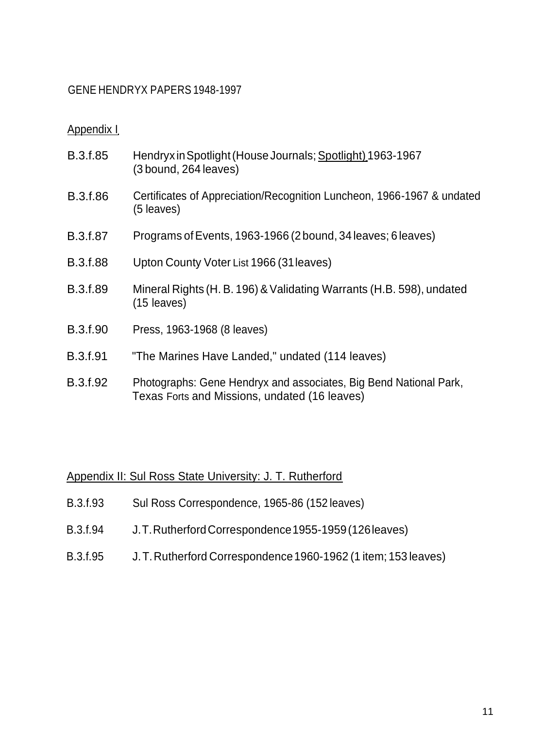#### Appendix I

| B.3.f.85        | Hendryx in Spotlight (House Journals; Spotlight) 1963-1967<br>(3 bound, 264 leaves)                                |
|-----------------|--------------------------------------------------------------------------------------------------------------------|
| B.3.f.86        | Certificates of Appreciation/Recognition Luncheon, 1966-1967 & undated<br>(5 leaves)                               |
| <b>B.3.f.87</b> | Programs of Events, 1963-1966 (2 bound, 34 leaves; 6 leaves)                                                       |
| <b>B.3.f.88</b> | Upton County Voter List 1966 (31 leaves)                                                                           |
| B.3.f.89        | Mineral Rights (H. B. 196) & Validating Warrants (H.B. 598), undated<br>$(15$ leaves)                              |
| B.3.f.90        | Press, 1963-1968 (8 leaves)                                                                                        |
| <b>B.3.f.91</b> | "The Marines Have Landed," undated (114 leaves)                                                                    |
| B.3.f.92        | Photographs: Gene Hendryx and associates, Big Bend National Park,<br>Texas Forts and Missions, undated (16 leaves) |

## Appendix II: Sul Ross State University: J. T. Rutherford

- B.3.f.93 Sul Ross Correspondence, 1965-86 (152 leaves)
- B.3.f.94 J.T.RutherfordCorrespondence1955-1959(126leaves)
- B.3.f.95 J.T.Rutherford Correspondence1960-1962 (1 item; 153 leaves)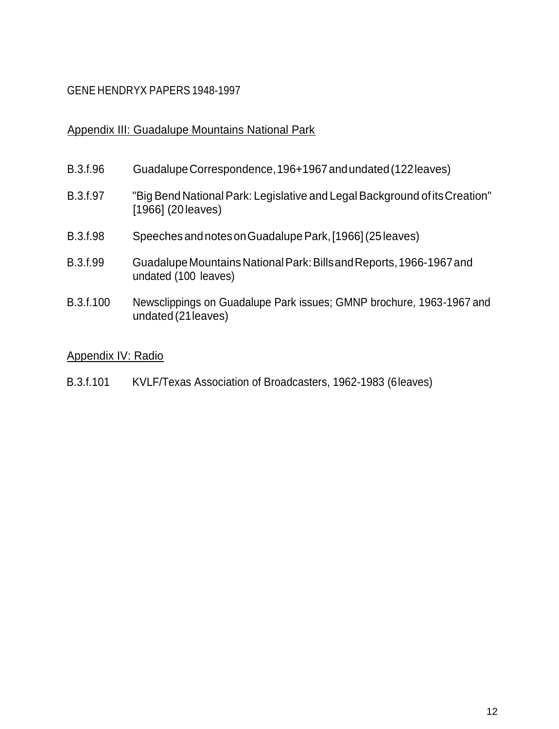## Appendix III: Guadalupe Mountains National Park

| B.3.f.96  | Guadalupe Correspondence, 196+1967 and undated (122 leaves)                                      |
|-----------|--------------------------------------------------------------------------------------------------|
| B.3.f.97  | "Big Bend National Park: Legislative and Legal Background of its Creation"<br>[1966] (20 leaves) |
| B.3.f.98  | Speeches and notes on Guadalupe Park, [1966] (25 leaves)                                         |
| B.3.f.99  | Guadalupe Mountains National Park: Bills and Reports, 1966-1967 and<br>undated (100 leaves)      |
| B.3.f.100 | Newsclippings on Guadalupe Park issues; GMNP brochure, 1963-1967 and<br>undated (21 leaves)      |

## Appendix IV: Radio

B.3.f.101 KVLF/Texas Association of Broadcasters, 1962-1983 (6leaves)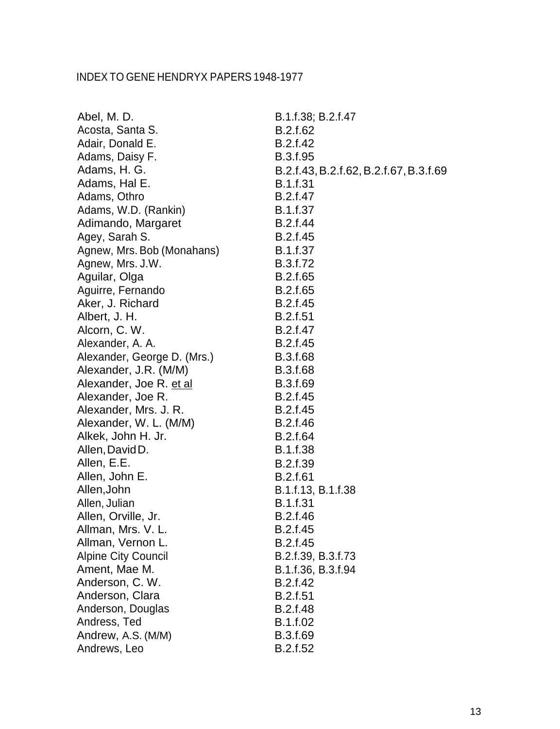| Abel, M. D.                 | B.1.f.38; B.2.f.47                     |
|-----------------------------|----------------------------------------|
| Acosta, Santa S.            | B.2.f.62                               |
| Adair, Donald E.            | B.2.f.42                               |
| Adams, Daisy F.             | B.3.f.95                               |
| Adams, H. G.                | B.2.f.43, B.2.f.62, B.2.f.67, B.3.f.69 |
| Adams, Hal E.               | B.1.f.31                               |
| Adams, Othro                | B.2.f.47                               |
| Adams, W.D. (Rankin)        | B.1.f.37                               |
| Adimando, Margaret          | B.2.f.44                               |
| Agey, Sarah S.              | B.2.f.45                               |
| Agnew, Mrs. Bob (Monahans)  | B.1.f.37                               |
| Agnew, Mrs. J.W.            | B.3.f.72                               |
| Aguilar, Olga               | B.2.f.65                               |
| Aguirre, Fernando           | B.2.f.65                               |
| Aker, J. Richard            | B.2.f.45                               |
| Albert, J. H.               | B.2.f.51                               |
| Alcorn, C. W.               | B.2.f.47                               |
| Alexander, A. A.            | B.2.f.45                               |
| Alexander, George D. (Mrs.) | B.3.f.68                               |
| Alexander, J.R. (M/M)       | <b>B.3.f.68</b>                        |
| Alexander, Joe R. et al     | B.3.f.69                               |
| Alexander, Joe R.           | B.2.f.45                               |
| Alexander, Mrs. J. R.       | B.2.f.45                               |
| Alexander, W. L. (M/M)      | B.2.f.46                               |
| Alkek, John H. Jr.          | B.2.f.64                               |
| Allen, David D.             | B.1.f.38                               |
| Allen, E.E.                 | B.2.f.39                               |
| Allen, John E.              | B.2.f.61                               |
| Allen, John                 | B.1.f.13, B.1.f.38                     |
| Allen, Julian               | B.1.f.31                               |
| Allen, Orville, Jr.         | B.2.f.46                               |
| Allman, Mrs. V. L.          | B.2.f.45                               |
| Allman, Vernon L.           | B.2.f.45                               |
| <b>Alpine City Council</b>  | B.2.f.39, B.3.f.73                     |
| Ament, Mae M.               | B.1.f.36, B.3.f.94                     |
| Anderson, C. W.             | B.2.f.42                               |
| Anderson, Clara             | <b>B.2.f.51</b>                        |
| Anderson, Douglas           | B.2.f.48                               |
| Andress, Ted                | B.1.f.02                               |
| Andrew, A.S. (M/M)          | B.3.f.69                               |
| Andrews, Leo                | B.2.f.52                               |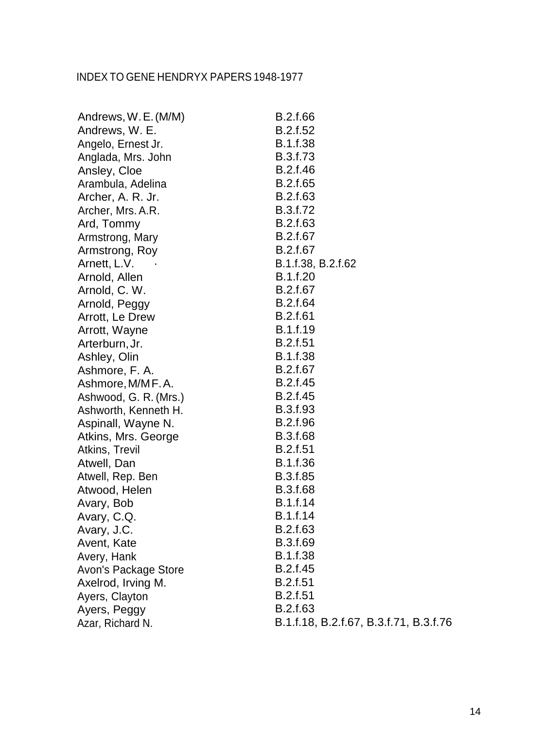| Andrews, W.E. (M/M)   | B.2.f.66                               |
|-----------------------|----------------------------------------|
| Andrews, W. E.        | B.2.f.52                               |
| Angelo, Ernest Jr.    | <b>B.1.f.38</b>                        |
| Anglada, Mrs. John    | B.3.f.73                               |
| Ansley, Cloe          | B.2.f.46                               |
| Arambula, Adelina     | B.2.f.65                               |
| Archer, A. R. Jr.     | B.2.f.63                               |
| Archer, Mrs. A.R.     | B.3.f.72                               |
| Ard, Tommy            | B.2.f.63                               |
| Armstrong, Mary       | B.2.f.67                               |
| Armstrong, Roy        | B.2.f.67                               |
| Arnett, L.V.          | B.1.f.38, B.2.f.62                     |
| Arnold, Allen         | B.1.f.20                               |
| Arnold, C. W.         | B.2.f.67                               |
| Arnold, Peggy         | B.2.f.64                               |
| Arrott, Le Drew       | B.2.f.61                               |
| Arrott, Wayne         | B.1.f.19                               |
| Arterburn, Jr.        | B.2.f.51                               |
| Ashley, Olin          | <b>B.1.f.38</b>                        |
| Ashmore, F. A.        | B.2.f.67                               |
| Ashmore, M/MF.A.      | B.2.f.45                               |
| Ashwood, G. R. (Mrs.) | B.2.f.45                               |
| Ashworth, Kenneth H.  | B.3.f.93                               |
| Aspinall, Wayne N.    | B.2.f.96                               |
| Atkins, Mrs. George   | <b>B.3.f.68</b>                        |
| Atkins, Trevil        | B.2.f.51                               |
| Atwell, Dan           | B.1.f.36                               |
| Atwell, Rep. Ben      | B.3.f.85                               |
| Atwood, Helen         | B.3.f.68                               |
| Avary, Bob            | B.1.f.14                               |
| Avary, C.Q.           | B.1.f.14                               |
| Avary, J.C.           | B.2.f.63                               |
| Avent, Kate           | B.3.f.69                               |
| Avery, Hank           | B.1.f.38                               |
| Avon's Package Store  | B.2.f.45                               |
| Axelrod, Irving M.    | B.2.f.51                               |
| Ayers, Clayton        | B.2.f.51                               |
| Ayers, Peggy          | B.2.f.63                               |
| Azar, Richard N.      | B.1.f.18, B.2.f.67, B.3.f.71, B.3.f.76 |
|                       |                                        |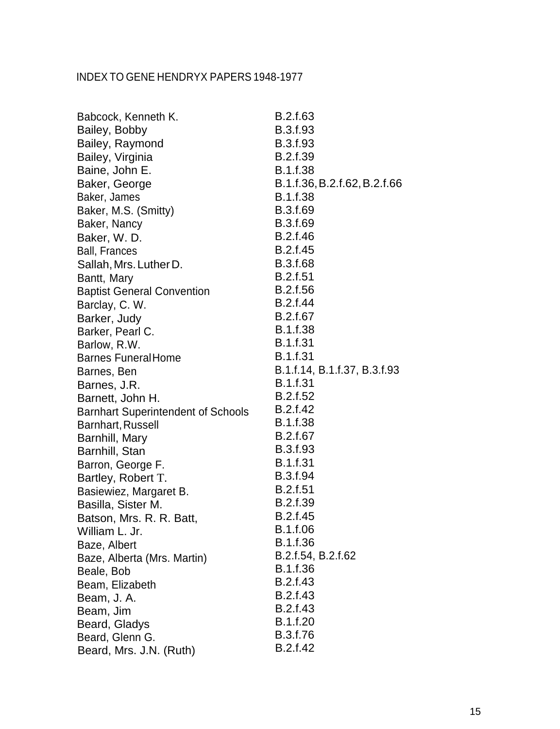| Babcock, Kenneth K.                       | B.2.f.63                     |
|-------------------------------------------|------------------------------|
| Bailey, Bobby                             | B.3.f.93                     |
| Bailey, Raymond                           | B.3.f.93                     |
| Bailey, Virginia                          | <b>B.2.f.39</b>              |
| Baine, John E.                            | B.1.f.38                     |
| Baker, George                             | B.1.f.36, B.2.f.62, B.2.f.66 |
| Baker, James                              | <b>B.1.f.38</b>              |
| Baker, M.S. (Smitty)                      | B.3.f.69                     |
| Baker, Nancy                              | B.3.f.69                     |
| Baker, W.D.                               | B.2.f.46                     |
| <b>Ball, Frances</b>                      | B.2.f.45                     |
| Sallah, Mrs. Luther D.                    | B.3.f.68                     |
| Bantt, Mary                               | <b>B.2.f.51</b>              |
| <b>Baptist General Convention</b>         | B.2.f.56                     |
| Barclay, C. W.                            | B.2.f.44                     |
| Barker, Judy                              | B.2.f.67                     |
| Barker, Pearl C.                          | B.1.f.38                     |
| Barlow, R.W.                              | B.1.f.31                     |
| <b>Barnes Funeral Home</b>                | B.1.f.31                     |
| Barnes, Ben                               | B.1.f.14, B.1.f.37, B.3.f.93 |
| Barnes, J.R.                              | B.1.f.31                     |
| Barnett, John H.                          | B.2.f.52                     |
| <b>Barnhart Superintendent of Schools</b> | B.2.f.42                     |
| Barnhart, Russell                         | B.1.f.38                     |
| Barnhill, Mary                            | B.2.f.67                     |
| Barnhill, Stan                            | B.3.f.93                     |
| Barron, George F.                         | B.1.f.31                     |
| Bartley, Robert T.                        | B.3.f.94                     |
| Basiewiez, Margaret B.                    | B.2.f.51                     |
| Basilla, Sister M.                        | B.2.f.39                     |
| Batson, Mrs. R. R. Batt.                  | B.2.f.45<br>B.1.f.06         |
| William L. Jr.                            | B.1.f.36                     |
| Baze, Albert                              | B.2.f.54, B.2.f.62           |
| Baze, Alberta (Mrs. Martin)               | B.1.f.36                     |
| Beale, Bob                                | B.2.f.43                     |
| Beam, Elizabeth                           | B.2.f.43                     |
| Beam, J. A.                               | B.2.f.43                     |
| Beam, Jim                                 | B.1.f.20                     |
| Beard, Gladys                             | B.3.f.76                     |
| Beard, Glenn G.                           | B.2.f.42                     |
| Beard, Mrs. J.N. (Ruth)                   |                              |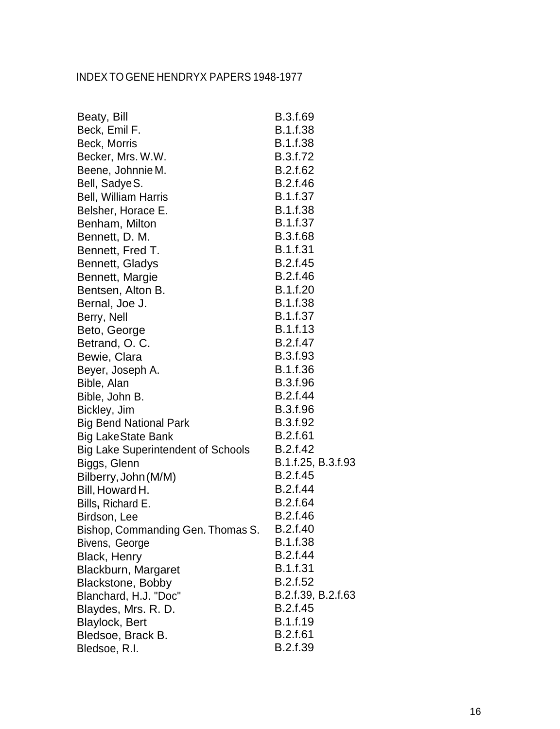| Beaty, Bill                               | B.3.f.69           |
|-------------------------------------------|--------------------|
| Beck, Emil F.                             | <b>B.1.f.38</b>    |
| Beck, Morris                              | <b>B.1.f.38</b>    |
| Becker, Mrs. W.W.                         | B.3.f.72           |
| Beene, Johnnie M.                         | B.2.f.62           |
| Bell, Sadye S.                            | B.2.f.46           |
| Bell, William Harris                      | B.1.f.37           |
| Belsher, Horace E.                        | <b>B.1.f.38</b>    |
| Benham, Milton                            | <b>B.1.f.37</b>    |
| Bennett, D. M.                            | <b>B.3.f.68</b>    |
| Bennett, Fred T.                          | <b>B.1.f.31</b>    |
| Bennett, Gladys                           | B.2.f.45           |
| Bennett, Margie                           | B.2.f.46           |
| Bentsen, Alton B.                         | B.1.f.20           |
| Bernal, Joe J.                            | B.1.f.38           |
| Berry, Nell                               | B.1.f.37           |
| Beto, George                              | <b>B.1.f.13</b>    |
| Betrand, O. C.                            | B.2.f.47           |
| Bewie, Clara                              | B.3.f.93           |
| Beyer, Joseph A.                          | B.1.f.36           |
| Bible, Alan                               | B.3.f.96           |
| Bible, John B.                            | B.2.f.44           |
| Bickley, Jim                              | B.3.f.96           |
| <b>Big Bend National Park</b>             | B.3.f.92           |
| <b>Big LakeState Bank</b>                 | <b>B.2.f.61</b>    |
| <b>Big Lake Superintendent of Schools</b> | B.2.f.42           |
| Biggs, Glenn                              | B.1.f.25, B.3.f.93 |
| Bilberry, John (M/M)                      | B.2.f.45           |
| Bill, Howard H.                           | B.2.f.44           |
| Bills, Richard E.                         | <b>B.2.f.64</b>    |
| Birdson, Lee                              | B.2.f.46           |
| Bishop, Commanding Gen. Thomas S.         | B.2.f.40           |
| Bivens, George                            | B.1.f.38           |
| Black, Henry                              | <b>B.2.f.44</b>    |
| Blackburn, Margaret                       | B.1.f.31           |
| <b>Blackstone, Bobby</b>                  | B.2.f.52           |
| Blanchard, H.J. "Doc"                     | B.2.f.39, B.2.f.63 |
| Blaydes, Mrs. R. D.                       | B.2.f.45           |
| <b>Blaylock, Bert</b>                     | B.1.f.19           |
| Bledsoe, Brack B.                         | B.2.f.61           |
| Bledsoe, R.I.                             | B.2.f.39           |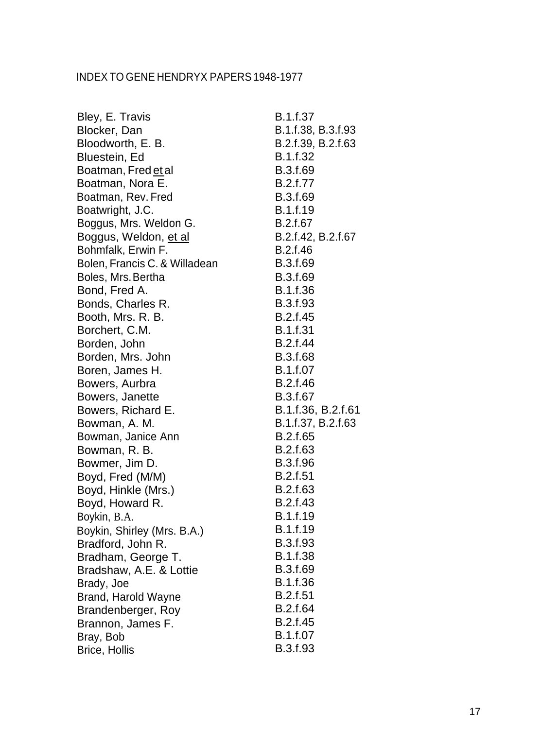| Bley, E. Travis               | <b>B.1.f.37</b>    |
|-------------------------------|--------------------|
| Blocker, Dan                  | B.1.f.38, B.3.f.93 |
| Bloodworth, E. B.             | B.2.f.39, B.2.f.63 |
| Bluestein, Ed                 | B.1.f.32           |
| Boatman, Fred et al           | B.3.f.69           |
| Boatman, Nora E.              | B.2.f.77           |
| Boatman, Rev. Fred            | B.3.f.69           |
| Boatwright, J.C.              | B.1.f.19           |
| Boggus, Mrs. Weldon G.        | B.2.f.67           |
| Boggus, Weldon, et al         | B.2.f.42, B.2.f.67 |
| Bohmfalk, Erwin F.            | B.2.f.46           |
| Bolen, Francis C. & Willadean | B.3.f.69           |
| Boles, Mrs. Bertha            | B.3.f.69           |
| Bond, Fred A.                 | B.1.f.36           |
| Bonds, Charles R.             | B.3.f.93           |
| Booth, Mrs. R. B.             | B.2.f.45           |
| Borchert, C.M.                | <b>B.1.f.31</b>    |
| Borden, John                  | B.2.f.44           |
| Borden, Mrs. John             | <b>B.3.f.68</b>    |
| Boren, James H.               | B.1.f.07           |
| Bowers, Aurbra                | B.2.f.46           |
| Bowers, Janette               | B.3.f.67           |
| Bowers, Richard E.            | B.1.f.36, B.2.f.61 |
| Bowman, A. M.                 | B.1.f.37, B.2.f.63 |
| Bowman, Janice Ann            | B.2.f.65           |
| Bowman, R. B.                 | B.2.f.63           |
| Bowmer, Jim D.                | B.3.f.96           |
| Boyd, Fred (M/M)              | <b>B.2.f.51</b>    |
| Boyd, Hinkle (Mrs.)           | B.2.f.63           |
| Boyd, Howard R.               | B.2.f.43           |
| Boykin, B.A.                  | <b>B.1.f.19</b>    |
| Boykin, Shirley (Mrs. B.A.)   | B.1.f.19           |
| Bradford, John R.             | B.3.f.93           |
| Bradham, George T.            | B.1.f.38           |
| Bradshaw, A.E. & Lottie       | B.3.f.69           |
| Brady, Joe                    | B.1.f.36           |
| Brand, Harold Wayne           | <b>B.2.f.51</b>    |
| Brandenberger, Roy            | B.2.f.64           |
| Brannon, James F.             | B.2.f.45           |
| Bray, Bob                     | B.1.f.07           |
| <b>Brice, Hollis</b>          | B.3.f.93           |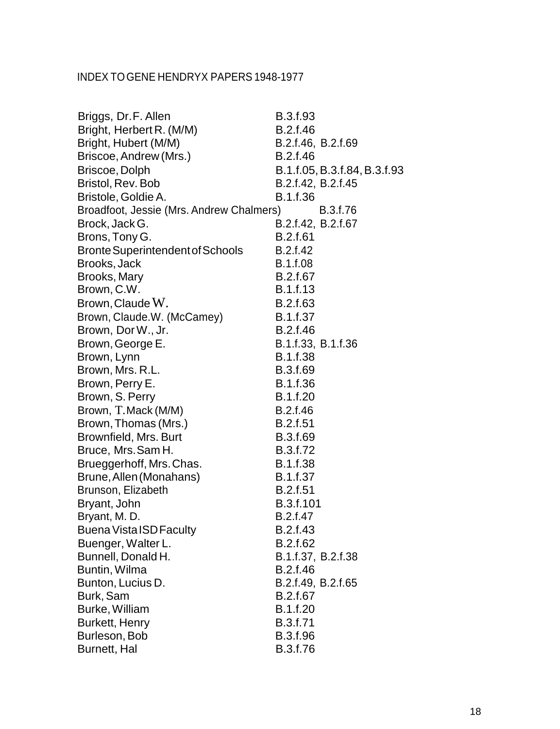| Briggs, Dr.F. Allen                      | B.3.f.93                     |
|------------------------------------------|------------------------------|
| Bright, Herbert R. (M/M)                 | B.2.f.46                     |
| Bright, Hubert (M/M)                     | B.2.f.46, B.2.f.69           |
| Briscoe, Andrew (Mrs.)                   | B.2.f.46                     |
| Briscoe, Dolph                           | B.1.f.05, B.3.f.84, B.3.f.93 |
| Bristol, Rev. Bob                        | B.2.f.42, B.2.f.45           |
| Bristole, Goldie A.                      | B.1.f.36                     |
| Broadfoot, Jessie (Mrs. Andrew Chalmers) | B.3.f.76                     |
| Brock, Jack G.                           | B.2.f.42, B.2.f.67           |
| Brons, Tony G.                           | <b>B.2.f.61</b>              |
| Bronte Superintendent of Schools         | B.2.f.42                     |
| Brooks, Jack                             | B.1.f.08                     |
| Brooks, Mary                             | B.2.f.67                     |
| Brown, C.W.                              | B.1.f.13                     |
| Brown, Claude W.                         | B.2.f.63                     |
| Brown, Claude.W. (McCamey)               | B.1.f.37                     |
| Brown, Dor W., Jr.                       | B.2.f.46                     |
| Brown, George E.                         | B.1.f.33, B.1.f.36           |
| Brown, Lynn                              | B.1.f.38                     |
| Brown, Mrs. R.L.                         | B.3.f.69                     |
| Brown, Perry E.                          | B.1.f.36                     |
| Brown, S. Perry                          | B.1.f.20                     |
| Brown, T.Mack (M/M)                      | B.2.f.46                     |
| Brown, Thomas (Mrs.)                     | <b>B.2.f.51</b>              |
| Brownfield, Mrs. Burt                    | B.3.f.69                     |
| Bruce, Mrs. Sam H.                       | B.3.f.72                     |
| Brueggerhoff, Mrs. Chas.                 | B.1.f.38                     |
| Brune, Allen (Monahans)                  | B.1.f.37                     |
| Brunson, Elizabeth                       | B.2.f.51                     |
| Bryant, John                             | B.3.f.101                    |
| Bryant, M. D.                            | B.2.f.47                     |
| <b>Buena Vista ISD Faculty</b>           | B.2.f.43                     |
| Buenger, Walter L.                       | B.2.f.62                     |
| Bunnell, Donald H.                       | B.1.f.37, B.2.f.38           |
| Buntin, Wilma                            | B.2.f.46                     |
| Bunton, Lucius D.                        | B.2.f.49, B.2.f.65           |
| Burk, Sam                                | B.2.f.67                     |
| Burke, William                           | B.1.f.20                     |
| Burkett, Henry                           | B.3.f.71                     |
| Burleson, Bob                            | B.3.f.96                     |
| Burnett, Hal                             | B.3.f.76                     |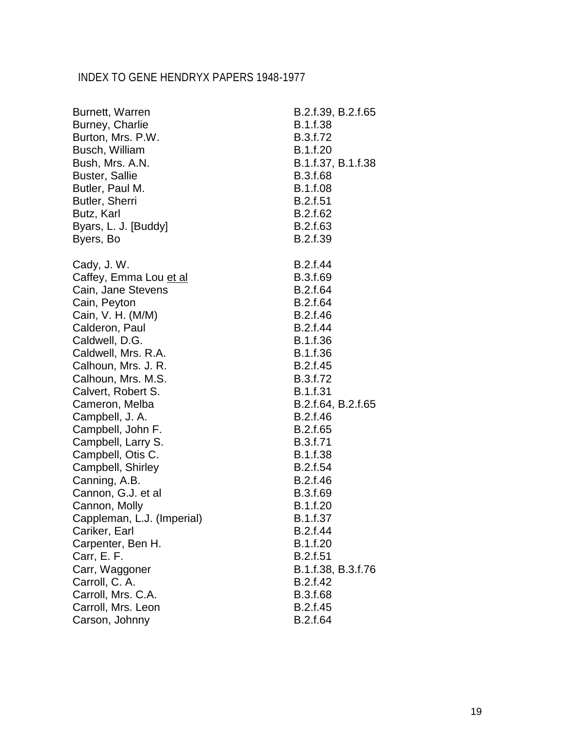| Burnett, Warren            | B.2.f.39, B.2.f.65 |
|----------------------------|--------------------|
| Burney, Charlie            | B.1.f.38           |
| Burton, Mrs. P.W.          | B.3.f.72           |
| Busch, William             | B.1.f.20           |
| Bush, Mrs. A.N.            | B.1.f.37, B.1.f.38 |
| <b>Buster, Sallie</b>      | B.3.f.68           |
| Butler, Paul M.            | B.1.f.08           |
| Butler, Sherri             | B.2.f.51           |
| Butz, Karl                 | B.2.f.62           |
| Byars, L. J. [Buddy]       | B.2.f.63           |
| Byers, Bo                  | B.2.f.39           |
| Cady, J.W.                 | B.2.f.44           |
| Caffey, Emma Lou et al     | B.3.f.69           |
| Cain, Jane Stevens         | B.2.f.64           |
| Cain, Peyton               | B.2.f.64           |
| Cain, V. H. (M/M)          | B.2.f.46           |
| Calderon, Paul             | B.2.f.44           |
| Caldwell, D.G.             | B.1.f.36           |
| Caldwell, Mrs. R.A.        | B.1.f.36           |
| Calhoun, Mrs. J. R.        | B.2.f.45           |
| Calhoun, Mrs. M.S.         | B.3.f.72           |
| Calvert, Robert S.         | B.1.f.31           |
| Cameron, Melba             | B.2.f.64, B.2.f.65 |
| Campbell, J. A.            | B.2.f.46           |
| Campbell, John F.          | B.2.f.65           |
| Campbell, Larry S.         | B.3.f.71           |
| Campbell, Otis C.          | B.1.f.38           |
| Campbell, Shirley          | B.2.f.54           |
| Canning, A.B.              | B.2.f.46           |
| Cannon, G.J. et al         | B.3.f.69           |
| Cannon, Molly              | B.1.f.20           |
| Cappleman, L.J. (Imperial) | B.1.f.37           |
| Cariker, Earl              | B.2.f.44           |
| Carpenter, Ben H.          | B.1.f.20           |
| Carr, E. F.                | B.2.f.51           |
| Carr, Waggoner             | B.1.f.38, B.3.f.76 |
| Carroll, C. A.             | B.2.f.42           |
| Carroll, Mrs. C.A.         | B.3.f.68           |
| Carroll, Mrs. Leon         | B.2.f.45           |
| Carson, Johnny             | B.2.f.64           |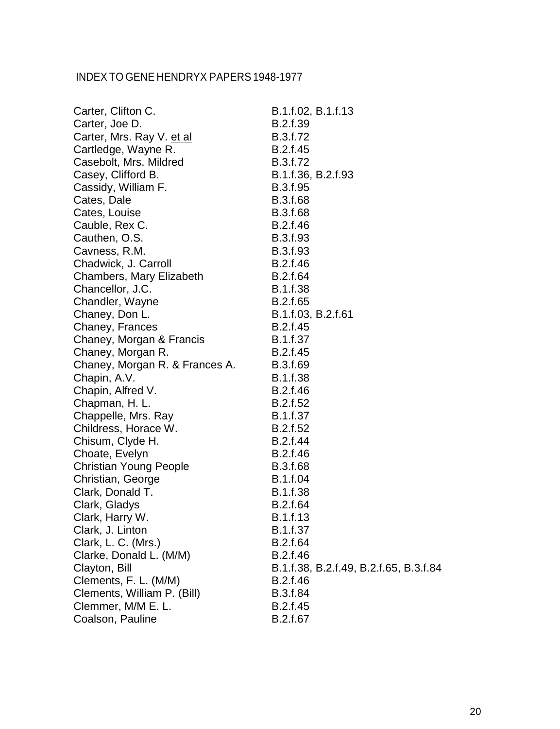| Carter, Clifton C.             | B.1.f.02, B.1.f.13                     |
|--------------------------------|----------------------------------------|
| Carter, Joe D.                 | B.2.f.39                               |
| Carter, Mrs. Ray V. et al      | B.3.f.72                               |
| Cartledge, Wayne R.            | B.2.f.45                               |
| Casebolt, Mrs. Mildred         | B.3.f.72                               |
| Casey, Clifford B.             | B.1.f.36, B.2.f.93                     |
| Cassidy, William F.            | B.3.f.95                               |
| Cates, Dale                    | <b>B.3.f.68</b>                        |
| Cates, Louise                  | B.3.f.68                               |
| Cauble, Rex C.                 | B.2.f.46                               |
| Cauthen, O.S.                  | B.3.f.93                               |
| Cavness, R.M.                  | B.3.f.93                               |
| Chadwick, J. Carroll           | B.2.f.46                               |
| Chambers, Mary Elizabeth       | B.2.f.64                               |
| Chancellor, J.C.               | B.1.f.38                               |
| Chandler, Wayne                | B.2.f.65                               |
| Chaney, Don L.                 | B.1.f.03, B.2.f.61                     |
| Chaney, Frances                | B.2.f.45                               |
| Chaney, Morgan & Francis       | B.1.f.37                               |
| Chaney, Morgan R.              | B.2.f.45                               |
| Chaney, Morgan R. & Frances A. | B.3.f.69                               |
| Chapin, A.V.                   | B.1.f.38                               |
| Chapin, Alfred V.              | B.2.f.46                               |
| Chapman, H. L.                 | B.2.f.52                               |
| Chappelle, Mrs. Ray            | B.1.f.37                               |
| Childress, Horace W.           | B.2.f.52                               |
| Chisum, Clyde H.               | B.2.f.44                               |
| Choate, Evelyn                 | B.2.f.46                               |
| <b>Christian Young People</b>  | B.3.f.68                               |
| Christian, George              | B.1.f.04                               |
| Clark, Donald T.               | B.1.f.38                               |
| Clark, Gladys                  | B.2.f.64                               |
| Clark, Harry W.                | B.1.f.13                               |
| Clark, J. Linton               | B.1.f.37                               |
| Clark, L. C. (Mrs.)            | B.2.f.64                               |
| Clarke, Donald L. (M/M)        | B.2.f.46                               |
| Clayton, Bill                  | B.1.f.38, B.2.f.49, B.2.f.65, B.3.f.84 |
| Clements, F. L. (M/M)          | B.2.f.46                               |
| Clements, William P. (Bill)    | B.3.f.84                               |
| Clemmer, M/M E. L.             | B.2.f.45                               |
| Coalson, Pauline               | B.2.f.67                               |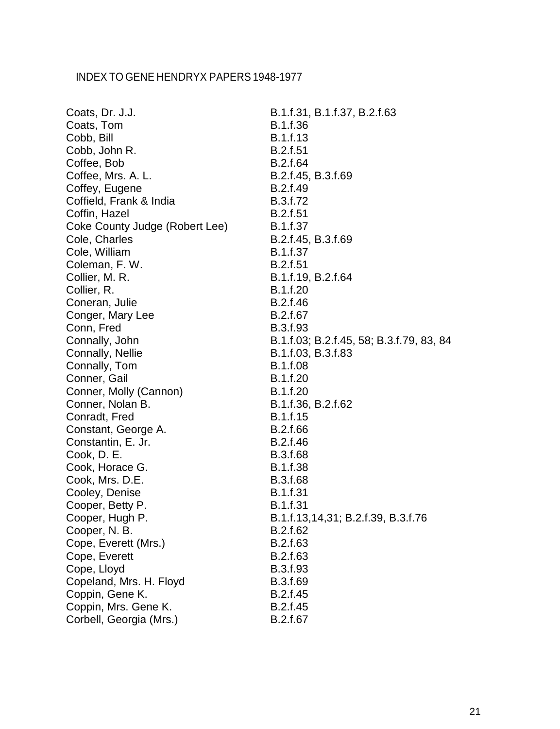| Coats, Dr. J.J.                | B.1.f.31, B.1.f.37, B.2.f.63             |
|--------------------------------|------------------------------------------|
| Coats, Tom                     | B.1.f.36                                 |
| Cobb, Bill                     | B.1.f.13                                 |
| Cobb, John R.                  | B.2.f.51                                 |
| Coffee, Bob                    | B.2.f.64                                 |
| Coffee, Mrs. A. L.             | B.2.f.45, B.3.f.69                       |
| Coffey, Eugene                 | B.2.f.49                                 |
| Coffield, Frank & India        | B.3.f.72                                 |
| Coffin, Hazel                  | B.2.f.51                                 |
| Coke County Judge (Robert Lee) | B.1.f.37                                 |
| Cole, Charles                  | B.2.f.45, B.3.f.69                       |
| Cole, William                  | B.1.f.37                                 |
| Coleman, F.W.                  | B.2.f.51                                 |
| Collier, M. R.                 | B.1.f.19, B.2.f.64                       |
| Collier, R.                    | B.1.f.20                                 |
| Coneran, Julie                 | B.2.f.46                                 |
| Conger, Mary Lee               | B.2.f.67                                 |
| Conn, Fred                     | B.3.f.93                                 |
| Connally, John                 | B.1.f.03; B.2.f.45, 58; B.3.f.79, 83, 84 |
| Connally, Nellie               | B.1.f.03, B.3.f.83                       |
| Connally, Tom                  | B.1.f.08                                 |
| Conner, Gail                   | B.1.f.20                                 |
| Conner, Molly (Cannon)         | B.1.f.20                                 |
| Conner, Nolan B.               | B.1.f.36, B.2.f.62                       |
| Conradt, Fred                  | B.1.f.15                                 |
| Constant, George A.            | B.2.f.66                                 |
| Constantin, E. Jr.             | B.2.f.46                                 |
| Cook, D. E.                    | B.3.f.68                                 |
| Cook, Horace G.                | B.1.f.38                                 |
| Cook, Mrs. D.E.                | B.3.f.68                                 |
| Cooley, Denise                 | B.1.f.31                                 |
| Cooper, Betty P.               | B.1.f.31                                 |
| Cooper, Hugh P.                | B.1.f.13,14,31; B.2.f.39, B.3.f.76       |
| Cooper, N. B.                  | B.2.f.62                                 |
| Cope, Everett (Mrs.)           | B.2.f.63                                 |
| Cope, Everett                  | B.2.f.63                                 |
| Cope, Lloyd                    | B.3.f.93                                 |
| Copeland, Mrs. H. Floyd        | B.3.f.69                                 |
| Coppin, Gene K.                | B.2.f.45                                 |
| Coppin, Mrs. Gene K.           | B.2.f.45                                 |
| Corbell, Georgia (Mrs.)        | B.2.f.67                                 |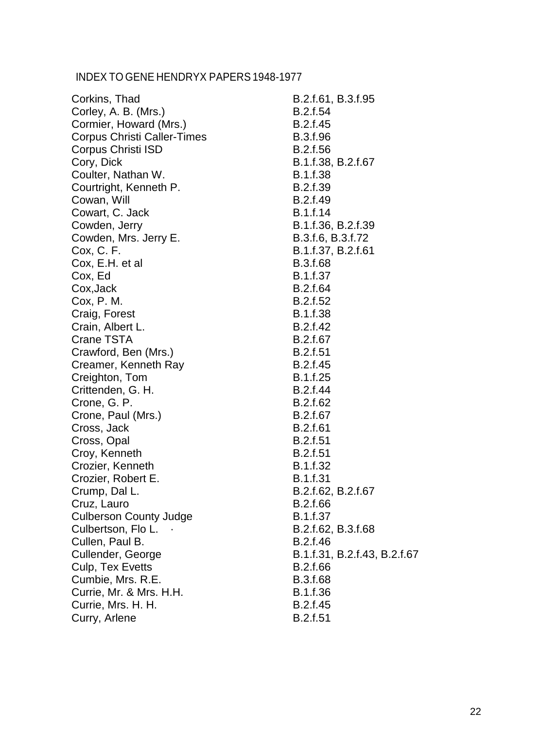| Corkins, Thad                      | B.2.f.61, B.3.f.95           |
|------------------------------------|------------------------------|
| Corley, A. B. (Mrs.)               | B.2.f.54                     |
| Cormier, Howard (Mrs.)             | B.2.f.45                     |
| <b>Corpus Christi Caller-Times</b> | B.3.f.96                     |
| Corpus Christi ISD                 | B.2.f.56                     |
| Cory, Dick                         | B.1.f.38, B.2.f.67           |
| Coulter, Nathan W.                 | B.1.f.38                     |
| Courtright, Kenneth P.             | B.2.f.39                     |
| Cowan, Will                        | B.2.f.49                     |
| Cowart, C. Jack                    | B.1.f.14                     |
| Cowden, Jerry                      | B.1.f.36, B.2.f.39           |
| Cowden, Mrs. Jerry E.              | B.3.f.6, B.3.f.72            |
| Cox, C. F.                         | B.1.f.37, B.2.f.61           |
| Cox, E.H. et al                    | B.3.f.68                     |
| Cox, Ed                            | B.1.f.37                     |
| Cox, Jack                          | B.2.f.64                     |
| Cox, P. M.                         | B.2.f.52                     |
| Craig, Forest                      | B.1.f.38                     |
| Crain, Albert L.                   | B.2.f.42                     |
| Crane TSTA                         | B.2.f.67                     |
| Crawford, Ben (Mrs.)               | <b>B.2.f.51</b>              |
| Creamer, Kenneth Ray               | B.2.f.45                     |
| Creighton, Tom                     | B.1.f.25                     |
| Crittenden, G. H.                  | B.2.f.44                     |
| Crone, G. P.                       | B.2.f.62                     |
| Crone, Paul (Mrs.)                 | B.2.f.67                     |
| Cross, Jack                        | <b>B.2.f.61</b>              |
| Cross, Opal                        | B.2.f.51                     |
| Croy, Kenneth                      | <b>B.2.f.51</b>              |
| Crozier, Kenneth                   | B.1.f.32                     |
| Crozier, Robert E.                 | B.1.f.31                     |
| Crump, Dal L.                      | B.2.f.62, B.2.f.67           |
| Cruz, Lauro                        | B.2.f.66                     |
| <b>Culberson County Judge</b>      | B.1.f.37                     |
| Culbertson, Flo L.                 | B.2.f.62, B.3.f.68           |
| Cullen, Paul B.                    | B.2.f.46                     |
| Cullender, George                  | B.1.f.31, B.2.f.43, B.2.f.67 |
| Culp, Tex Evetts                   | B.2.f.66                     |
| Cumbie, Mrs. R.E.                  | B.3.f.68                     |
| Currie, Mr. & Mrs. H.H.            | B.1.f.36                     |
| Currie, Mrs. H. H.                 | B.2.f.45                     |
| Curry, Arlene                      | B.2.f.51                     |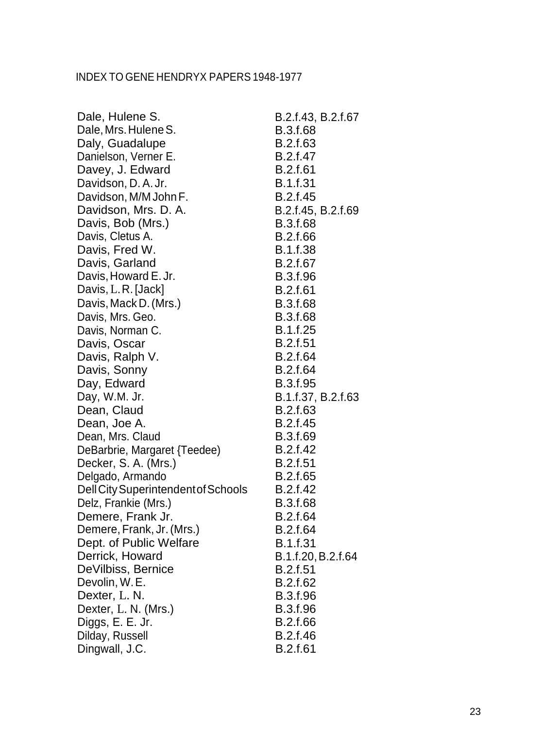| Dale, Hulene S.                     | B.2.f.43, B.2.f.67 |
|-------------------------------------|--------------------|
| Dale, Mrs. Hulene S.                | B.3.f.68           |
| Daly, Guadalupe                     | B.2.f.63           |
| Danielson, Verner E.                | B.2.f.47           |
| Davey, J. Edward                    | B.2.f.61           |
| Davidson, D.A.Jr.                   | <b>B.1.f.31</b>    |
| Davidson, M/M John F.               | B.2.f.45           |
| Davidson, Mrs. D. A.                | B.2.f.45, B.2.f.69 |
| Davis, Bob (Mrs.)                   | <b>B.3.f.68</b>    |
| Davis, Cletus A.                    | B.2.f.66           |
| Davis, Fred W.                      | <b>B.1.f.38</b>    |
| Davis, Garland                      | B.2.f.67           |
| Davis, Howard E. Jr.                | B.3.f.96           |
| Davis, L.R. [Jack]                  | <b>B.2.f.61</b>    |
| Davis, Mack D. (Mrs.)               | B.3.f.68           |
| Davis, Mrs. Geo.                    | <b>B.3.f.68</b>    |
| Davis, Norman C.                    | B.1.f.25           |
| Davis, Oscar                        | <b>B.2.f.51</b>    |
| Davis, Ralph V.                     | B.2.f.64           |
| Davis, Sonny                        | B.2.f.64           |
| Day, Edward                         | B.3.f.95           |
| Day, W.M. Jr.                       | B.1.f.37, B.2.f.63 |
| Dean, Claud                         | B.2.f.63           |
| Dean, Joe A.                        | B.2.f.45           |
| Dean, Mrs. Claud                    | B.3.f.69           |
| DeBarbrie, Margaret {Teedee}        | B.2.f.42           |
| Decker, S. A. (Mrs.)                | <b>B.2.f.51</b>    |
| Delgado, Armando                    | B.2.f.65           |
| Dell City Superintendent of Schools | B.2.f.42           |
| Delz, Frankie (Mrs.)                | B.3.f.68           |
| Demere, Frank Jr.                   | B.2.f.64           |
| Demere, Frank, Jr. (Mrs.)           | B.2.f.64           |
| Dept. of Public Welfare             | B.1.f.31           |
| Derrick, Howard                     | B.1.f.20, B.2.f.64 |
| DeVilbiss, Bernice                  | B.2.f.51           |
| Devolin, W.E.                       | B.2.f.62           |
| Dexter, L. N.                       | <b>B.3.f.96</b>    |
| Dexter, L. N. (Mrs.)                | B.3.f.96           |
| Diggs, E. E. Jr.                    | B.2.f.66           |
| Dilday, Russell                     | B.2.f.46           |
| Dingwall, J.C.                      | <b>B.2.f.61</b>    |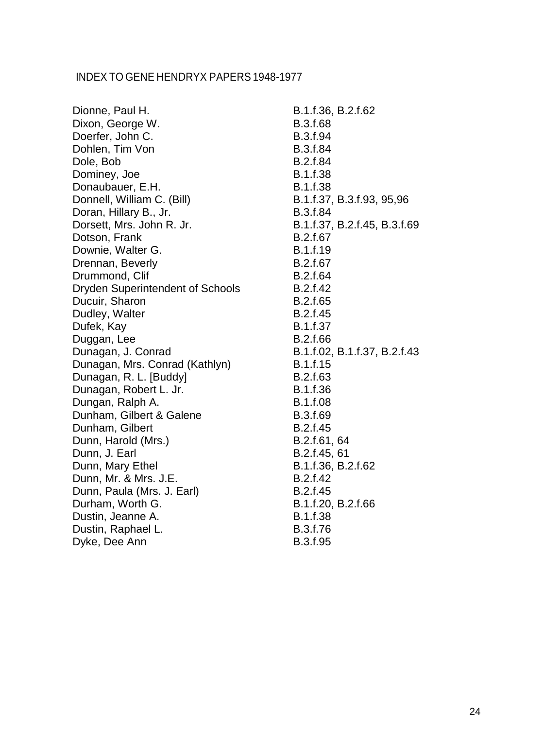| Dionne, Paul H.                         | B.1.f.36, B.2.f.62           |
|-----------------------------------------|------------------------------|
| Dixon, George W.                        | B.3.f.68                     |
| Doerfer, John C.                        | B.3.f.94                     |
| Dohlen, Tim Von                         | B.3.f.84                     |
| Dole, Bob                               | B.2.f.84                     |
| Dominey, Joe                            | B.1.f.38                     |
| Donaubauer, E.H.                        | B.1.f.38                     |
| Donnell, William C. (Bill)              | B.1.f.37, B.3.f.93, 95,96    |
| Doran, Hillary B., Jr.                  | <b>B.3.f.84</b>              |
| Dorsett, Mrs. John R. Jr.               | B.1.f.37, B.2.f.45, B.3.f.69 |
| Dotson, Frank                           | B.2.f.67                     |
| Downie, Walter G.                       | B.1.f.19                     |
| Drennan, Beverly                        | B.2.f.67                     |
| Drummond, Clif                          | B.2.f.64                     |
| <b>Dryden Superintendent of Schools</b> | B.2.f.42                     |
| Ducuir, Sharon                          | B.2.f.65                     |
| Dudley, Walter                          | B.2.f.45                     |
| Dufek, Kay                              | B.1.f.37                     |
| Duggan, Lee                             | B.2.f.66                     |
| Dunagan, J. Conrad                      | B.1.f.02, B.1.f.37, B.2.f.43 |
| Dunagan, Mrs. Conrad (Kathlyn)          | B.1.f.15                     |
| Dunagan, R. L. [Buddy]                  | B.2.f.63                     |
| Dunagan, Robert L. Jr.                  | B.1.f.36                     |
| Dungan, Ralph A.                        | B.1.f.08                     |
| Dunham, Gilbert & Galene                | B.3.f.69                     |
| Dunham, Gilbert                         | B.2.f.45                     |
| Dunn, Harold (Mrs.)                     | B.2.f.61, 64                 |
| Dunn, J. Earl                           | B.2.f.45, 61                 |
| Dunn, Mary Ethel                        | B.1.f.36, B.2.f.62           |
| Dunn, Mr. & Mrs. J.E.                   | B.2.f.42                     |
| Dunn, Paula (Mrs. J. Earl)              | B.2.f.45                     |
| Durham, Worth G.                        | B.1.f.20, B.2.f.66           |
| Dustin, Jeanne A.                       | B.1.f.38                     |
| Dustin, Raphael L.                      | B.3.f.76                     |
| Dyke, Dee Ann                           | B.3.f.95                     |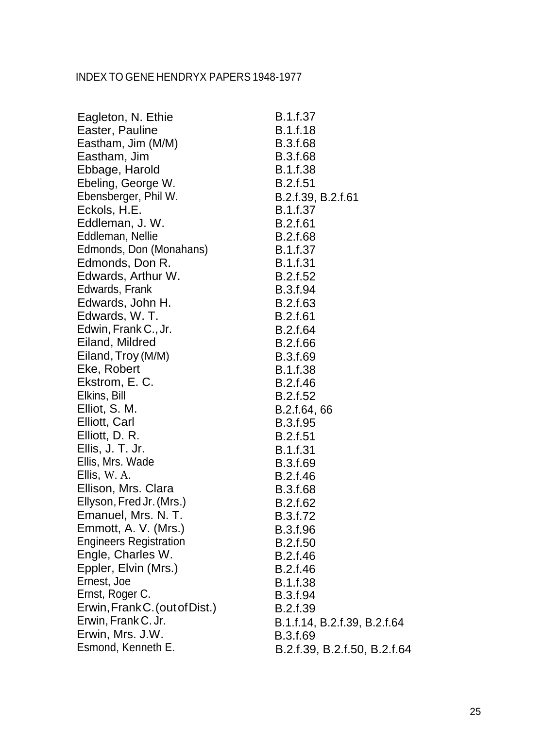| Eagleton, N. Ethie             | B.1.f.37                     |
|--------------------------------|------------------------------|
| Easter, Pauline                | B.1.f.18                     |
| Eastham, Jim (M/M)             | <b>B.3.f.68</b>              |
| Eastham, Jim                   | B.3.f.68                     |
| Ebbage, Harold                 | B.1.f.38                     |
| Ebeling, George W.             | <b>B.2.f.51</b>              |
| Ebensberger, Phil W.           | B.2.f.39, B.2.f.61           |
| Eckols, H.E.                   | B.1.f.37                     |
| Eddleman, J. W.                | B.2.f.61                     |
| Eddleman, Nellie               | <b>B.2.f.68</b>              |
| Edmonds, Don (Monahans)        | <b>B.1.f.37</b>              |
| Edmonds, Don R.                | B.1.f.31                     |
| Edwards, Arthur W.             | <b>B.2.f.52</b>              |
| Edwards, Frank                 | B.3.f.94                     |
| Edwards, John H.               | B.2.f.63                     |
| Edwards, W.T.                  | <b>B.2.f.61</b>              |
| Edwin, Frank C., Jr.           | B.2.f.64                     |
| Eiland, Mildred                | B.2.f.66                     |
| Eiland, Troy (M/M)             | B.3.f.69                     |
| Eke, Robert                    | <b>B.1.f.38</b>              |
| Ekstrom, E. C.                 | B.2.f.46                     |
| Elkins, Bill                   | B.2.f.52                     |
| Elliot, S. M.                  | B.2.f.64, 66                 |
| Elliott, Carl                  | B.3.f.95                     |
| Elliott, D. R.                 | <b>B.2.f.51</b>              |
| Ellis, J. T. Jr.               | <b>B.1.f.31</b>              |
| Ellis, Mrs. Wade               | B.3.f.69                     |
| Ellis, W. A.                   | B.2.f.46                     |
| Ellison, Mrs. Clara            | B.3.f.68                     |
| Ellyson, Fred Jr. (Mrs.)       | B.2.f.62                     |
| Emanuel, Mrs. N. T.            | B.3.f.72                     |
| Emmott, A. V. (Mrs.)           | B.3.f.96                     |
| <b>Engineers Registration</b>  | B.2.f.50                     |
| Engle, Charles W.              | B.2.f.46                     |
| Eppler, Elvin (Mrs.)           | B.2.f.46                     |
| Ernest, Joe                    | <b>B.1.f.38</b>              |
| Ernst, Roger C.                | B.3.f.94                     |
| Erwin, Frank C. (out of Dist.) | B.2.f.39                     |
| Erwin, Frank C. Jr.            | B.1.f.14, B.2.f.39, B.2.f.64 |
| Erwin, Mrs. J.W.               | B.3.f.69                     |
| Esmond, Kenneth E.             | B.2.f.39, B.2.f.50, B.2.f.64 |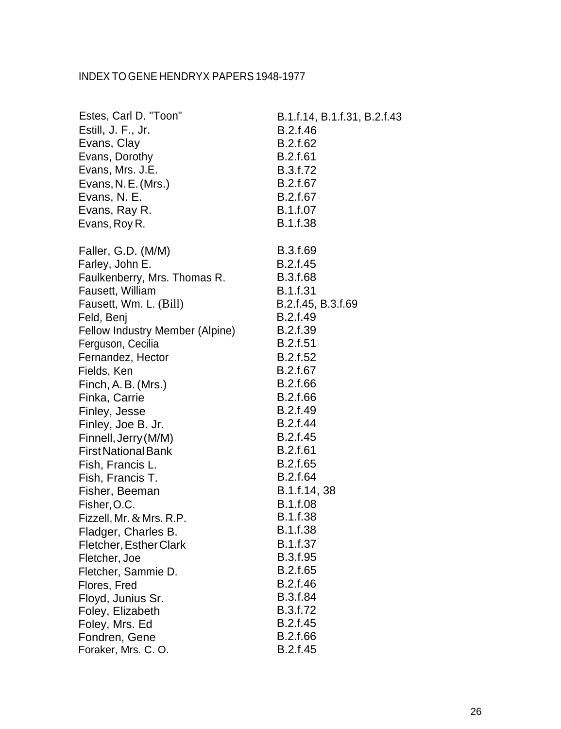| Estes, Carl D. "Toon"           | B.1.f.14, B.1.f.31, B.2.f.43 |
|---------------------------------|------------------------------|
| Estill, J. F., Jr.              | B.2.f.46                     |
| Evans, Clay                     | B.2.f.62                     |
| Evans, Dorothy                  | B.2.f.61                     |
| Evans, Mrs. J.E.                | B.3.f.72                     |
| Evans, N. E. (Mrs.)             | B.2.f.67                     |
| Evans, N. E.                    | B.2.f.67                     |
| Evans, Ray R.                   | B.1.f.07                     |
| Evans, Roy R.                   | B.1.f.38                     |
| Faller, G.D. (M/M)              | B.3.f.69                     |
| Farley, John E.                 | B.2.f.45                     |
| Faulkenberry, Mrs. Thomas R.    | B.3.f.68                     |
| Fausett, William                | B.1.f.31                     |
| Fausett, Wm. L. (Bill)          | B.2.f.45, B.3.f.69           |
| Feld, Benj                      | B.2.f.49                     |
| Fellow Industry Member (Alpine) | B.2.f.39                     |
| Ferguson, Cecilia               | B.2.f.51                     |
| Fernandez, Hector               | B.2.f.52                     |
| Fields, Ken                     | B.2.f.67                     |
| Finch, A. B. (Mrs.)             | B.2.f.66                     |
| Finka, Carrie                   | B.2.f.66                     |
| Finley, Jesse                   | B.2.f.49                     |
| Finley, Joe B. Jr.              | B.2.f.44                     |
| Finnell, Jerry (M/M)            | B.2.f.45                     |
| <b>First National Bank</b>      | B.2.f.61                     |
| Fish, Francis L.                | B.2.f.65                     |
| Fish, Francis T.                | <b>B.2.f.64</b>              |
| Fisher, Beeman                  | B.1.f.14, 38                 |
| Fisher, O.C.                    | <b>B.1.f.08</b>              |
| Fizzell, Mr. & Mrs. R.P         | B.1.f.38                     |
| Fladger, Charles B.             | B.1.f.38                     |
| Fletcher, Esther Clark          | B.1.f.37                     |
| Fletcher, Joe                   | B.3.f.95                     |
| Fletcher, Sammie D.             | B.2.f.65                     |
| Flores, Fred                    | B.2.f.46                     |
| Floyd, Junius Sr.               | B.3.f.84                     |
| Foley, Elizabeth                | B.3.f.72                     |
| Foley, Mrs. Ed                  | B.2.f.45                     |
| Fondren, Gene                   | B.2.f.66                     |
| Foraker, Mrs. C. O.             | B.2.f.45                     |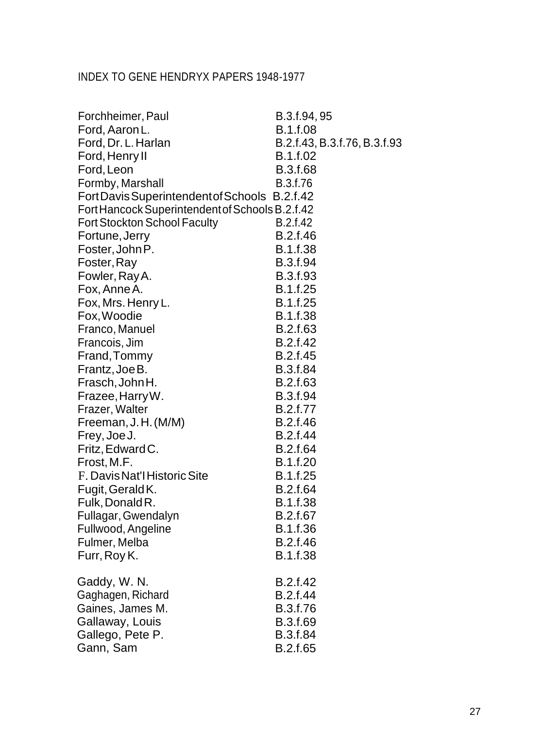| Forchheimer, Paul                               | B.3.f.94, 95                 |
|-------------------------------------------------|------------------------------|
| Ford, Aaron L.                                  | B.1.f.08                     |
| Ford, Dr. L. Harlan                             | B.2.f.43, B.3.f.76, B.3.f.93 |
| Ford, Henry II                                  | B.1.f.02                     |
| Ford, Leon                                      | B.3.f.68                     |
| Formby, Marshall                                | B.3.f.76                     |
| Fort Davis Superintendent of Schools B.2.f.42   |                              |
| Fort Hancock Superintendent of Schools B.2.f.42 |                              |
| <b>Fort Stockton School Faculty</b>             | B.2.f.42                     |
| Fortune, Jerry                                  | B.2.f.46                     |
| Foster, John P.                                 | <b>B.1.f.38</b>              |
| Foster, Ray                                     | <b>B.3.f.94</b>              |
| Fowler, Ray A.                                  | <b>B.3.f.93</b>              |
| Fox, Anne A.                                    | B.1.f.25                     |
| Fox, Mrs. Henry L.                              | B.1.f.25                     |
| Fox, Woodie                                     | <b>B.1.f.38</b>              |
| Franco, Manuel                                  | B.2.f.63                     |
| Francois, Jim                                   | B.2.f.42                     |
| Frand, Tommy                                    | B.2.f.45                     |
| Frantz, Joe B.                                  | <b>B.3.f.84</b>              |
| Frasch, John H.                                 | B.2.f.63                     |
| Frazee, Harry W.                                | <b>B.3.f.94</b>              |
| Frazer, Walter                                  | B.2.f.77                     |
| Freeman, J.H. (M/M)                             | B.2.f.46                     |
| Frey, Joe J.                                    | <b>B.2.f.44</b>              |
| Fritz, Edward C.                                | <b>B.2.f.64</b>              |
| Frost, M.F.                                     | B.1.f.20                     |
| F. Davis Nat'l Historic Site                    | B.1.f.25                     |
| Fugit, Gerald K.                                | B.2.f.64                     |
| Fulk, Donald R.                                 | <b>B.1.f.38</b>              |
| Fullagar, Gwendalyn                             | B.2.f.67                     |
| Fullwood, Angeline                              | B.1.f.36                     |
| Fulmer, Melba                                   | B.2.f.46                     |
| Furr, Roy K.                                    | B.1.f.38                     |
| Gaddy, W. N.                                    | B.2.f.42                     |
| Gaghagen, Richard                               | B.2.f.44                     |
| Gaines, James M.                                | B.3.f.76                     |
| Gallaway, Louis                                 | B.3.f.69                     |
| Gallego, Pete P.                                | B.3.f.84                     |
| Gann, Sam                                       | B.2.f.65                     |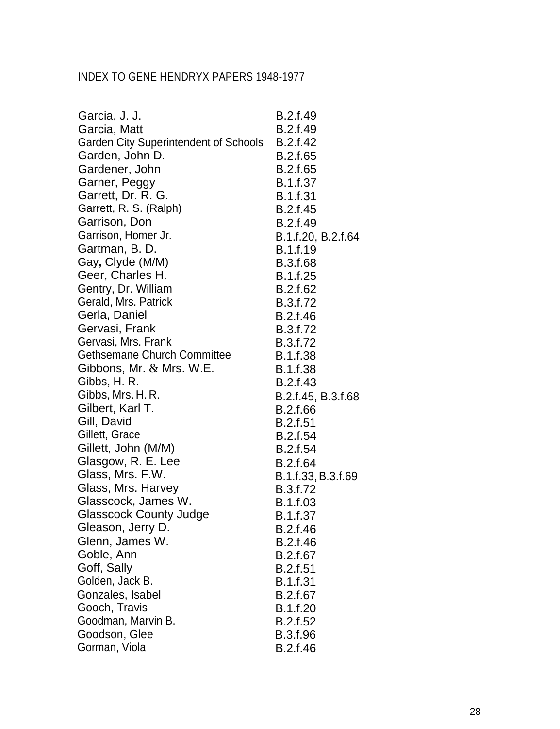| Garcia, J. J.                                | B.2.f.49           |
|----------------------------------------------|--------------------|
| Garcia, Matt                                 | B.2.f.49           |
| <b>Garden City Superintendent of Schools</b> | B.2.f.42           |
| Garden, John D.                              | B.2.f.65           |
| Gardener, John                               | B.2.f.65           |
| Garner, Peggy                                | B.1.f.37           |
| Garrett, Dr. R. G.                           | <b>B.1.f.31</b>    |
| Garrett, R. S. (Ralph)                       | B.2.f.45           |
| Garrison, Don                                | B.2.f.49           |
| Garrison, Homer Jr.                          | B.1.f.20, B.2.f.64 |
| Gartman, B. D.                               | B.1.f.19           |
| Gay, Clyde (M/M)                             | <b>B.3.f.68</b>    |
| Geer, Charles H.                             | B.1.f.25           |
| Gentry, Dr. William                          | B.2.f.62           |
| Gerald, Mrs. Patrick                         | B.3.f.72           |
| Gerla, Daniel                                | B.2.f.46           |
| Gervasi, Frank                               | B.3.f.72           |
| Gervasi, Mrs. Frank                          | B.3.f.72           |
| <b>Gethsemane Church Committee</b>           | B.1.f.38           |
| Gibbons, Mr. $\&$ Mrs. W.E.                  | <b>B.1.f.38</b>    |
| Gibbs, H. R.                                 | B.2.f.43           |
| Gibbs, Mrs. H. R.                            | B.2.f.45, B.3.f.68 |
| Gilbert, Karl T.                             | B.2.f.66           |
| Gill, David                                  | <b>B.2.f.51</b>    |
| Gillett, Grace                               | B.2.f.54           |
| Gillett, John (M/M)                          | B.2.f.54           |
| Glasgow, R. E. Lee                           | B.2.f.64           |
| Glass, Mrs. F.W.                             | B.1.f.33, B.3.f.69 |
| Glass, Mrs. Harvey                           | B.3.f.72           |
| Glasscock, James W.                          | B.1.f.03           |
| <b>Glasscock County Judge</b>                | B.1.f.37           |
| Gleason, Jerry D.                            | B.2.f.46           |
| Glenn, James W.                              | B.2.f.46           |
| Goble, Ann                                   | B.2.f.67           |
| Goff, Sally                                  | B.2.f.51           |
| Golden, Jack B.                              | B.1.f.31           |
| Gonzales, Isabel                             | B.2.f.67           |
| Gooch, Travis                                | B.1.f.20           |
| Goodman, Marvin B.                           | B.2.f.52           |
| Goodson, Glee                                | B.3.f.96           |
| Gorman, Viola                                | B.2.f.46           |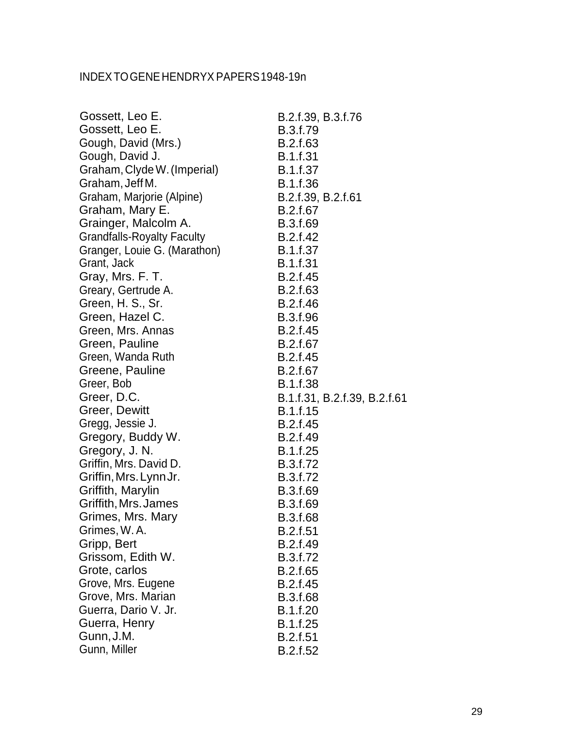## INDEXTOGENEHENDRYX PAPERS1948-19n

| Gossett, Leo E.                   | B.2.f.39, B.3.f.76           |
|-----------------------------------|------------------------------|
| Gossett, Leo E.                   | <b>B.3.f.79</b>              |
| Gough, David (Mrs.)               | B.2.f.63                     |
| Gough, David J.                   | <b>B.1.f.31</b>              |
| Graham, Clyde W. (Imperial)       | B.1.f.37                     |
| Graham, Jeff M.                   | B.1.f.36                     |
| Graham, Marjorie (Alpine)         | B.2.f.39, B.2.f.61           |
| Graham, Mary E.                   | B.2.f.67                     |
| Grainger, Malcolm A.              | B.3.f.69                     |
| <b>Grandfalls-Royalty Faculty</b> | B.2.f.42                     |
| Granger, Louie G. (Marathon)      | <b>B.1.f.37</b>              |
| Grant, Jack                       | <b>B.1.f.31</b>              |
| Gray, Mrs. F. T.                  | B.2.f.45                     |
| Greary, Gertrude A.               | B.2.f.63                     |
| Green, H. S., Sr.                 | B.2.f.46                     |
| Green, Hazel C.                   | <b>B.3.f.96</b>              |
| Green, Mrs. Annas                 | B.2.f.45                     |
| Green, Pauline                    | B.2.f.67                     |
| Green, Wanda Ruth                 | B.2.f.45                     |
| Greene, Pauline                   | B.2.f.67                     |
| Greer, Bob                        | <b>B.1.f.38</b>              |
| Greer, D.C.                       | B.1.f.31, B.2.f.39, B.2.f.61 |
| Greer, Dewitt                     | <b>B.1.f.15</b>              |
| Gregg, Jessie J.                  | B.2.f.45                     |
| Gregory, Buddy W.                 | B.2.f.49                     |
| Gregory, J. N.                    | B.1.f.25                     |
| Griffin, Mrs. David D.            | B.3.f.72                     |
| Griffin, Mrs. Lynn Jr.            | B.3.f.72                     |
| Griffith, Marylin                 | B.3.f.69                     |
| Griffith, Mrs. James              | B.3.f.69                     |
| Grimes, Mrs. Mary                 | B.3.f.68                     |
| Grimes, W.A.                      | <b>B.2.f.51</b>              |
| Gripp, Bert                       | B.2.f.49                     |
| Grissom, Edith W.                 | B.3.f.72                     |
| Grote, carlos                     | B.2.f.65                     |
| Grove, Mrs. Eugene                | B.2.f.45                     |
| Grove, Mrs. Marian                | B.3.f.68                     |
| Guerra, Dario V. Jr.              | B.1.f.20                     |
| Guerra, Henry                     | B.1.f.25                     |
| Gunn, J.M.                        | <b>B.2.f.51</b>              |
| Gunn, Miller                      | B.2.f.52                     |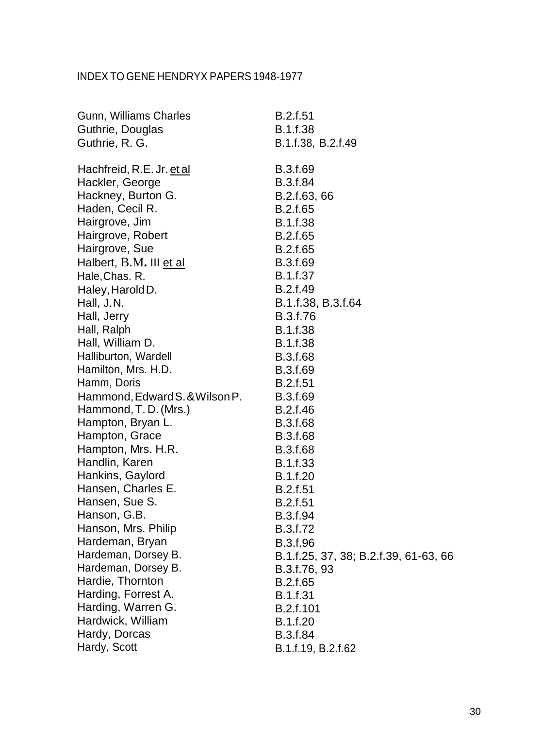| Gunn, Williams Charles         | B.2.f.51                              |
|--------------------------------|---------------------------------------|
| Guthrie, Douglas               | B.1.f.38                              |
| Guthrie, R. G.                 | B.1.f.38, B.2.f.49                    |
| Hachfreid, R.E. Jr. et al      | B.3.f.69                              |
| Hackler, George                | B.3.f.84                              |
| Hackney, Burton G.             | B.2.f.63, 66                          |
| Haden, Cecil R.                | B.2.f.65                              |
| Hairgrove, Jim                 | B.1.f.38                              |
| Hairgrove, Robert              | B.2.f.65                              |
| Hairgrove, Sue                 | B.2.f.65                              |
| Halbert, B.M. III et al        | B.3.f.69                              |
| Hale, Chas. R.                 | B.1.f.37                              |
| Haley, Harold D.               | B.2.f.49                              |
| Hall, J.N.                     | B.1.f.38, B.3.f.64                    |
| Hall, Jerry                    | B.3.f.76                              |
| Hall, Ralph                    | B.1.f.38                              |
| Hall, William D.               | <b>B.1.f.38</b>                       |
| Halliburton, Wardell           | B.3.f.68                              |
| Hamilton, Mrs. H.D.            | B.3.f.69                              |
| Hamm, Doris                    | B.2.f.51                              |
| Hammond, Edward S. & Wilson P. | B.3.f.69                              |
| Hammond, T.D. (Mrs.)           | B.2.f.46                              |
| Hampton, Bryan L.              | <b>B.3.f.68</b>                       |
| Hampton, Grace                 | B.3.f.68                              |
| Hampton, Mrs. H.R.             | <b>B.3.f.68</b>                       |
| Handlin, Karen                 | B.1.f.33                              |
| Hankins, Gaylord               | B.1.f.20                              |
| Hansen, Charles E.             | B.2.f.51                              |
| Hansen, Sue S.                 | <b>B.2.f.51</b>                       |
| Hanson, G.B.                   | B.3.f.94                              |
| Hanson, Mrs. Philip            | B.3.f.72                              |
| Hardeman, Bryan                | B.3.f.96                              |
| Hardeman, Dorsey B.            | B.1.f.25, 37, 38; B.2.f.39, 61-63, 66 |
| Hardeman, Dorsey B.            | B.3.f.76, 93                          |
| Hardie, Thornton               | B.2.f.65                              |
| Harding, Forrest A.            | B.1.f.31                              |
| Harding, Warren G.             | B.2.f.101                             |
| Hardwick, William              | B.1.f.20                              |
| Hardy, Dorcas                  | B.3.f.84                              |
| Hardy, Scott                   | B.1.f.19, B.2.f.62                    |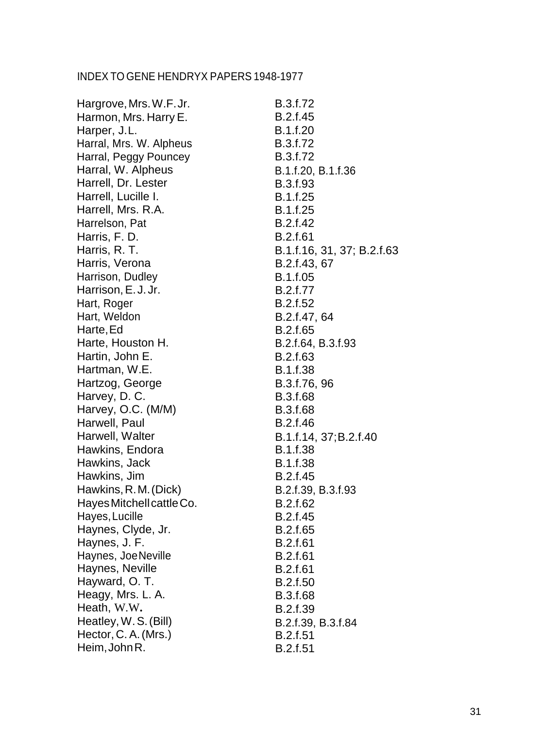| Hargrove, Mrs. W.F. Jr.   | B.3.f.72                   |
|---------------------------|----------------------------|
| Harmon, Mrs. Harry E.     | B.2.f.45                   |
| Harper, J.L.              | B.1.f.20                   |
| Harral, Mrs. W. Alpheus   | B.3.f.72                   |
| Harral, Peggy Pouncey     | B.3.f.72                   |
| Harral, W. Alpheus        | B.1.f.20, B.1.f.36         |
| Harrell, Dr. Lester       | B.3.f.93                   |
| Harrell, Lucille I.       | B.1.f.25                   |
| Harrell, Mrs. R.A.        | B.1.f.25                   |
| Harrelson, Pat            | B.2.f.42                   |
| Harris, F. D.             | B.2.f.61                   |
| Harris, R. T.             | B.1.f.16, 31, 37; B.2.f.63 |
| Harris, Verona            | B.2.f.43, 67               |
| Harrison, Dudley          | B.1.f.05                   |
| Harrison, E.J.Jr.         | B.2.f.77                   |
| Hart, Roger               | B.2.f.52                   |
| Hart, Weldon              | B.2.f.47, 64               |
| Harte, Ed                 | B.2.f.65                   |
| Harte, Houston H.         | B.2.f.64, B.3.f.93         |
| Hartin, John E.           | B.2.f.63                   |
| Hartman, W.E.             | <b>B.1.f.38</b>            |
| Hartzog, George           | B.3.f.76, 96               |
| Harvey, D. C.             | B.3.f.68                   |
| Harvey, O.C. (M/M)        | B.3.f.68                   |
| Harwell, Paul             | B.2.f.46                   |
| Harwell, Walter           | B.1.f.14, 37; B.2.f.40     |
| Hawkins, Endora           | B.1.f.38                   |
| Hawkins, Jack             | B.1.f.38                   |
| Hawkins, Jim              | B.2.f.45                   |
| Hawkins, R.M. (Dick)      | B.2.f.39, B.3.f.93         |
| Hayes Mitchell cattle Co. | B.2.f.62                   |
| Hayes, Lucille            | B.2.f.45                   |
| Haynes, Clyde, Jr.        | B.2.f.65                   |
| Haynes, J. F.             | B.2.f.61                   |
| Haynes, Joe Neville       | <b>B.2.f.61</b>            |
| Haynes, Neville           | B.2.f.61                   |
| Hayward, O. T.            | B.2.f.50                   |
| Heagy, Mrs. L. A.         | B.3.f.68                   |
| Heath, W.W.               | B.2.f.39                   |
| Heatley, W.S. (Bill)      | B.2.f.39, B.3.f.84         |
| Hector, C. A. (Mrs.)      | B.2.f.51                   |
| Heim, John R.             | B.2.f.51                   |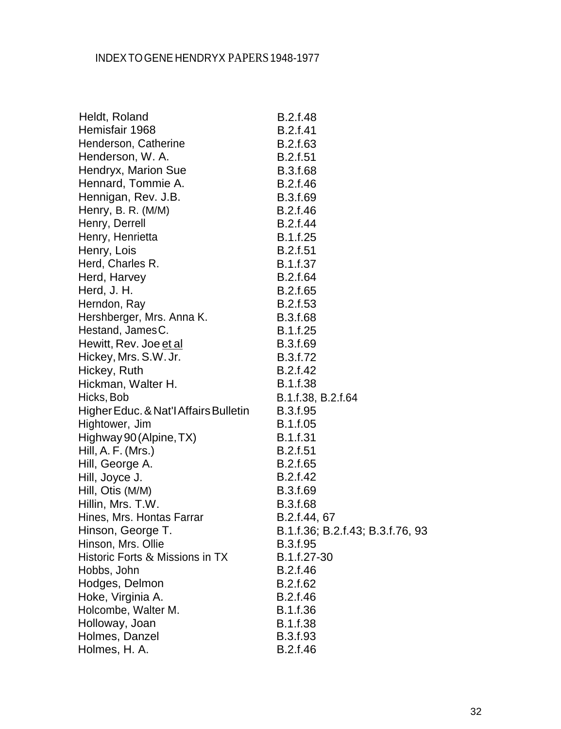| Heldt, Roland                         | <b>B.2.f.48</b>                  |
|---------------------------------------|----------------------------------|
| Hemisfair 1968                        | <b>B.2.f.41</b>                  |
| Henderson, Catherine                  | B.2.f.63                         |
| Henderson, W. A.                      | <b>B.2.f.51</b>                  |
| Hendryx, Marion Sue                   | <b>B.3.f.68</b>                  |
| Hennard, Tommie A.                    | B.2.f.46                         |
| Hennigan, Rev. J.B.                   | B.3.f.69                         |
| Henry, B. R. (M/M)                    | B.2.f.46                         |
| Henry, Derrell                        | B.2.f.44                         |
| Henry, Henrietta                      | B.1.f.25                         |
| Henry, Lois                           | B.2.f.51                         |
| Herd, Charles R.                      | <b>B.1.f.37</b>                  |
| Herd, Harvey                          | <b>B.2.f.64</b>                  |
| Herd, J. H.                           | B.2.f.65                         |
| Herndon, Ray                          | B.2.f.53                         |
| Hershberger, Mrs. Anna K.             | <b>B.3.f.68</b>                  |
| Hestand, JamesC.                      | B.1.f.25                         |
| Hewitt, Rev. Joe et al                | B.3.f.69                         |
| Hickey, Mrs. S.W. Jr.                 | B.3.f.72                         |
| Hickey, Ruth                          | B.2.f.42                         |
| Hickman, Walter H.                    | B.1.f.38                         |
| Hicks, Bob                            | B.1.f.38, B.2.f.64               |
| Higher Educ. & Nat'l Affairs Bulletin | B.3.f.95                         |
| Hightower, Jim                        | B.1.f.05                         |
| Highway 90 (Alpine, TX)               | <b>B.1.f.31</b>                  |
| Hill, A. F. (Mrs.)                    | <b>B.2.f.51</b>                  |
| Hill, George A.                       | B.2.f.65                         |
| Hill, Joyce J.                        | B.2.f.42                         |
| Hill, Otis (M/M)                      | B.3.f.69                         |
| Hillin, Mrs. T.W.                     | <b>B.3.f.68</b>                  |
| Hines, Mrs. Hontas Farrar             | B.2.f.44, 67                     |
| Hinson, George T.                     | B.1.f.36; B.2.f.43; B.3.f.76, 93 |
| Hinson, Mrs. Ollie                    | B.3.f.95                         |
| Historic Forts & Missions in TX       | B.1.f.27-30                      |
| Hobbs, John                           | B.2.f.46                         |
| Hodges, Delmon                        | B.2.f.62                         |
| Hoke, Virginia A.                     | B.2.f.46                         |
| Holcombe, Walter M.                   | B.1.f.36                         |
| Holloway, Joan                        | B.1.f.38                         |
| Holmes, Danzel                        | B.3.f.93                         |
| Holmes, H. A.                         | B.2.f.46                         |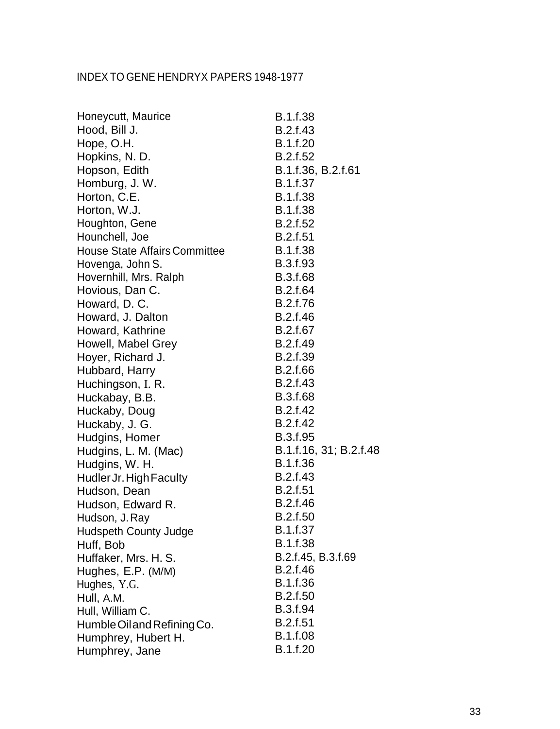| Honeycutt, Maurice                   | B.1.f.38               |
|--------------------------------------|------------------------|
| Hood, Bill J.                        | B.2.f.43               |
| Hope, O.H.                           | B.1.f.20               |
| Hopkins, N. D.                       | B.2.f.52               |
| Hopson, Edith                        | B.1.f.36, B.2.f.61     |
| Homburg, J. W.                       | B.1.f.37               |
| Horton, C.E.                         | B.1.f.38               |
| Horton, W.J.                         | B.1.f.38               |
| Houghton, Gene                       | B.2.f.52               |
| Hounchell, Joe                       | B.2.f.51               |
| <b>House State Affairs Committee</b> | B.1.f.38               |
| Hovenga, John S.                     | B.3.f.93               |
| Hovernhill, Mrs. Ralph               | B.3.f.68               |
| Hovious, Dan C.                      | B.2.f.64               |
| Howard, D. C.                        | B.2.f.76               |
| Howard, J. Dalton                    | B.2.f.46               |
| Howard, Kathrine                     | B.2.f.67               |
| Howell, Mabel Grey                   | B.2.f.49               |
| Hoyer, Richard J.                    | B.2.f.39               |
| Hubbard, Harry                       | B.2.f.66               |
| Huchingson, I. R.                    | B.2.f.43               |
| Huckabay, B.B.                       | <b>B.3.f.68</b>        |
| Huckaby, Doug                        | B.2.f.42               |
| Huckaby, J. G.                       | B.2.f.42               |
| Hudgins, Homer                       | B.3.f.95               |
| Hudgins, L. M. (Mac)                 | B.1.f.16, 31; B.2.f.48 |
| Hudgins, W. H.                       | B.1.f.36               |
| Hudler Jr. High Faculty              | B.2.f.43               |
| Hudson, Dean                         | <b>B.2.f.51</b>        |
| Hudson, Edward R.                    | B.2.f.46               |
| Hudson, J. Rav                       | B.2.f.50               |
| <b>Hudspeth County Judge</b>         | <b>B.1.f.37</b>        |
| Huff, Bob                            | B.1.f.38               |
| Huffaker, Mrs. H. S.                 | B.2.f.45, B.3.f.69     |
| Hughes, E.P. (M/M)                   | B.2.f.46               |
| Hughes, Y.G.                         | B.1.f.36               |
| Hull, A.M.                           | B.2.f.50               |
| Hull, William C.                     | B.3.f.94               |
| Humble Oil and Refining Co.          | B.2.f.51               |
| Humphrey, Hubert H.                  | <b>B.1.f.08</b>        |
| Humphrey, Jane                       | B.1.f.20               |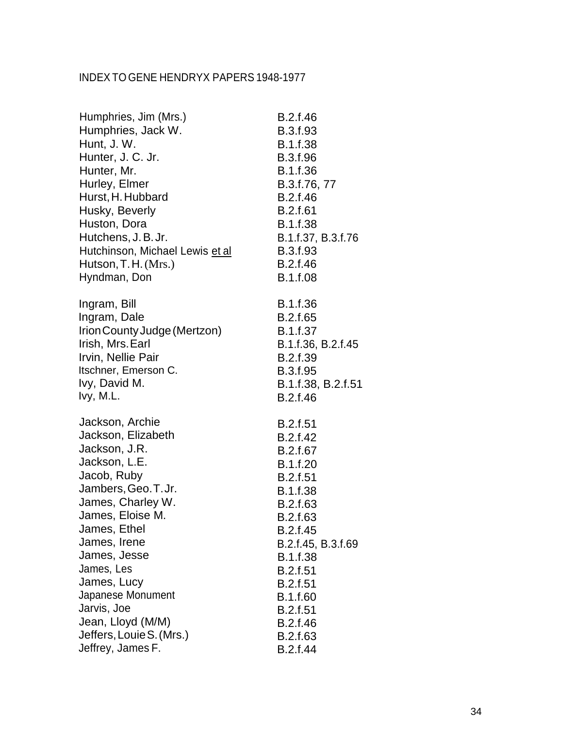| Humphries, Jim (Mrs.)           | B.2.f.46           |
|---------------------------------|--------------------|
| Humphries, Jack W.              | B.3.f.93           |
| Hunt, J. W.                     | B.1.f.38           |
| Hunter, J. C. Jr.               | B.3.f.96           |
| Hunter, Mr.                     | B.1.f.36           |
| Hurley, Elmer                   | B.3.f.76, 77       |
| Hurst, H. Hubbard               | B.2.f.46           |
| Husky, Beverly                  | <b>B.2.f.61</b>    |
| Huston, Dora                    | B.1.f.38           |
| Hutchens, J.B.Jr.               | B.1.f.37, B.3.f.76 |
| Hutchinson, Michael Lewis et al | B.3.f.93           |
| Hutson, T. H. (Mrs.)            | B.2.f.46           |
| Hyndman, Don                    | B.1.f.08           |
| Ingram, Bill                    | B.1.f.36           |
| Ingram, Dale                    | B.2.f.65           |
| Irion County Judge (Mertzon)    | B.1.f.37           |
| Irish, Mrs. Earl                | B.1.f.36, B.2.f.45 |
| Irvin, Nellie Pair              | B.2.f.39           |
| Itschner, Emerson C.            | B.3.f.95           |
| Ivy, David M.                   | B.1.f.38, B.2.f.51 |
| Ivy, M.L.                       | B.2.f.46           |
| Jackson, Archie                 | <b>B.2.f.51</b>    |
| Jackson, Elizabeth              | B.2.f.42           |
| Jackson, J.R.                   | B.2.f.67           |
| Jackson, L.E.                   | B.1.f.20           |
| Jacob, Ruby                     | <b>B.2.f.51</b>    |
| Jambers, Geo. T. Jr.            | B.1.f.38           |
| James, Charley W.               | B.2.f.63           |
| James, Eloise M.                | B.2.f.63           |
| James, Ethel                    | B.2.f.45           |
| James, Irene                    | B.2.f.45, B.3.f.69 |
| James, Jesse                    | B.1.f.38           |
| James, Les                      | <b>B.2.f.51</b>    |
| James, Lucy                     | <b>B.2.f.51</b>    |
| Japanese Monument               | B.1.f.60           |
| Jarvis, Joe                     | B.2.f.51           |
| Jean, Lloyd (M/M)               | B.2.f.46           |
| Jeffers, Louie S. (Mrs.)        | B.2.f.63           |
| Jeffrey, James F.               | B.2.f.44           |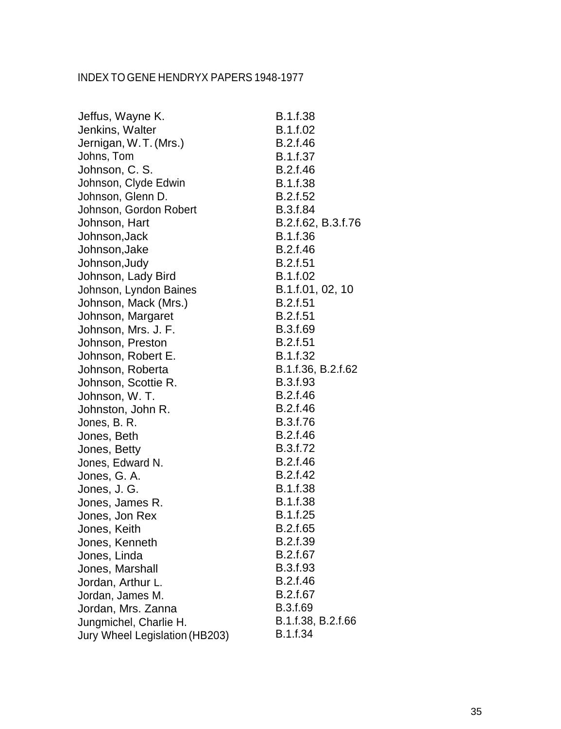| Jeffus, Wayne K.               | <b>B.1.f.38</b>    |
|--------------------------------|--------------------|
| Jenkins, Walter                | B.1.f.02           |
| Jernigan, W.T. (Mrs.)          | B.2.f.46           |
| Johns, Tom                     | B.1.f.37           |
| Johnson, C. S.                 | B.2.f.46           |
| Johnson, Clyde Edwin           | <b>B.1.f.38</b>    |
| Johnson, Glenn D.              | B.2.f.52           |
| Johnson, Gordon Robert         | B.3.f.84           |
| Johnson, Hart                  | B.2.f.62, B.3.f.76 |
| Johnson, Jack                  | B.1.f.36           |
| Johnson, Jake                  | B.2.f.46           |
| Johnson, Judy                  | B.2.f.51           |
| Johnson, Lady Bird             | B.1.f.02           |
| Johnson, Lyndon Baines         | B.1.f.01, 02, 10   |
| Johnson, Mack (Mrs.)           | B.2.f.51           |
| Johnson, Margaret              | B.2.f.51           |
| Johnson, Mrs. J. F.            | B.3.f.69           |
| Johnson, Preston               | B.2.f.51           |
| Johnson, Robert E.             | B.1.f.32           |
| Johnson, Roberta               | B.1.f.36, B.2.f.62 |
| Johnson, Scottie R.            | B.3.f.93           |
| Johnson, W. T.                 | B.2.f.46           |
| Johnston, John R.              | B.2.f.46           |
| Jones, B. R.                   | B.3.f.76           |
| Jones, Beth                    | B.2.f.46           |
| Jones, Betty                   | B.3.f.72           |
| Jones, Edward N.               | B.2.f.46           |
| Jones, G. A.                   | B.2.f.42           |
| Jones, J. G.                   | B.1.f.38           |
| Jones, James R.                | <b>B.1.f.38</b>    |
| Jones, Jon Rex                 | <b>B.1.f.25</b>    |
| Jones, Keith                   | B.2.f.65           |
| Jones, Kenneth                 | B.2.f.39           |
| Jones, Linda                   | B.2.f.67           |
| Jones, Marshall                | B.3.f.93           |
| Jordan, Arthur L.              | B.2.f.46           |
| Jordan, James M.               | B.2.f.67           |
| Jordan, Mrs. Zanna             | B.3.f.69           |
| Jungmichel, Charlie H.         | B.1.f.38, B.2.f.66 |
| Jury Wheel Legislation (HB203) | B.1.f.34           |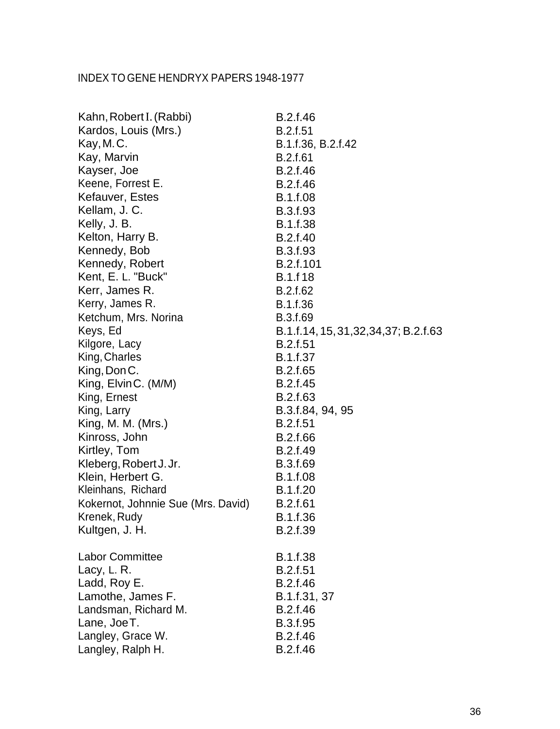| Kahn, Robert I. (Rabbi)            | B.2.f.46                                 |
|------------------------------------|------------------------------------------|
| Kardos, Louis (Mrs.)               | B.2.f.51                                 |
| Kay, M.C.                          | B.1.f.36, B.2.f.42                       |
| Kay, Marvin                        | B.2.f.61                                 |
| Kayser, Joe                        | B.2.f.46                                 |
| Keene, Forrest E.                  | B.2.f.46                                 |
| Kefauver, Estes                    | <b>B.1.f.08</b>                          |
| Kellam, J. C.                      | B.3.f.93                                 |
| Kelly, J. B.                       | <b>B.1.f.38</b>                          |
| Kelton, Harry B.                   | B.2.f.40                                 |
| Kennedy, Bob                       | <b>B.3.f.93</b>                          |
| Kennedy, Robert                    | B.2.f.101                                |
| Kent, E. L. "Buck"                 | <b>B.1.f18</b>                           |
| Kerr, James R.                     | B.2.f.62                                 |
| Kerry, James R.                    | B.1.f.36                                 |
| Ketchum, Mrs. Norina               | B.3.f.69                                 |
| Keys, Ed                           | B.1.f.14, 15, 31, 32, 34, 37; B.2. f. 63 |
| Kilgore, Lacy                      | <b>B.2.f.51</b>                          |
| King, Charles                      | <b>B.1.f.37</b>                          |
| King, Don C.                       | B.2.f.65                                 |
| King, ElvinC. (M/M)                | B.2.f.45                                 |
| King, Ernest                       | B.2.f.63                                 |
| King, Larry                        | B.3.f.84, 94, 95                         |
| King, M. M. (Mrs.)                 | <b>B.2.f.51</b>                          |
| Kinross, John                      | B.2.f.66                                 |
| Kirtley, Tom                       | B.2.f.49                                 |
| Kleberg, Robert J. Jr.             | B.3.f.69                                 |
| Klein, Herbert G.                  | B.1.f.08                                 |
| Kleinhans, Richard                 | B.1.f.20                                 |
| Kokernot, Johnnie Sue (Mrs. David) | <b>B.2.f.61</b>                          |
| Krenek, Rudy                       | B.1.f.36                                 |
| Kultgen, J. H.                     | B.2.f.39                                 |
| <b>Labor Committee</b>             | B.1.f.38                                 |
| Lacy, L. R.                        | B.2.f.51                                 |
| Ladd, Roy E.                       | B.2.f.46                                 |
| Lamothe, James F.                  | B.1.f.31, 37                             |
| Landsman, Richard M.               | B.2.f.46                                 |
| Lane, JoeT.                        | B.3.f.95                                 |
| Langley, Grace W.                  | B.2.f.46                                 |
| Langley, Ralph H.                  | B.2.f.46                                 |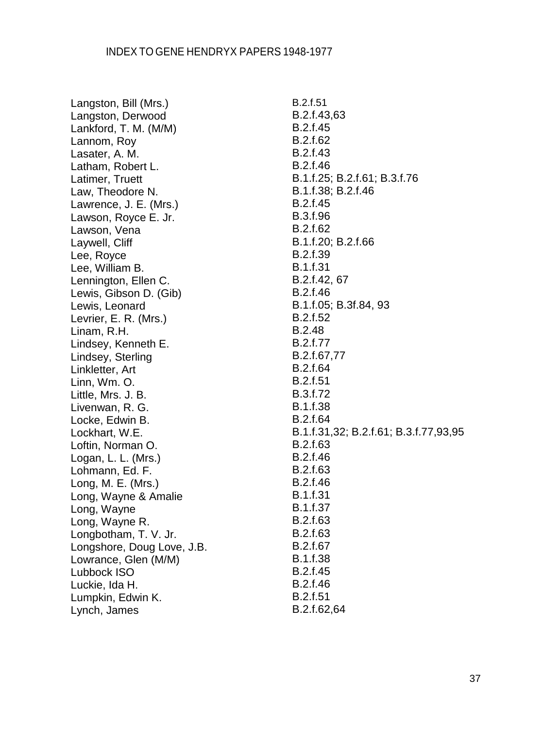Langston, Bill (Mrs.) Langston, Derwood Lankford, T. M. (M/M) Lannom, Roy Lasater, A. M. Latham, Robert L. Latimer, Truett Law, Theodore N. Lawrence, J. E. (Mrs.) Lawson, Royce E. Jr. Lawson, Vena Laywell, Cliff Lee, Royce Lee, William B. Lennington, Ellen C. Lewis, Gibson D. (Gib) Lewis, Leonard Levrier, E. R. (Mrs.) Linam, R.H. Lindsey, Kenneth E. Lindsey, Sterling Linkletter, Art Linn, Wm. O. Little, Mrs. J. B. Livenwan, R. G. Locke, Edwin B. Lockhart, W.E. Loftin, Norman O. Logan, L. L. (Mrs.) Lohmann, Ed. F. Long, M. E. (Mrs.) Long, Wayne & Amalie Long, Wayne Long, Wayne R. Longbotham, T. V. Jr. Longshore, Doug Love, J.B. Lowrance, Glen (M/M) Lubbock ISO Luckie, Ida H. Lumpkin, Edwin K. Lynch, James

B.2.f.51 B.2.f.43,63 B.2.f.45 B.2.f.62 B.2.f.43 B.2.f.46 B.1.f.25; B.2.f.61; B.3.f.76 B.1.f.38; B.2.f.46 B.2.f.45 B.3.f.96 B.2.f.62 B.1.f.20; B.2.f.66 B.2.f.39 B.1.f.31 B.2.f.42, 67 B.2.f.46 B.1.f.05; B.3f.84, 93 B.2.f.52 B.2.48 B.2.f.77 B.2.f.67,77 B.2.f.64 B.2.f.51 B.3.f.72 B.1.f.38 B.2.f.64 B.1.f.31,32; B.2.f.61; B.3.f.77,93,95 B.2.f.63 B.2.f.46 B.2.f.63 B.2.f.46 B.1.f.31 B.1.f.37 B.2.f.63 B.2.f.63 B.2.f.67 B.1.f.38 B.2.f.45 B.2.f.46 B.2.f.51

B.2.f.62,64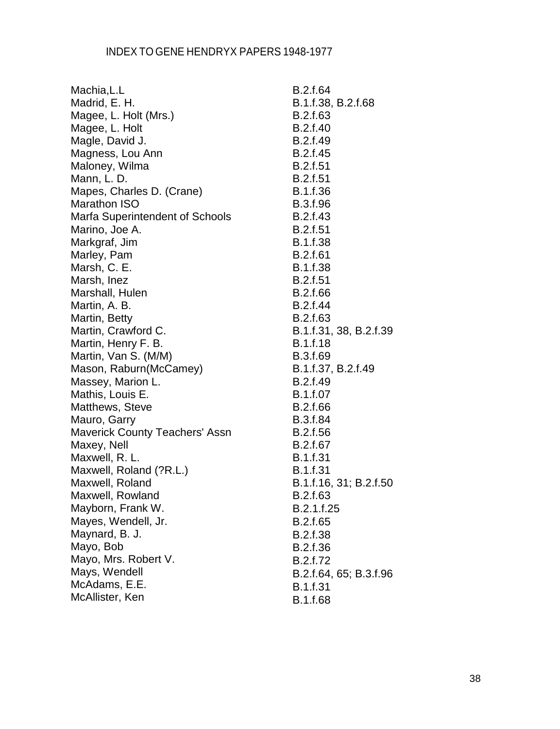| Machia, L.L                     | B.2.f.64               |
|---------------------------------|------------------------|
| Madrid, E. H.                   | B.1.f.38, B.2.f.68     |
| Magee, L. Holt (Mrs.)           | B.2.f.63               |
| Magee, L. Holt                  | B.2.f.40               |
| Magle, David J.                 | B.2.f.49               |
| Magness, Lou Ann                | B.2.f.45               |
| Maloney, Wilma                  | B.2.f.51               |
| Mann, L. D.                     | <b>B.2.f.51</b>        |
| Mapes, Charles D. (Crane)       | B.1.f.36               |
| <b>Marathon ISO</b>             | B.3.f.96               |
| Marfa Superintendent of Schools | B.2.f.43               |
| Marino, Joe A.                  | <b>B.2.f.51</b>        |
| Markgraf, Jim                   | B.1.f.38               |
| Marley, Pam                     | B.2.f.61               |
| Marsh, C. E.                    | <b>B.1.f.38</b>        |
| Marsh, Inez                     | B.2.f.51               |
| Marshall, Hulen                 | B.2.f.66               |
| Martin, A. B.                   | B.2.f.44               |
| Martin, Betty                   | B.2.f.63               |
| Martin, Crawford C.             | B.1.f.31, 38, B.2.f.39 |
| Martin, Henry F. B.             | <b>B.1.f.18</b>        |
| Martin, Van S. (M/M)            | B.3.f.69               |
| Mason, Raburn(McCamey)          | B.1.f.37, B.2.f.49     |
| Massey, Marion L.               | B.2.f.49               |
| Mathis, Louis E.                | <b>B.1.f.07</b>        |
| Matthews, Steve                 | B.2.f.66               |
| Mauro, Garry                    | B.3.f.84               |
| Maverick County Teachers' Assn  | B.2.f.56               |
| Maxey, Nell                     | B.2.f.67               |
| Maxwell, R. L.                  | B.1.f.31               |
| Maxwell, Roland (?R.L.)         | B.1.f.31               |
| Maxwell, Roland                 | B.1.f.16, 31; B.2.f.50 |
| Maxwell, Rowland                | B.2.f.63               |
| Mayborn, Frank W.               | B.2.1.f.25             |
| Mayes, Wendell, Jr.             | B.2.f.65               |
| Maynard, B. J.                  | B.2.f.38               |
| Mayo, Bob                       | B.2.f.36               |
| Mayo, Mrs. Robert V.            | B.2.f.72               |
| Mays, Wendell                   | B.2.f.64, 65; B.3.f.96 |
| McAdams, E.E.                   | B.1.f.31               |
| McAllister, Ken                 | B.1.f.68               |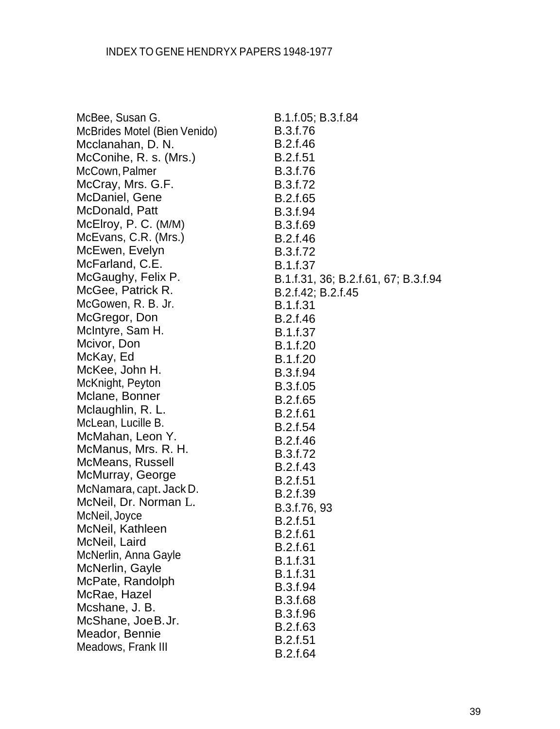| McBee, Susan G.              | B.1.f.05; B.3.f.84                   |
|------------------------------|--------------------------------------|
| McBrides Motel (Bien Venido) | B.3.f.76                             |
| Mcclanahan, D. N.            | B.2.f.46                             |
| McConihe, R. s. (Mrs.)       | <b>B.2.f.51</b>                      |
| McCown, Palmer               | B.3.f.76                             |
| McCray, Mrs. G.F.            | B.3.f.72                             |
| McDaniel, Gene               | B.2.f.65                             |
| McDonald, Patt               | B.3.f.94                             |
| McElroy, P. C. (M/M)         | B.3.f.69                             |
| McEvans, C.R. (Mrs.)         | B.2.f.46                             |
| McEwen, Evelyn               | B.3.f.72                             |
| McFarland, C.E.              | <b>B.1.f.37</b>                      |
| McGaughy, Felix P.           | B.1.f.31, 36; B.2.f.61, 67; B.3.f.94 |
| McGee, Patrick R.            | B.2.f.42; B.2.f.45                   |
| McGowen, R. B. Jr.           | <b>B.1.f.31</b>                      |
| McGregor, Don                | B.2.f.46                             |
| McIntyre, Sam H.             | B.1.f.37                             |
| Mcivor, Don                  | B.1.f.20                             |
| McKay, Ed                    | B.1.f.20                             |
| McKee, John H.               | B.3.f.94                             |
| McKnight, Peyton             | B.3.f.05                             |
| Mclane, Bonner               | B.2.f.65                             |
| Mclaughlin, R. L.            | <b>B.2.f.61</b>                      |
| McLean, Lucille B.           | B.2.f.54                             |
| McMahan, Leon Y.             | B.2.f.46                             |
| McManus, Mrs. R. H.          | B.3.f.72                             |
| McMeans, Russell             | <b>B.2.f.43</b>                      |
| McMurray, George             | B.2.f.51                             |
| McNamara, capt. Jack D.      | B.2.f.39                             |
| McNeil, Dr. Norman L.        | B.3.f.76, 93                         |
| McNeil, Joyce                | <b>B.2.f.51</b>                      |
| McNeil, Kathleen             | <b>B.2.f.61</b>                      |
| McNeil, Laird                | <b>B.2.f.61</b>                      |
| McNerlin, Anna Gayle         | B.1.f.31                             |
| McNerlin, Gayle              | <b>B.1.f.31</b>                      |
| McPate, Randolph             | B.3.f.94                             |
| McRae, Hazel                 | <b>B.3.f.68</b>                      |
| Mcshane, J. B.               | B.3.f.96                             |
| McShane, JoeB.Jr.            | B.2.f.63                             |
| Meador, Bennie               | <b>B.2.f.51</b>                      |
| Meadows, Frank III           | B.2.f.64                             |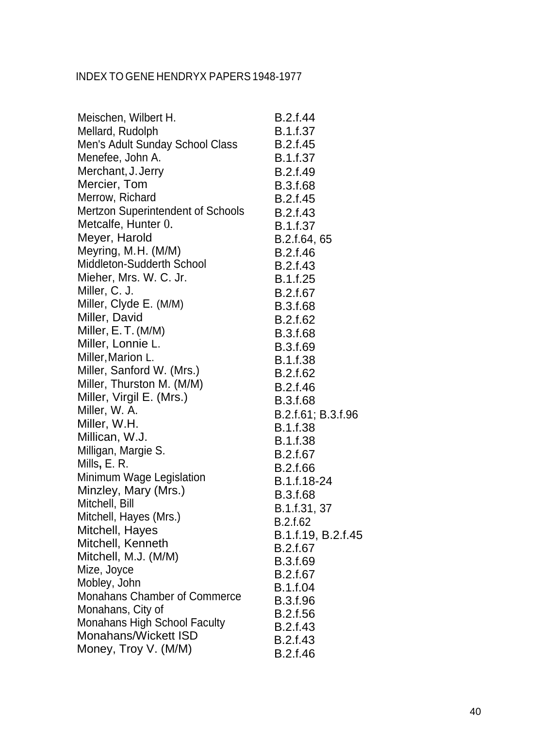| Meischen, Wilbert H.                                        | <b>B.2.f.44</b>    |
|-------------------------------------------------------------|--------------------|
| Mellard, Rudolph                                            | <b>B.1.f.37</b>    |
| Men's Adult Sunday School Class                             | B.2.f.45           |
| Menefee, John A.                                            | <b>B.1.f.37</b>    |
| Merchant, J. Jerry                                          | B.2.f.49           |
| Mercier, Tom                                                | <b>B.3.f.68</b>    |
| Merrow, Richard                                             | B.2.f.45           |
| <b>Mertzon Superintendent of Schools</b>                    | B.2.f.43           |
| Metcalfe, Hunter 0.                                         | B.1.f.37           |
| Meyer, Harold                                               | B.2.f.64, 65       |
| Meyring, M.H. (M/M)                                         | B.2.f.46           |
| Middleton-Sudderth School                                   | B.2.f.43           |
| Mieher, Mrs. W. C. Jr.                                      | B.1.f.25           |
| Miller, C. J.                                               | B.2.f.67           |
| Miller, Clyde E. (M/M)                                      | B.3.f.68           |
| Miller, David                                               | B.2.f.62           |
| Miller, E.T. (M/M)                                          | <b>B.3.f.68</b>    |
| Miller, Lonnie L.                                           | B.3.f.69           |
| Miller, Marion L.                                           | <b>B.1.f.38</b>    |
| Miller, Sanford W. (Mrs.)                                   | B.2.f.62           |
| Miller, Thurston M. (M/M)                                   | B.2.f.46           |
| Miller, Virgil E. (Mrs.)                                    | B.3.f.68           |
| Miller, W. A.                                               | B.2.f.61; B.3.f.96 |
| Miller, W.H.                                                | <b>B.1.f.38</b>    |
| Millican, W.J.                                              | <b>B.1.f.38</b>    |
| Milligan, Margie S.                                         | B.2.f.67           |
| Mills, E. R.                                                | B.2.f.66           |
| Minimum Wage Legislation                                    | B.1.f.18-24        |
| Minzley, Mary (Mrs.)                                        | B.3.f.68           |
| Mitchell, Bill                                              | B.1.f.31, 37       |
| Mitchell, Hayes (Mrs.)                                      | B.2.f.62           |
| Mitchell, Hayes                                             | B.1.f.19, B.2.f.45 |
| Mitchell, Kenneth                                           | B.2.f.67           |
| Mitchell, M.J. (M/M)                                        | B.3.f.69           |
| Mize, Joyce                                                 | B.2.f.67           |
| Mobley, John                                                | B.1.f.04           |
| <b>Monahans Chamber of Commerce</b>                         | B.3.f.96           |
| Monahans, City of                                           | B.2.f.56           |
| <b>Monahans High School Faculty</b><br>Monahans/Wickett ISD | B.2.f.43           |
|                                                             | B.2.f.43           |
| Money, Troy V. (M/M)                                        | B.2.f.46           |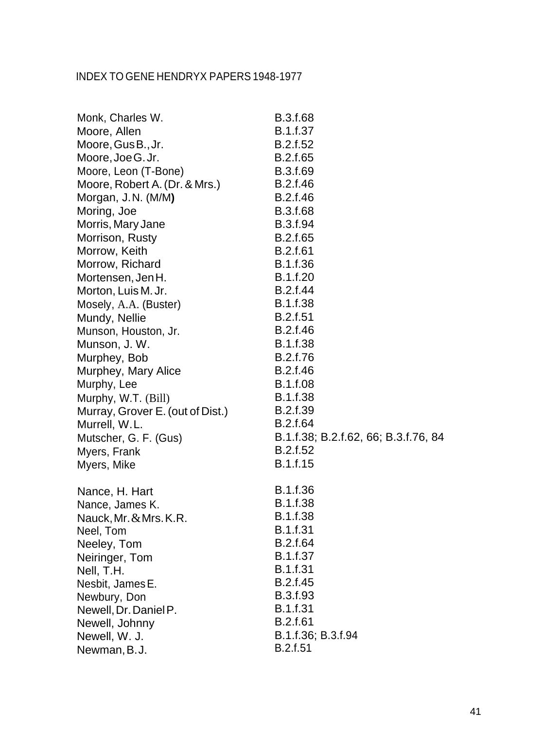| Monk, Charles W.                 | <b>B.3.f.68</b>                      |
|----------------------------------|--------------------------------------|
| Moore, Allen                     | B.1.f.37                             |
| Moore, Gus B., Jr.               | B.2.f.52                             |
| Moore, Joe G. Jr.                | B.2.f.65                             |
| Moore, Leon (T-Bone)             | B.3.f.69                             |
| Moore, Robert A. (Dr. & Mrs.)    | B.2.f.46                             |
| Morgan, J.N. (M/M)               | B.2.f.46                             |
| Moring, Joe                      | B.3.f.68                             |
| Morris, Mary Jane                | B.3.f.94                             |
| Morrison, Rusty                  | B.2.f.65                             |
| Morrow, Keith                    | <b>B.2.f.61</b>                      |
| Morrow, Richard                  | B.1.f.36                             |
| Mortensen, Jen H.                | B.1.f.20                             |
| Morton, Luis M. Jr.              | B.2.f.44                             |
| Mosely, A.A. (Buster)            | B.1.f.38                             |
| Mundy, Nellie                    | <b>B.2.f.51</b>                      |
| Munson, Houston, Jr.             | B.2.f.46                             |
| Munson, J.W.                     | B.1.f.38                             |
| Murphey, Bob                     | B.2.f.76                             |
| Murphey, Mary Alice              | B.2.f.46                             |
| Murphy, Lee                      | B.1.f.08                             |
| Murphy, W.T. (Bill)              | B.1.f.38                             |
| Murray, Grover E. (out of Dist.) | <b>B.2.f.39</b>                      |
| Murrell, W.L.                    | B.2.f.64                             |
| Mutscher, G. F. (Gus)            | B.1.f.38; B.2.f.62, 66; B.3.f.76, 84 |
| Myers, Frank                     | B.2.f.52                             |
| Myers, Mike                      | B.1.f.15                             |
| Nance, H. Hart                   | B.1.f.36                             |
| Nance, James K.                  | B.1.f.38                             |
| Nauck, Mr. & Mrs. K.R.           | <b>B.1.f.38</b>                      |
| Neel, Tom                        | <b>B.1.f.31</b>                      |
| Neeley, Tom                      | B.2.f.64                             |
| Neiringer, Tom                   | B.1.f.37                             |
| Nell, T.H.                       | <b>B.1.f.31</b>                      |
| Nesbit, James E.                 | B.2.f.45                             |
| Newbury, Don                     | B.3.f.93                             |
| Newell, Dr. Daniel P.            | B.1.f.31                             |
| Newell, Johnny                   | <b>B.2.f.61</b>                      |
| Newell, W. J.                    | B.1.f.36; B.3.f.94                   |
| Newman, B.J.                     | B.2.f.51                             |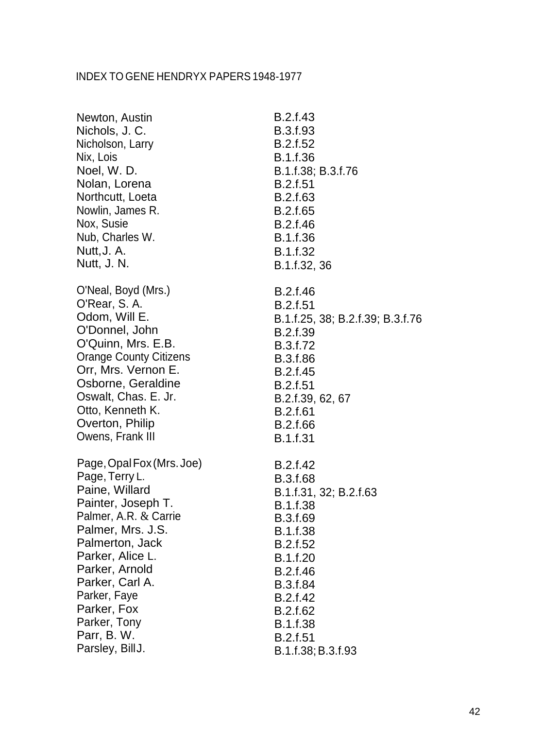| Newton, Austin                | B.2.f.43                         |
|-------------------------------|----------------------------------|
| Nichols, J. C.                | B.3.f.93                         |
| Nicholson, Larry              | B.2.f.52                         |
| Nix, Lois                     | B.1.f.36                         |
| Noel, W.D.                    | B.1.f.38; B.3.f.76               |
| Nolan, Lorena                 | <b>B.2.f.51</b>                  |
| Northcutt, Loeta              | B.2.f.63                         |
| Nowlin, James R.              | B.2.f.65                         |
| Nox, Susie                    | B.2.f.46                         |
| Nub, Charles W.               | B.1.f.36                         |
| Nutt, J. A.                   | B.1.f.32                         |
| Nutt, J. N.                   | B.1.f.32, 36                     |
| O'Neal, Boyd (Mrs.)           | B.2.f.46                         |
| O'Rear, S. A.                 | <b>B.2.f.51</b>                  |
| Odom, Will E.                 | B.1.f.25, 38; B.2.f.39; B.3.f.76 |
| O'Donnel, John                | B.2.f.39                         |
| O'Quinn, Mrs. E.B.            | B.3.f.72                         |
| <b>Orange County Citizens</b> | B.3.f.86                         |
| Orr, Mrs. Vernon E.           | B.2.f.45                         |
| Osborne, Geraldine            | <b>B.2.f.51</b>                  |
| Oswalt, Chas. E. Jr.          | B.2.f.39, 62, 67                 |
| Otto, Kenneth K.              | B.2.f.61                         |
| Overton, Philip               | B.2.f.66                         |
| Owens, Frank III              | <b>B.1.f.31</b>                  |
| Page, Opal Fox (Mrs. Joe)     | B.2.f.42                         |
| Page, Terry L.                | B.3.f.68                         |
| Paine, Willard                | B.1.f.31, 32; B.2.f.63           |
| Painter, Joseph T.            | <b>B.1.f.38</b>                  |
| Palmer, A.R. & Carrie         | B.3.f.69                         |
| Palmer, Mrs. J.S.             | B.1.f.38                         |
| Palmerton, Jack               | <b>B.2.f.52</b>                  |
| Parker, Alice L.              | B.1.f.20                         |
| Parker, Arnold                | B.2.f.46                         |
| Parker, Carl A.               | B.3.f.84                         |
| Parker, Faye                  | B.2.f.42                         |
| Parker, Fox                   | B.2.f.62                         |
| Parker, Tony                  | <b>B.1.f.38</b>                  |
| Parr, B. W.                   | <b>B.2.f.51</b>                  |
| Parsley, BillJ.               | B.1.f.38; B.3.f.93               |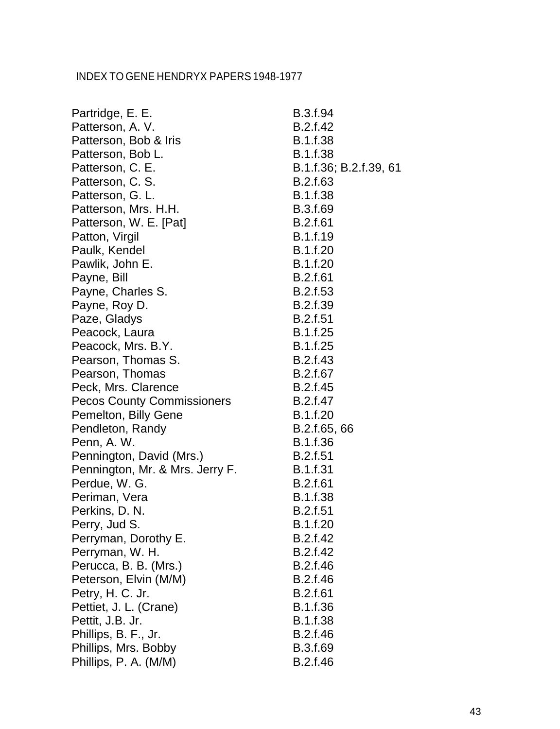| Partridge, E. E.                  | B.3.f.94               |
|-----------------------------------|------------------------|
| Patterson, A. V.                  | B.2.f.42               |
| Patterson, Bob & Iris             | <b>B.1.f.38</b>        |
| Patterson, Bob L.                 | <b>B.1.f.38</b>        |
| Patterson, C. E.                  | B.1.f.36; B.2.f.39, 61 |
| Patterson, C. S.                  | B.2.f.63               |
| Patterson, G. L.                  | <b>B.1.f.38</b>        |
| Patterson, Mrs. H.H.              | B.3.f.69               |
| Patterson, W. E. [Pat]            | <b>B.2.f.61</b>        |
| Patton, Virgil                    | <b>B.1.f.19</b>        |
| Paulk, Kendel                     | B.1.f.20               |
| Pawlik, John E.                   | B.1.f.20               |
| Payne, Bill                       | <b>B.2.f.61</b>        |
| Payne, Charles S.                 | B.2.f.53               |
| Payne, Roy D.                     | B.2.f.39               |
| Paze, Gladys                      | <b>B.2.f.51</b>        |
| Peacock, Laura                    | B.1.f.25               |
| Peacock, Mrs. B.Y.                | <b>B.1.f.25</b>        |
| Pearson, Thomas S.                | <b>B.2.f.43</b>        |
| Pearson, Thomas                   | B.2.f.67               |
| Peck, Mrs. Clarence               | B.2.f.45               |
| <b>Pecos County Commissioners</b> | B.2.f.47               |
| Pemelton, Billy Gene              | <b>B.1.f.20</b>        |
| Pendleton, Randy                  | B.2.f.65, 66           |
| Penn, A. W.                       | B.1.f.36               |
| Pennington, David (Mrs.)          | <b>B.2.f.51</b>        |
| Pennington, Mr. & Mrs. Jerry F.   | B.1.f.31               |
| Perdue, W. G.                     | <b>B.2.f.61</b>        |
| Periman, Vera                     | B.1.f.38               |
| Perkins, D. N.                    | <b>B.2.f.51</b>        |
| Perry, Jud S.                     | B.1.f.20               |
| Perryman, Dorothy E.              | B.2.f.42               |
| Perryman, W. H.                   | B.2.f.42               |
| Perucca, B. B. (Mrs.)             | B.2.f.46               |
| Peterson, Elvin (M/M)             | B.2.f.46               |
| Petry, H. C. Jr.                  | B.2.f.61               |
| Pettiet, J. L. (Crane)            | B.1.f.36               |
| Pettit, J.B. Jr.                  | <b>B.1.f.38</b>        |
| Phillips, B. F., Jr.              | B.2.f.46               |
| Phillips, Mrs. Bobby              | B.3.f.69               |
| Phillips, P. A. (M/M)             | B.2.f.46               |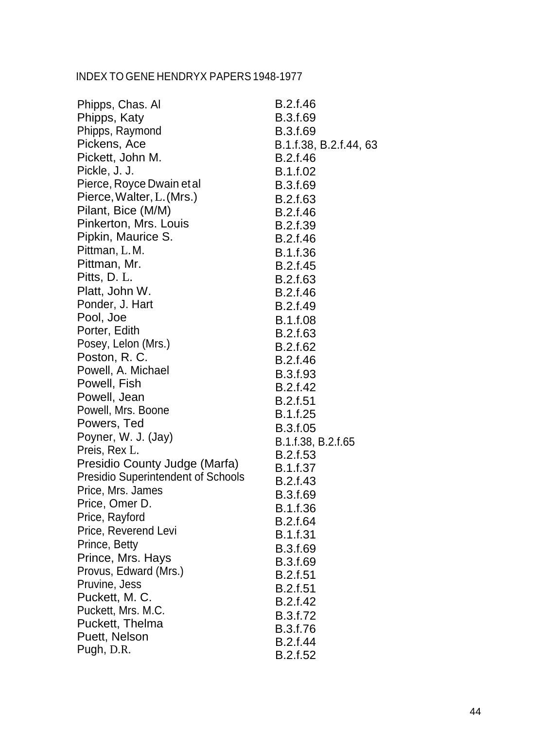| Phipps, Chas. Al                          | B.2.f.46               |
|-------------------------------------------|------------------------|
| Phipps, Katy                              | B.3.f.69               |
| Phipps, Raymond                           | B.3.f.69               |
| Pickens, Ace                              | B.1.f.38, B.2.f.44, 63 |
| Pickett, John M.                          | B.2.f.46               |
| Pickle, J. J.                             | B.1.f.02               |
| Pierce, Royce Dwain et al                 | B.3.f.69               |
| Pierce, Walter, L. (Mrs.)                 | B.2.f.63               |
| Pilant, Bice (M/M)                        | B.2.f.46               |
| Pinkerton, Mrs. Louis                     | B.2.f.39               |
| Pipkin, Maurice S.                        | B.2.f.46               |
| Pittman, L.M.                             | B.1.f.36               |
| Pittman, Mr.                              | B.2.f.45               |
| Pitts, D. L.                              | B.2.f.63               |
| Platt, John W.                            | B.2.f.46               |
| Ponder, J. Hart                           | B.2.f.49               |
| Pool, Joe                                 | <b>B.1.f.08</b>        |
| Porter, Edith                             | B.2.f.63               |
| Posey, Lelon (Mrs.)                       | B.2.f.62               |
| Poston, R. C.                             | B.2.f.46               |
| Powell, A. Michael                        | B.3.f.93               |
| Powell, Fish                              | B.2.f.42               |
| Powell, Jean                              | <b>B.2.f.51</b>        |
| Powell, Mrs. Boone                        | B.1.f.25               |
| Powers, Ted                               | B.3.f.05               |
| Poyner, W. J. (Jay)                       | B.1.f.38, B.2.f.65     |
| Preis, Rex L.                             | <b>B.2.f.53</b>        |
| Presidio County Judge (Marfa)             | <b>B.1.f.37</b>        |
| <b>Presidio Superintendent of Schools</b> | B.2.f.43               |
| Price, Mrs. James                         | B.3.f.69               |
| Price, Omer D.                            | B.1.f.36               |
| Price, Rayford                            | B.2.f.64               |
| Price, Reverend Levi                      | B.1.f.31               |
| Prince, Betty                             | B.3.f.69               |
| Prince, Mrs. Hays                         | B.3.f.69               |
| Provus, Edward (Mrs.)                     | B.2.f.51               |
| Pruvine, Jess                             | <b>B.2.f.51</b>        |
| Puckett, M. C.                            | B.2.f.42               |
| Puckett, Mrs. M.C.                        | B.3.f.72               |
| Puckett, Thelma                           | B.3.f.76               |
| Puett, Nelson                             | B.2.f.44               |
| Pugh, D.R.                                | B.2.f.52               |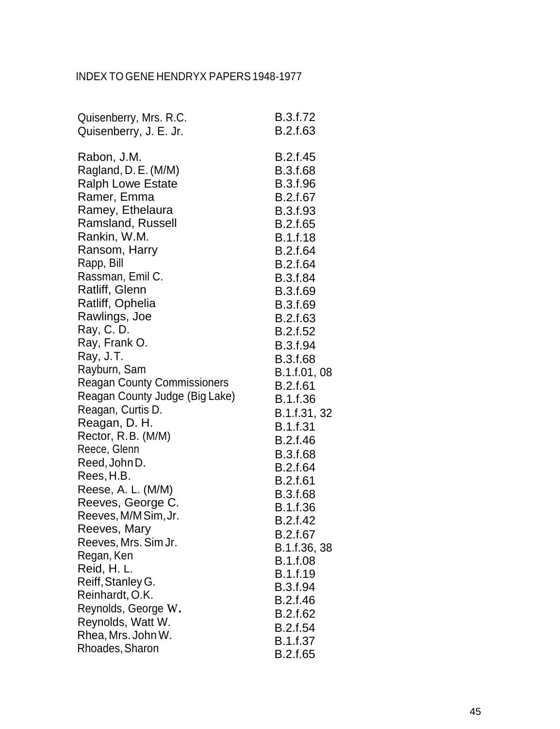| Quisenberry, Mrs. R.C.             | B.3.f.72        |
|------------------------------------|-----------------|
| Quisenberry, J. E. Jr.             | B.2.f.63        |
| Rabon, J.M.                        | B.2.f.45        |
| Ragland, D. E. (M/M)               | <b>B.3.f.68</b> |
| <b>Ralph Lowe Estate</b>           | B.3.f.96        |
| Ramer, Emma                        | B.2.f.67        |
| Ramey, Ethelaura                   | B.3.f.93        |
| <b>Ramsland, Russell</b>           | B.2.f.65        |
| Rankin, W.M.                       | <b>B.1.f.18</b> |
| Ransom, Harry                      | B.2.f.64        |
| Rapp, Bill                         | B.2.f.64        |
| Rassman, Emil C.                   | B.3.f.84        |
| Ratliff, Glenn                     | <b>B.3.f.69</b> |
| Ratliff, Ophelia                   | B.3.f.69        |
| Rawlings, Joe                      | B.2.f.63        |
| Ray, C.D.                          | B.2.f.52        |
| Ray, Frank O.                      | B.3.f.94        |
| Ray, J.T.                          | B.3.f.68        |
| Rayburn, Sam                       | B.1.f.01, 08    |
| <b>Reagan County Commissioners</b> | <b>B.2.f.61</b> |
| Reagan County Judge (Big Lake)     | B.1.f.36        |
| Reagan, Curtis D.                  | B.1.f.31, 32    |
| Reagan, D. H.                      | <b>B.1.f.31</b> |
| Rector, R.B. (M/M)                 | B.2.f.46        |
| Reece, Glenn                       | B.3.f.68        |
| Reed, John D.                      | B.2.f.64        |
| Rees, H.B.                         | B.2.f.61        |
| Reese, A. L. (M/M)                 | <b>B.3.f.68</b> |
| Reeves, George C.                  | B.1.f.36        |
| Reeves, M/M Sim, Jr.               | B.2.f.42        |
| Reeves, Mary                       | B.2.f.67        |
| Reeves, Mrs. Sim Jr.               | B.1.f.36, 38    |
| Regan, Ken                         | B.1.f.08        |
| Reid, H. L.                        | B.1.f.19        |
| Reiff, Stanley G.                  | <b>B.3.f.94</b> |
| Reinhardt, O.K.                    | B.2.f.46        |
| Reynolds, George W.                | B.2.f.62        |
| Reynolds, Watt W.                  | B.2.f.54        |
| Rhea, Mrs. John W.                 | B.1.f.37        |
| Rhoades, Sharon                    | B.2.f.65        |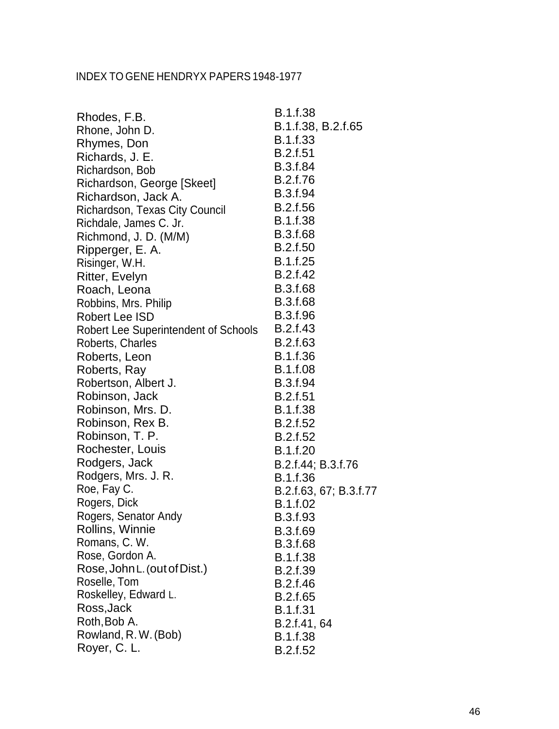| Rhodes, F.B.                         | B.1.f.38               |
|--------------------------------------|------------------------|
| Rhone, John D.                       | B.1.f.38, B.2.f.65     |
| Rhymes, Don                          | B.1.f.33               |
| Richards, J. E.                      | <b>B.2.f.51</b>        |
| Richardson, Bob                      | B.3.f.84               |
| Richardson, George [Skeet]           | B.2.f.76               |
| Richardson, Jack A.                  | B.3.f.94               |
| Richardson, Texas City Council       | B.2.f.56               |
| Richdale, James C. Jr.               | <b>B.1.f.38</b>        |
| Richmond, J. D. (M/M)                | B.3.f.68               |
| Ripperger, E. A.                     | <b>B.2.f.50</b>        |
| Risinger, W.H.                       | B.1.f.25               |
| Ritter, Evelyn                       | B.2.f.42               |
| Roach, Leona                         | <b>B.3.f.68</b>        |
| Robbins, Mrs. Philip                 | B.3.f.68               |
| Robert Lee ISD                       | B.3.f.96               |
| Robert Lee Superintendent of Schools | B.2.f.43               |
| Roberts, Charles                     | B.2.f.63               |
| Roberts, Leon                        | B.1.f.36               |
| Roberts, Ray                         | <b>B.1.f.08</b>        |
| Robertson, Albert J.                 | B.3.f.94               |
| Robinson, Jack                       | <b>B.2.f.51</b>        |
| Robinson, Mrs. D.                    | <b>B.1.f.38</b>        |
| Robinson, Rex B.                     | B.2.f.52               |
| Robinson, T. P.                      | B.2.f.52               |
| Rochester, Louis                     | B.1.f.20               |
| Rodgers, Jack                        | B.2.f.44; B.3.f.76     |
| Rodgers, Mrs. J. R.                  | B.1.f.36               |
| Roe, Fay C.                          | B.2.f.63, 67; B.3.f.77 |
| Rogers, Dick                         | B.1.f.02               |
| Rogers, Senator Andy                 | B.3.f.93               |
| Rollins, Winnie                      | B.3.f.69               |
| Romans, C. W.                        | B.3.f.68               |
| Rose, Gordon A.                      | <b>B.1.f.38</b>        |
| Rose, John L. (out of Dist.)         | B.2.f.39               |
| Roselle, Tom                         | B.2.f.46               |
| Roskelley, Edward L.                 | B.2.f.65               |
| Ross, Jack                           | B.1.f.31               |
| Roth, Bob A.                         | B.2.f.41, 64           |
| Rowland, R.W. (Bob)                  | B.1.f.38               |
| Royer, C. L.                         | B.2.f.52               |
|                                      |                        |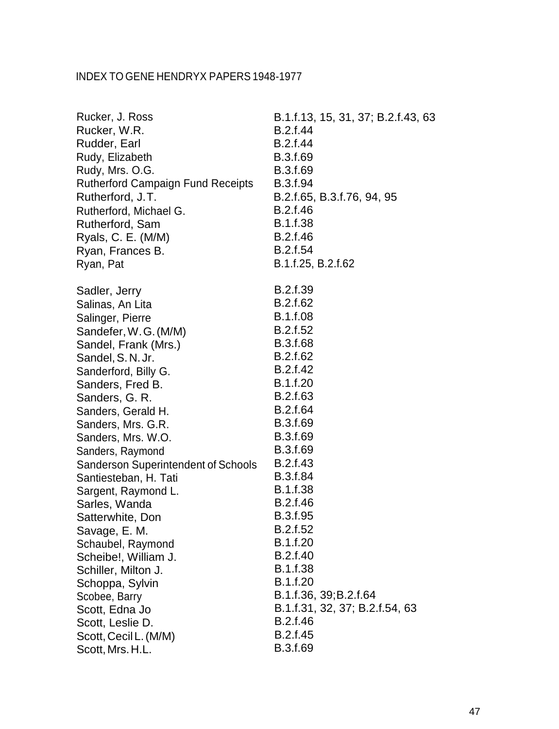| Rucker, J. Ross                                                                                                | B.1.f.13, 15, 31, 37; B.2.f.43, 63                              |
|----------------------------------------------------------------------------------------------------------------|-----------------------------------------------------------------|
| Rucker, W.R.                                                                                                   | B.2.f.44                                                        |
| Rudder, Earl                                                                                                   | B.2.f.44                                                        |
| Rudy, Elizabeth                                                                                                | B.3.f.69                                                        |
| Rudy, Mrs. O.G.                                                                                                | B.3.f.69                                                        |
| <b>Rutherford Campaign Fund Receipts</b>                                                                       | B.3.f.94                                                        |
| Rutherford, J.T.                                                                                               | B.2.f.65, B.3.f.76, 94, 95                                      |
| Rutherford, Michael G.                                                                                         | B.2.f.46                                                        |
| Rutherford, Sam                                                                                                | B.1.f.38                                                        |
| Ryals, C. E. (M/M)                                                                                             | B.2.f.46                                                        |
| Ryan, Frances B.                                                                                               | B.2.f.54                                                        |
| Ryan, Pat                                                                                                      | B.1.f.25, B.2.f.62                                              |
| Sadler, Jerry                                                                                                  | B.2.f.39                                                        |
| Salinas, An Lita                                                                                               | B.2.f.62                                                        |
| Salinger, Pierre                                                                                               | <b>B.1.f.08</b>                                                 |
| Sandefer, W.G. (M/M)                                                                                           | B.2.f.52                                                        |
| Sandel, Frank (Mrs.)                                                                                           | <b>B.3.f.68</b>                                                 |
| Sandel, S.N.Jr.                                                                                                | B.2.f.62                                                        |
| Sanderford, Billy G.                                                                                           | B.2.f.42                                                        |
| Sanders, Fred B.                                                                                               | B.1.f.20                                                        |
| Sanders, G. R.                                                                                                 | B.2.f.63                                                        |
| Sanders, Gerald H.                                                                                             | B.2.f.64                                                        |
| Sanders, Mrs. G.R.                                                                                             | B.3.f.69                                                        |
| Sanders, Mrs. W.O.                                                                                             | B.3.f.69                                                        |
| Sanders, Raymond<br><b>Sanderson Superintendent of Schools</b><br>Santiesteban, H. Tati<br>Sargent, Raymond L. | B.3.f.69<br>B.2.f.43<br>B.3.f.84<br><b>B.1.f.38</b><br>B.2.f.46 |
| Sarles, Wanda<br>Satterwhite, Don<br>Savage, E. M.<br>Schaubel, Raymond<br>Scheibe!, William J.                | B.3.f.95<br>B.2.f.52<br>B.1.f.20<br>B.2.f.40                    |
| Schiller, Milton J.                                                                                            | B.1.f.38                                                        |
| Schoppa, Sylvin                                                                                                | B.1.f.20                                                        |
| Scobee, Barry                                                                                                  | B.1.f.36, 39; B.2.f.64                                          |
| Scott, Edna Jo                                                                                                 | B.1.f.31, 32, 37; B.2.f.54, 63                                  |
| Scott, Leslie D.                                                                                               | B.2.f.46                                                        |
| Scott, Cecil L. (M/M)                                                                                          | B.2.f.45                                                        |
| Scott, Mrs. H.L.                                                                                               | B.3.f.69                                                        |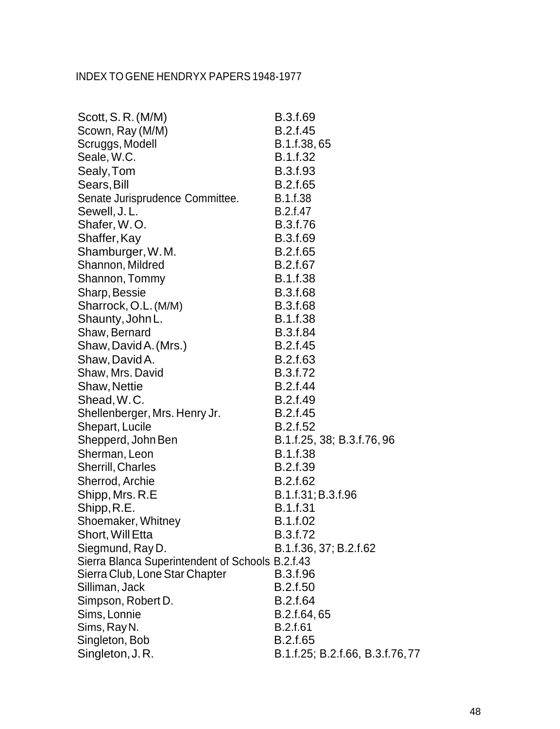| Scott, S.R. (M/M)                                | B.3.f.69                        |
|--------------------------------------------------|---------------------------------|
| Scown, Ray (M/M)                                 | B.2.f.45                        |
| Scruggs, Modell                                  | B.1.f.38,65                     |
| Seale, W.C.                                      | B.1.f.32                        |
| Sealy, Tom                                       | B.3.f.93                        |
| Sears, Bill                                      | B.2.f.65                        |
| Senate Jurisprudence Committee.                  | B.1.f.38                        |
| Sewell, J.L.                                     | B.2.f.47                        |
| Shafer, W.O.                                     | B.3.f.76                        |
| Shaffer, Kay                                     | B.3.f.69                        |
| Shamburger, W.M.                                 | B.2.f.65                        |
| Shannon, Mildred                                 | B.2.f.67                        |
| Shannon, Tommy                                   | B.1.f.38                        |
| Sharp, Bessie                                    | B.3.f.68                        |
| Sharrock, O.L. (M/M)                             | B.3.f.68                        |
| Shaunty, John L.                                 | <b>B.1.f.38</b>                 |
| Shaw, Bernard                                    | <b>B.3.f.84</b>                 |
| Shaw, David A. (Mrs.)                            | B.2.f.45                        |
| Shaw, David A.                                   | B.2.f.63                        |
| Shaw, Mrs. David                                 | B.3.f.72                        |
| <b>Shaw, Nettie</b>                              | B.2.f.44                        |
| Shead, W.C.                                      | B.2.f.49                        |
| Shellenberger, Mrs. Henry Jr.                    | B.2.f.45                        |
| Shepart, Lucile                                  | B.2.f.52                        |
| Shepperd, John Ben                               | B.1.f.25, 38; B.3.f.76, 96      |
| Sherman, Leon                                    | B.1.f.38                        |
| <b>Sherrill, Charles</b>                         | B.2.f.39                        |
| Sherrod, Archie                                  | B.2.f.62                        |
| Shipp, Mrs. R.E                                  | B.1.f.31; B.3.f.96              |
| Shipp, R.E.                                      | B.1.f.31                        |
| Shoemaker, Whitney                               | B.1.f.02                        |
| Short, Will Etta                                 | B.3.f.72                        |
| Siegmund, Ray D.                                 | B.1.f.36, 37; B.2.f.62          |
| Sierra Blanca Superintendent of Schools B.2.f.43 |                                 |
| Sierra Club, Lone Star Chapter                   | B.3.f.96                        |
| Silliman, Jack                                   | B.2.f.50                        |
| Simpson, Robert D.                               | B.2.f.64                        |
| Sims, Lonnie                                     | B.2.f.64,65                     |
| Sims, Ray N.                                     | B.2.f.61                        |
| Singleton, Bob                                   | B.2.f.65                        |
| Singleton, J.R.                                  | B.1.f.25; B.2.f.66, B.3.f.76,77 |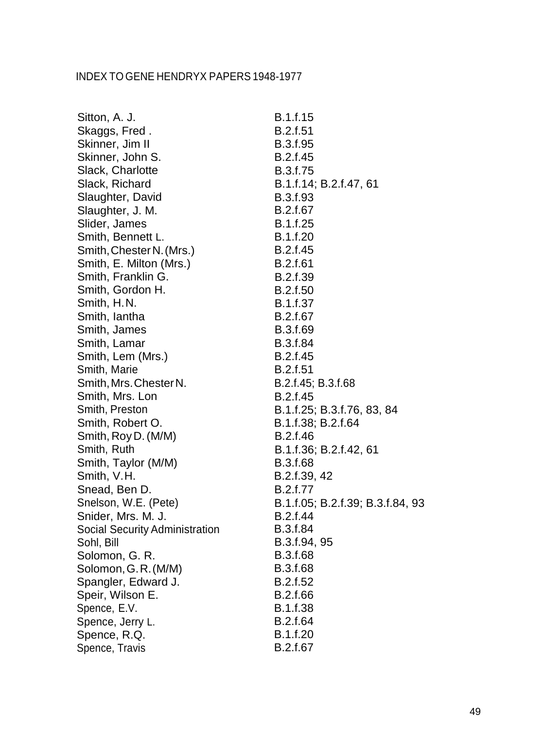| Sitton, A. J.                         | B.1.f.15                         |
|---------------------------------------|----------------------------------|
| Skaggs, Fred.                         | <b>B.2.f.51</b>                  |
| Skinner, Jim II                       | B.3.f.95                         |
| Skinner, John S.                      | B.2.f.45                         |
| Slack, Charlotte                      | B.3.f.75                         |
| Slack, Richard                        | B.1.f.14; B.2.f.47, 61           |
| Slaughter, David                      | B.3.f.93                         |
| Slaughter, J. M.                      | B.2.f.67                         |
| Slider, James                         | B.1.f.25                         |
| Smith, Bennett L.                     | B.1.f.20                         |
| Smith, Chester N. (Mrs.)              | B.2.f.45                         |
| Smith, E. Milton (Mrs.)               | B.2.f.61                         |
| Smith, Franklin G.                    | B.2.f.39                         |
| Smith, Gordon H.                      | B.2.f.50                         |
| Smith, H.N.                           | <b>B.1.f.37</b>                  |
| Smith, lantha                         | B.2.f.67                         |
| Smith, James                          | B.3.f.69                         |
| Smith, Lamar                          | <b>B.3.f.84</b>                  |
| Smith, Lem (Mrs.)                     | B.2.f.45                         |
| Smith, Marie                          | B.2.f.51                         |
| Smith, Mrs. Chester N.                | B.2.f.45; B.3.f.68               |
| Smith, Mrs. Lon                       | B.2.f.45                         |
| Smith, Preston                        | B.1.f.25; B.3.f.76, 83, 84       |
| Smith, Robert O.                      | B.1.f.38; B.2.f.64               |
| Smith, Roy D. (M/M)                   | B.2.f.46                         |
| Smith, Ruth                           | B.1.f.36; B.2.f.42, 61           |
| Smith, Taylor (M/M)                   | B.3.f.68                         |
| Smith, V.H.                           | B.2.f.39, 42                     |
| Snead, Ben D.                         | B.2.f.77                         |
| Snelson, W.E. (Pete)                  | B.1.f.05; B.2.f.39; B.3.f.84, 93 |
| Snider, Mrs. M. J.                    | B.2.f.44                         |
| <b>Social Security Administration</b> | B.3.f.84                         |
| Sohl, Bill                            | B.3.f.94, 95                     |
| Solomon, G. R.                        | B.3.f.68                         |
| Solomon, G.R. (M/M)                   | B.3.f.68                         |
| Spangler, Edward J.                   | B.2.f.52                         |
| Speir, Wilson E.                      | B.2.f.66                         |
| Spence, E.V.                          | B.1.f.38                         |
| Spence, Jerry L.                      | B.2.f.64                         |
| Spence, R.Q.                          | B.1.f.20                         |
| Spence, Travis                        | B.2.f.67                         |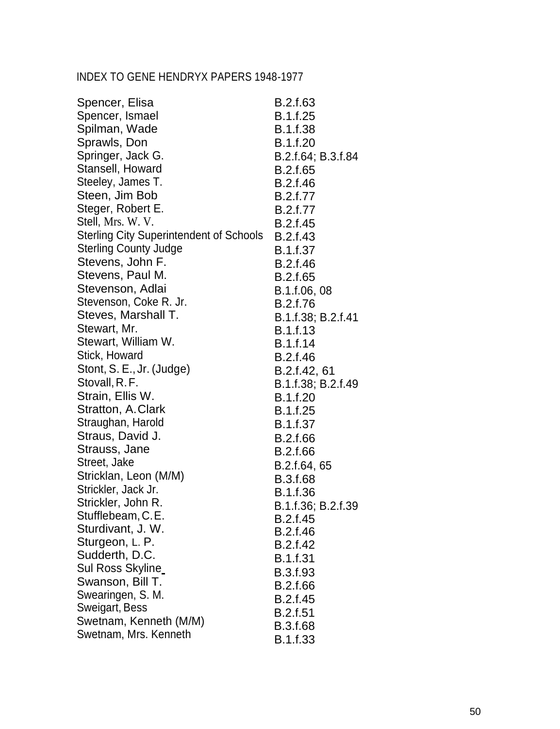| Spencer, Elisa                                 | B.2.f.63           |
|------------------------------------------------|--------------------|
| Spencer, Ismael                                | B.1.f.25           |
| Spilman, Wade                                  | <b>B.1.f.38</b>    |
| Sprawls, Don                                   | B.1.f.20           |
| Springer, Jack G.                              | B.2.f.64; B.3.f.84 |
| Stansell, Howard                               | B.2.f.65           |
| Steeley, James T.                              | B.2.f.46           |
| Steen, Jim Bob                                 | B.2.f.77           |
| Steger, Robert E.                              | B.2.f.77           |
| Stell, Mrs. W. V.                              | B.2.f.45           |
| <b>Sterling City Superintendent of Schools</b> | B.2.f.43           |
| <b>Sterling County Judge</b>                   | <b>B.1.f.37</b>    |
| Stevens, John F.                               | B.2.f.46           |
| Stevens, Paul M.                               | B.2.f.65           |
| Stevenson, Adlai                               | B.1.f.06, 08       |
| Stevenson, Coke R. Jr.                         | B.2.f.76           |
| Steves, Marshall T.                            | B.1.f.38; B.2.f.41 |
| Stewart, Mr.                                   | B.1.f.13           |
| Stewart, William W.                            | B.1.f.14           |
| Stick, Howard                                  | B.2.f.46           |
| Stont, S. E., Jr. (Judge)                      | B.2.f.42, 61       |
| Stovall, R. F.                                 | B.1.f.38; B.2.f.49 |
| Strain, Ellis W.                               | B.1.f.20           |
| Stratton, A.Clark                              | B.1.f.25           |
| Straughan, Harold                              | B.1.f.37           |
| Straus, David J.                               | B.2.f.66           |
| Strauss, Jane                                  | B.2.f.66           |
| Street, Jake                                   | B.2.f.64, 65       |
| Stricklan, Leon (M/M)                          | <b>B.3.f.68</b>    |
| Strickler, Jack Jr.                            | B.1.f.36           |
| Strickler, John R.                             | B.1.f.36; B.2.f.39 |
| Stufflebeam, C.E.                              | B.2.f.45           |
| Sturdivant, J. W.                              | B.2.f.46           |
| Sturgeon, L. P.                                | B.2.f.42           |
| Sudderth, D.C.                                 | B.1.f.31           |
| Sul Ross Skyline                               | B.3.f.93           |
| Swanson, Bill T.                               | B.2.f.66           |
| Swearingen, S. M.                              | B.2.f.45           |
| Sweigart, Bess                                 | B.2.f.51           |
| Swetnam, Kenneth (M/M)                         | B.3.f.68           |
| Swetnam, Mrs. Kenneth                          | B.1.f.33           |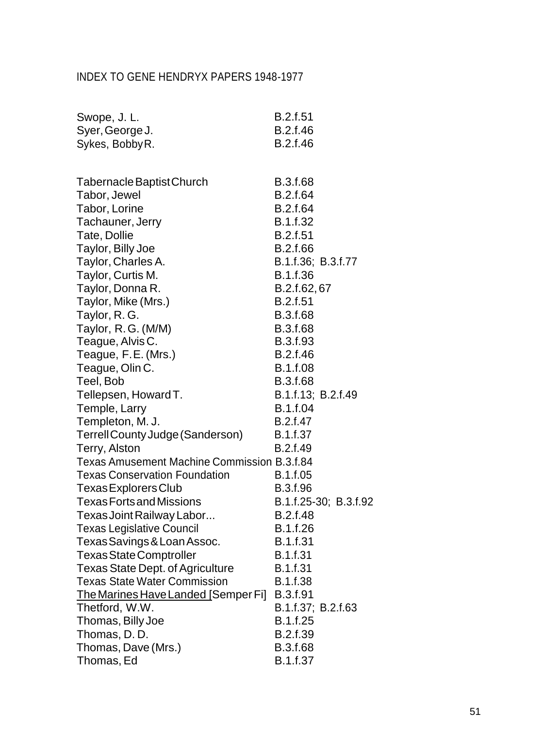| Swope, J.L.                                        | B.2.f.51           |                       |
|----------------------------------------------------|--------------------|-----------------------|
| Syer, George J.                                    | B.2.f.46           |                       |
| Sykes, Bobby R.                                    | B.2.f.46           |                       |
|                                                    |                    |                       |
| Tabernacle Baptist Church                          | B.3.f.68           |                       |
| Tabor, Jewel                                       | B.2.f.64           |                       |
| Tabor, Lorine                                      | B.2.f.64           |                       |
| Tachauner, Jerry                                   | B.1.f.32           |                       |
| Tate, Dollie                                       | <b>B.2.f.51</b>    |                       |
| Taylor, Billy Joe                                  | B.2.f.66           |                       |
| Taylor, Charles A.                                 | B.1.f.36; B.3.f.77 |                       |
| Taylor, Curtis M.                                  | B.1.f.36           |                       |
| Taylor, Donna R.                                   | B.2.f.62,67        |                       |
| Taylor, Mike (Mrs.)                                | <b>B.2.f.51</b>    |                       |
| Taylor, R. G.                                      | B.3.f.68           |                       |
| Taylor, R.G. (M/M)                                 | B.3.f.68           |                       |
| Teague, Alvis C.                                   | B.3.f.93           |                       |
| Teague, F.E. (Mrs.)                                | B.2.f.46           |                       |
| Teague, Olin C.                                    | <b>B.1.f.08</b>    |                       |
| Teel, Bob                                          | B.3.f.68           |                       |
| Tellepsen, Howard T.                               | B.1.f.13; B.2.f.49 |                       |
| Temple, Larry                                      | B.1.f.04           |                       |
| Templeton, M. J.                                   | B.2.f.47           |                       |
| Terrell County Judge (Sanderson)                   | <b>B.1.f.37</b>    |                       |
| Terry, Alston                                      | B.2.f.49           |                       |
| <b>Texas Amusement Machine Commission B.3.f.84</b> |                    |                       |
| <b>Texas Conservation Foundation</b>               | B.1.f.05           |                       |
| Texas Explorers Club                               | B.3.f.96           |                       |
| <b>Texas Forts and Missions</b>                    |                    | B.1.f.25-30; B.3.f.92 |
| Texas Joint Railway Labor                          | B.2.f.48           |                       |
| <b>Texas Legislative Council</b>                   | B.1.f.26           |                       |
| Texas Savings & Loan Assoc.                        | B.1.f.31           |                       |
| <b>Texas State Comptroller</b>                     | B.1.f.31           |                       |
| <b>Texas State Dept. of Agriculture</b>            | B.1.f.31           |                       |
| <b>Texas State Water Commission</b>                | B.1.f.38           |                       |
| The Marines Have Landed [Semper Fi]                | B.3.f.91           |                       |
| Thetford, W.W.                                     | B.1.f.37; B.2.f.63 |                       |
| Thomas, Billy Joe                                  | B.1.f.25           |                       |
| Thomas, D.D.                                       | B.2.f.39           |                       |
| Thomas, Dave (Mrs.)                                | B.3.f.68           |                       |
| Thomas, Ed                                         | B.1.f.37           |                       |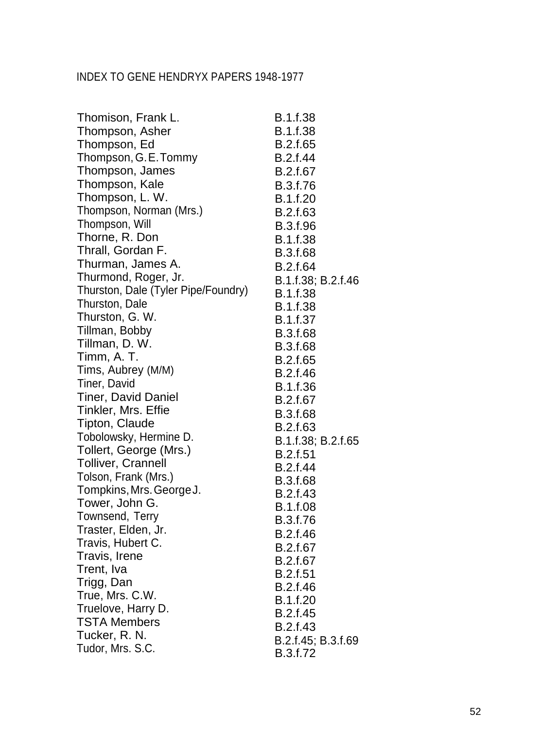| Thomison, Frank L.                  | B.1.f.38           |
|-------------------------------------|--------------------|
| Thompson, Asher                     | <b>B.1.f.38</b>    |
| Thompson, Ed                        | B.2.f.65           |
| Thompson, G.E.Tommy                 | B.2.f.44           |
| Thompson, James                     | B.2.f.67           |
| Thompson, Kale                      | B.3.f.76           |
| Thompson, L. W.                     | B.1.f.20           |
| Thompson, Norman (Mrs.)             | B.2.f.63           |
| Thompson, Will                      | B.3.f.96           |
| Thorne, R. Don                      | B.1.f.38           |
| Thrall, Gordan F.                   | <b>B.3.f.68</b>    |
| Thurman, James A.                   | <b>B.2.f.64</b>    |
| Thurmond, Roger, Jr.                | B.1.f.38; B.2.f.46 |
| Thurston, Dale (Tyler Pipe/Foundry) | B.1.f.38           |
| Thurston, Dale                      | <b>B.1.f.38</b>    |
| Thurston, G. W.                     | B.1.f.37           |
| Tillman, Bobby                      | <b>B.3.f.68</b>    |
| Tillman, D. W.                      | B.3.f.68           |
| Timm, A. T.                         | B.2.f.65           |
| Tims, Aubrey (M/M)                  | B.2.f.46           |
| Tiner, David                        | B.1.f.36           |
| <b>Tiner, David Daniel</b>          | B.2.f.67           |
| Tinkler, Mrs. Effie                 | B.3.f.68           |
| Tipton, Claude                      | B.2.f.63           |
| Tobolowsky, Hermine D.              | B.1.f.38; B.2.f.65 |
| Tollert, George (Mrs.)              | <b>B.2.f.51</b>    |
| <b>Tolliver, Crannell</b>           | B.2.f.44           |
| Tolson, Frank (Mrs.)                | <b>B.3.f.68</b>    |
| Tompkins, Mrs. George J.            | B.2.f.43           |
| Tower, John G.                      | <b>B.1.f.08</b>    |
| Townsend, Terry                     | B.3.f.76           |
| Traster, Elden, Jr.                 | B.2.f.46           |
| Travis, Hubert C.                   | B.2.f.67           |
| Travis, Irene                       | B.2.f.67           |
| Trent, Iva                          | B.2.f.51           |
| Trigg, Dan                          | B.2.f.46           |
| True, Mrs. C.W.                     | B.1.f.20           |
| Truelove, Harry D.                  | B.2.f.45           |
| <b>TSTA Members</b>                 | B.2.f.43           |
| Tucker, R. N.                       | B.2.f.45; B.3.f.69 |
| Tudor, Mrs. S.C.                    | B.3.f.72           |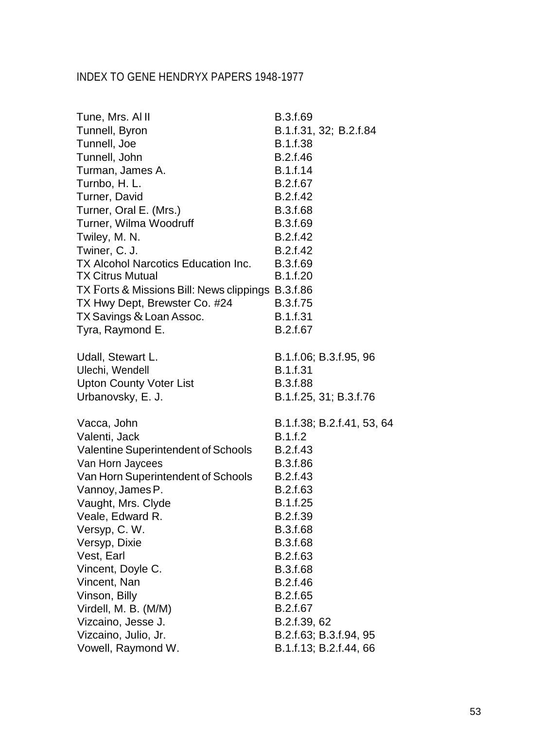| Tune, Mrs. Al II                                  | B.3.f.69                   |
|---------------------------------------------------|----------------------------|
| Tunnell, Byron                                    | B.1.f.31, 32; B.2.f.84     |
| Tunnell, Joe                                      | B.1.f.38                   |
| Tunnell, John                                     | B.2.f.46                   |
| Turman, James A.                                  | B.1.f.14                   |
| Turnbo, H. L.                                     | B.2.f.67                   |
| Turner, David                                     | B.2.f.42                   |
| Turner, Oral E. (Mrs.)                            | B.3.f.68                   |
| Turner, Wilma Woodruff                            | B.3.f.69                   |
| Twiley, M. N.                                     | B.2.f.42                   |
| Twiner, C. J.                                     | B.2.f.42                   |
| TX Alcohol Narcotics Education Inc.               | B.3.f.69                   |
| <b>TX Citrus Mutual</b>                           | B.1.f.20                   |
| TX Forts & Missions Bill: News clippings B.3.f.86 |                            |
| TX Hwy Dept, Brewster Co. #24                     | B.3.f.75                   |
| TX Savings & Loan Assoc.                          | B.1.f.31                   |
| Tyra, Raymond E.                                  | B.2.f.67                   |
| Udall, Stewart L.                                 | B.1.f.06; B.3.f.95, 96     |
| Ulechi, Wendell                                   | B.1.f.31                   |
| <b>Upton County Voter List</b>                    | B.3.f.88                   |
| Urbanovsky, E. J.                                 | B.1.f.25, 31; B.3.f.76     |
| Vacca, John                                       | B.1.f.38; B.2.f.41, 53, 64 |
| Valenti, Jack                                     | B.1.f.2                    |
| Valentine Superintendent of Schools               | B.2.f.43                   |
| Van Horn Jaycees                                  | B.3.f.86                   |
| Van Horn Superintendent of Schools                | B.2.f.43                   |
| Vannoy, James P.                                  | B.2.f.63                   |
| Vaught, Mrs. Clyde                                | B.1.f.25                   |
| Veale, Edward R.                                  | B.2.f.39                   |
| Versyp, C.W.                                      | B.3.f.68                   |
| Versyp, Dixie                                     | B.3.f.68                   |
| Vest, Earl                                        | B.2.f.63                   |
| Vincent, Doyle C.                                 | B.3.f.68                   |
| Vincent, Nan                                      | B.2.f.46                   |
| Vinson, Billy                                     | B.2.f.65                   |
| Virdell, M. B. (M/M)                              | B.2.f.67                   |
| Vizcaino, Jesse J.                                | B.2.f.39, 62               |
| Vizcaino, Julio, Jr.                              | B.2.f.63; B.3.f.94, 95     |
| Vowell, Raymond W.                                | B.1.f.13; B.2.f.44, 66     |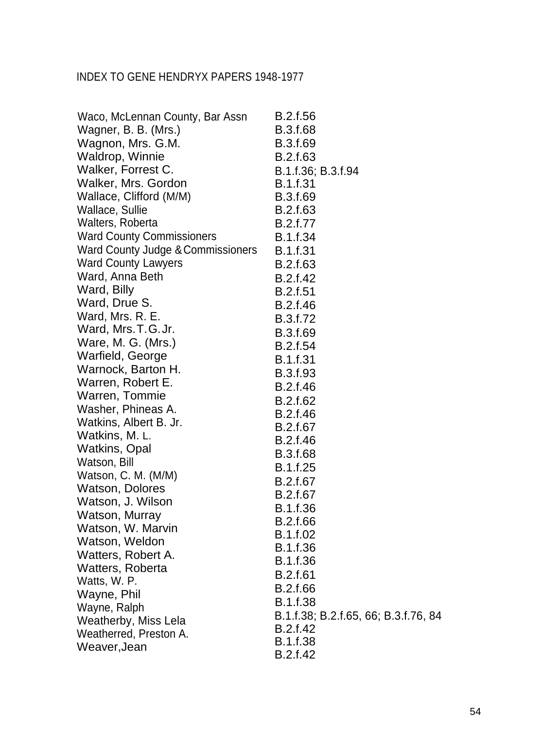| Waco, McLennan County, Bar Assn   | B.2.f.56                             |
|-----------------------------------|--------------------------------------|
| Wagner, B. B. (Mrs.)              | <b>B.3.f.68</b>                      |
| Wagnon, Mrs. G.M.                 | B.3.f.69                             |
| Waldrop, Winnie                   | B.2.f.63                             |
| Walker, Forrest C.                | B.1.f.36; B.3.f.94                   |
| Walker, Mrs. Gordon               | <b>B.1.f.31</b>                      |
| Wallace, Clifford (M/M)           | B.3.f.69                             |
| Wallace, Sullie                   | B.2.f.63                             |
| Walters, Roberta                  | B.2.f.77                             |
| <b>Ward County Commissioners</b>  | B.1.f.34                             |
| Ward County Judge & Commissioners | B.1.f.31                             |
| <b>Ward County Lawyers</b>        | B.2.f.63                             |
| Ward, Anna Beth                   | B.2.f.42                             |
| Ward, Billy                       | <b>B.2.f.51</b>                      |
| Ward, Drue S.                     | B.2.f.46                             |
| Ward, Mrs. R. E.                  | B.3.f.72                             |
| Ward, Mrs.T.G.Jr.                 | B.3.f.69                             |
| Ware, M. G. (Mrs.)                | B.2.f.54                             |
| Warfield, George                  | <b>B.1.f.31</b>                      |
| Warnock, Barton H.                | B.3.f.93                             |
| Warren, Robert E.                 | B.2.f.46                             |
| Warren, Tommie                    | B.2.f.62                             |
| Washer, Phineas A.                | B.2.f.46                             |
| Watkins, Albert B. Jr.            | B.2.f.67                             |
| Watkins, M. L.                    | B.2.f.46                             |
| <b>Watkins, Opal</b>              | B.3.f.68                             |
| Watson, Bill                      | B.1.f.25                             |
| Watson, C. M. (M/M)               | B.2.f.67                             |
| <b>Watson, Dolores</b>            | B.2.f.67                             |
| Watson, J. Wilson                 | B.1.f.36                             |
| Watson, Murray                    | B.2.f.66                             |
| Watson, W. Marvin                 | B.1.f.02                             |
| Watson, Weldon                    | B.1.f.36                             |
| Watters, Robert A.                | B.1.f.36                             |
| <b>Watters, Roberta</b>           |                                      |
| Watts, W. P.                      | <b>B.2.f.61</b>                      |
| Wayne, Phil                       | B.2.f.66                             |
| Wayne, Ralph                      | <b>B.1.f.38</b>                      |
| Weatherby, Miss Lela              | B.1.f.38; B.2.f.65, 66; B.3.f.76, 84 |
| Weatherred, Preston A.            | B.2.f.42                             |
| Weaver, Jean                      | <b>B.1.f.38</b>                      |
|                                   | B.2.f.42                             |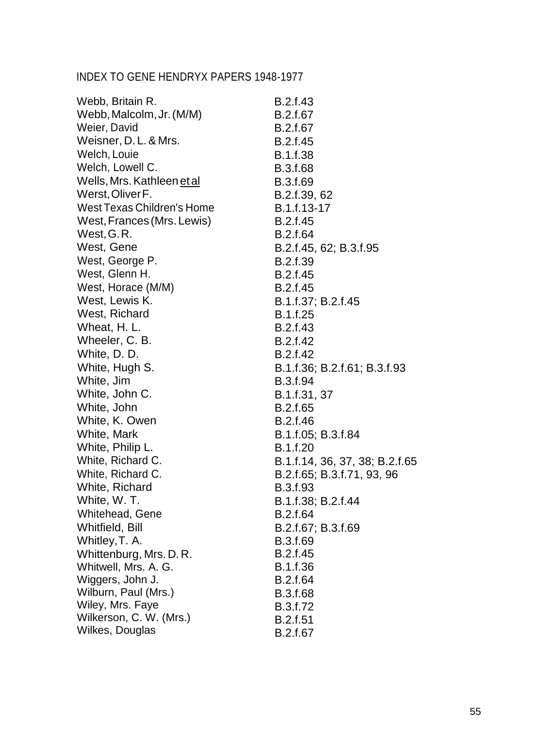| Webb, Britain R.           | B.2.f.43                       |
|----------------------------|--------------------------------|
| Webb, Malcolm, Jr. (M/M)   | B.2.f.67                       |
| Weier, David               | B.2.f.67                       |
| Weisner, D. L. & Mrs.      | B.2.f.45                       |
| Welch, Louie               | B.1.f.38                       |
| Welch, Lowell C.           | <b>B.3.f.68</b>                |
| Wells, Mrs. Kathleen et al | B.3.f.69                       |
| Werst, Oliver F.           | B.2.f.39, 62                   |
| West Texas Children's Home | B.1.f.13-17                    |
| West, Frances (Mrs. Lewis) | B.2.f.45                       |
| West, G.R.                 | B.2.f.64                       |
| West, Gene                 | B.2.f.45, 62; B.3.f.95         |
| West, George P.            | B.2.f.39                       |
| West, Glenn H.             | B.2.f.45                       |
| West, Horace (M/M)         | B.2.f.45                       |
| West, Lewis K.             | B.1.f.37; B.2.f.45             |
| West, Richard              | B.1.f.25                       |
| Wheat, H. L.               | B.2.f.43                       |
| Wheeler, C. B.             | B.2.f.42                       |
| White, D. D.               | B.2.f.42                       |
| White, Hugh S.             | B.1.f.36; B.2.f.61; B.3.f.93   |
| White, Jim                 | B.3.f.94                       |
| White, John C.             | B.1.f.31, 37                   |
| White, John                | B.2.f.65                       |
| White, K. Owen             | B.2.f.46                       |
| White, Mark                | B.1.f.05; B.3.f.84             |
| White, Philip L.           | B.1.f.20                       |
| White, Richard C.          | B.1.f.14, 36, 37, 38; B.2.f.65 |
| White, Richard C.          | B.2.f.65; B.3.f.71, 93, 96     |
| White, Richard             | B.3.f.93                       |
| White, W.T.                | B.1.f.38; B.2.f.44             |
| Whitehead, Gene            | B.2.f.64                       |
| Whitfield, Bill            | B.2.f.67; B.3.f.69             |
| Whitley, T. A.             | B.3.f.69                       |
| Whittenburg, Mrs. D. R.    | B.2.f.45                       |
| Whitwell, Mrs. A. G.       | B.1.f.36                       |
| Wiggers, John J.           | B.2.f.64                       |
| Wilburn, Paul (Mrs.)       | <b>B.3.f.68</b>                |
| Wiley, Mrs. Faye           | B.3.f.72                       |
| Wilkerson, C. W. (Mrs.)    | <b>B.2.f.51</b>                |
| Wilkes, Douglas            | B.2.f.67                       |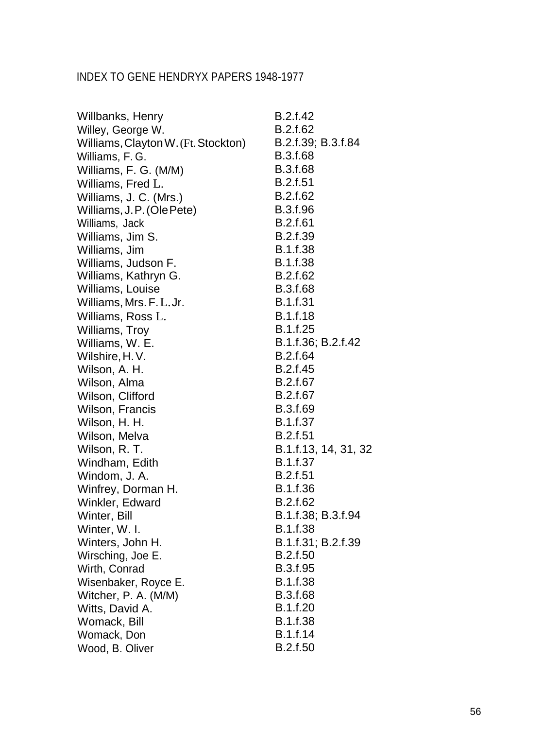| Willbanks, Henry                    | B.2.f.42             |
|-------------------------------------|----------------------|
| Willey, George W.                   | B.2.f.62             |
| Williams, Clayton W. (Ft. Stockton) | B.2.f.39; B.3.f.84   |
| Williams, F.G.                      | <b>B.3.f.68</b>      |
| Williams, F. G. (M/M)               | B.3.f.68             |
| Williams, Fred L.                   | B.2.f.51             |
| Williams, J. C. (Mrs.)              | B.2.f.62             |
| Williams, J.P. (Ole Pete)           | B.3.f.96             |
| Williams, Jack                      | B.2.f.61             |
| Williams, Jim S.                    | B.2.f.39             |
| Williams, Jim                       | <b>B.1.f.38</b>      |
| Williams, Judson F.                 | B.1.f.38             |
| Williams, Kathryn G.                | B.2.f.62             |
| Williams, Louise                    | B.3.f.68             |
| Williams, Mrs. F. L. Jr.            | <b>B.1.f.31</b>      |
| Williams, Ross L.                   | B.1.f.18             |
| Williams, Troy                      | B.1.f.25             |
| Williams, W. E.                     | B.1.f.36; B.2.f.42   |
| Wilshire, H.V.                      | B.2.f.64             |
| Wilson, A. H.                       | B.2.f.45             |
| Wilson, Alma                        | B.2.f.67             |
| Wilson, Clifford                    | B.2.f.67             |
| Wilson, Francis                     | B.3.f.69             |
| Wilson, H. H.                       | B.1.f.37             |
| Wilson, Melva                       | <b>B.2.f.51</b>      |
| Wilson, R. T.                       | B.1.f.13, 14, 31, 32 |
| Windham, Edith                      | B.1.f.37             |
| Windom, J. A.                       | <b>B.2.f.51</b>      |
| Winfrey, Dorman H.                  | B.1.f.36             |
| Winkler, Edward                     | B.2.f.62             |
| Winter, Bill                        | B.1.f.38; B.3.f.94   |
| Winter, W. I.                       | <b>B.1.f.38</b>      |
| Winters, John H.                    | B.1.f.31; B.2.f.39   |
| Wirsching, Joe E.                   | B.2.f.50             |
| Wirth, Conrad                       | B.3.f.95             |
| Wisenbaker, Royce E.                | B.1.f.38             |
| Witcher, P. A. (M/M)                | B.3.f.68             |
| Witts, David A.                     | B.1.f.20             |
| Womack, Bill                        | B.1.f.38             |
| Womack, Don                         | B.1.f.14             |
| Wood, B. Oliver                     | B.2.f.50             |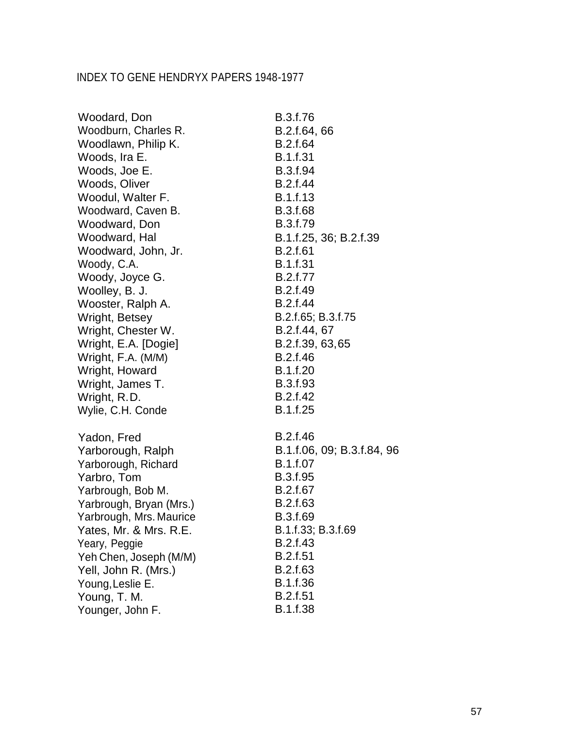| Woodard, Don            | B.3.f.76                   |
|-------------------------|----------------------------|
| Woodburn, Charles R.    | B.2.f.64, 66               |
| Woodlawn, Philip K.     | B.2.f.64                   |
| Woods, Ira E.           | <b>B.1.f.31</b>            |
| Woods, Joe E.           | B.3.f.94                   |
| Woods, Oliver           | B.2.f.44                   |
| Woodul, Walter F.       | B.1.f.13                   |
| Woodward, Caven B.      | B.3.f.68                   |
| Woodward, Don           | B.3.f.79                   |
| Woodward, Hal           | B.1.f.25, 36; B.2.f.39     |
| Woodward, John, Jr.     | B.2.f.61                   |
| Woody, C.A.             | <b>B.1.f.31</b>            |
| Woody, Joyce G.         | B.2.f.77                   |
| Woolley, B. J.          | B.2.f.49                   |
| Wooster, Ralph A.       | B.2.f.44                   |
| Wright, Betsey          | B.2.f.65; B.3.f.75         |
| Wright, Chester W.      | B.2.f.44, 67               |
| Wright, E.A. [Dogie]    | B.2.f.39, 63,65            |
| Wright, F.A. (M/M)      | B.2.f.46                   |
| Wright, Howard          | B.1.f.20                   |
| Wright, James T.        | B.3.f.93                   |
| Wright, R.D.            | B.2.f.42                   |
| Wylie, C.H. Conde       | B.1.f.25                   |
| Yadon, Fred             | B.2.f.46                   |
| Yarborough, Ralph       | B.1.f.06, 09; B.3.f.84, 96 |
| Yarborough, Richard     | B.1.f.07                   |
| Yarbro, Tom             | B.3.f.95                   |
| Yarbrough, Bob M.       | B.2.f.67                   |
| Yarbrough, Bryan (Mrs.) | B.2.f.63                   |
| Yarbrough, Mrs. Maurice | B.3.f.69                   |
| Yates, Mr. & Mrs. R.E.  | B.1.f.33; B.3.f.69         |
| Yeary, Peggie           | B.2.f.43                   |
| Yeh Chen, Joseph (M/M)  | <b>B.2.f.51</b>            |
| Yell, John R. (Mrs.)    | B.2.f.63                   |
| Young, Leslie E.        | B.1.f.36                   |
| Young, T. M.            | B.2.f.51                   |
| Younger, John F.        | B.1.f.38                   |